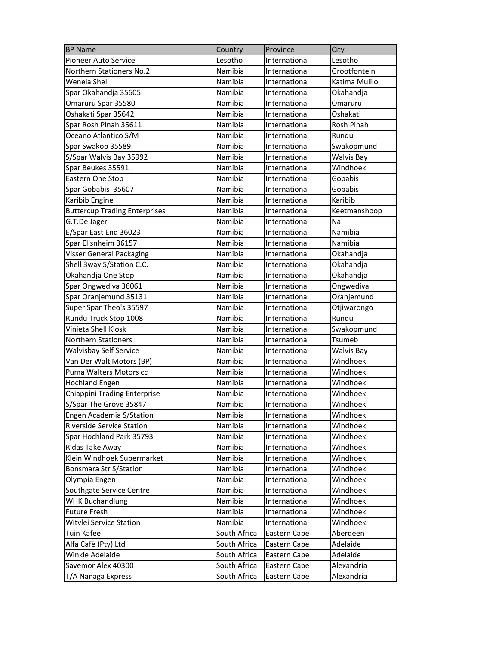| <b>BP Name</b>                       | Country      | Province      | City              |
|--------------------------------------|--------------|---------------|-------------------|
| <b>Pioneer Auto Service</b>          | Lesotho      | International | Lesotho           |
| <b>Northern Stationers No.2</b>      | Namibia      | International | Grootfontein      |
| Wenela Shell                         | Namibia      | International | Katima Mulilo     |
| Spar Okahandja 35605                 | Namibia      | International | Okahandja         |
| Omaruru Spar 35580                   | Namibia      | International | Omaruru           |
| Oshakati Spar 35642                  | Namibia      | International | Oshakati          |
| Spar Rosh Pinah 35611                | Namibia      | International | Rosh Pinah        |
| Oceano Atlantico S/M                 | Namibia      | International | Rundu             |
| Spar Swakop 35589                    | Namibia      | International | Swakopmund        |
| S/Spar Walvis Bay 35992              | Namibia      | International | Walvis Bay        |
| Spar Beukes 35591                    | Namibia      | International | Windhoek          |
| Eastern One Stop                     | Namibia      | International | Gobabis           |
| Spar Gobabis 35607                   | Namibia      | International | Gobabis           |
| Karibib Engine                       | Namibia      | International | Karibib           |
| <b>Buttercup Trading Enterprises</b> | Namibia      | International | Keetmanshoop      |
| G.T.De Jager                         | Namibia      | International | Na                |
| E/Spar East End 36023                | Namibia      | International | Namibia           |
| Spar Elisnheim 36157                 | Namibia      | International | Namibia           |
| Visser General Packaging             | Namibia      | International | Okahandja         |
| Shell 3way S/Station C.C.            | Namibia      | International | Okahandja         |
| Okahandja One Stop                   | Namibia      | International | Okahandja         |
| Spar Ongwediva 36061                 | Namibia      | International | Ongwediva         |
| Spar Oranjemund 35131                | Namibia      | International | Oranjemund        |
| Super Spar Theo's 35597              | Namibia      | International | Otjiwarongo       |
| Rundu Truck Stop 1008                | Namibia      | International | Rundu             |
| Vinieta Shell Kiosk                  | Namibia      | International | Swakopmund        |
| <b>Northern Stationers</b>           | Namibia      | International | Tsumeb            |
| <b>Walvisbay Self Service</b>        | Namibia      | International | <b>Walvis Bay</b> |
| Van Der Walt Motors (BP)             | Namibia      | International | Windhoek          |
| Puma Walters Motors cc               | Namibia      | International | Windhoek          |
| <b>Hochland Engen</b>                | Namibia      | International | Windhoek          |
| Chiappini Trading Enterprise         | Namibia      | International | Windhoek          |
| S/Spar The Grove 35847               | Namibia      | International | Windhoek          |
| Engen Academia S/Station             | Namibia      | International | Windhoek          |
| <b>Riverside Service Station</b>     | Namibia      | International | Windhoek          |
| Spar Hochland Park 35793             | Namibia      | International | Windhoek          |
| Ridas Take Away                      | Namibia      | International | Windhoek          |
| Klein Windhoek Supermarket           | Namibia      | International | Windhoek          |
| Bonsmara Str S/Station               | Namibia      | International | Windhoek          |
| Olympia Engen                        | Namibia      | International | Windhoek          |
| Southgate Service Centre             | Namibia      | International | Windhoek          |
| <b>WHK Buchandlung</b>               | Namibia      | International | Windhoek          |
| <b>Future Fresh</b>                  | Namibia      | International | Windhoek          |
| Witvlei Service Station              | Namibia      | International | Windhoek          |
| Tuin Kafee                           | South Africa | Eastern Cape  | Aberdeen          |
| Alfa Cafè (Pty) Ltd                  | South Africa | Eastern Cape  | Adelaide          |
| Winkle Adelaide                      | South Africa | Eastern Cape  | Adelaide          |
| Savemor Alex 40300                   | South Africa | Eastern Cape  | Alexandria        |
| T/A Nanaga Express                   | South Africa | Eastern Cape  | Alexandria        |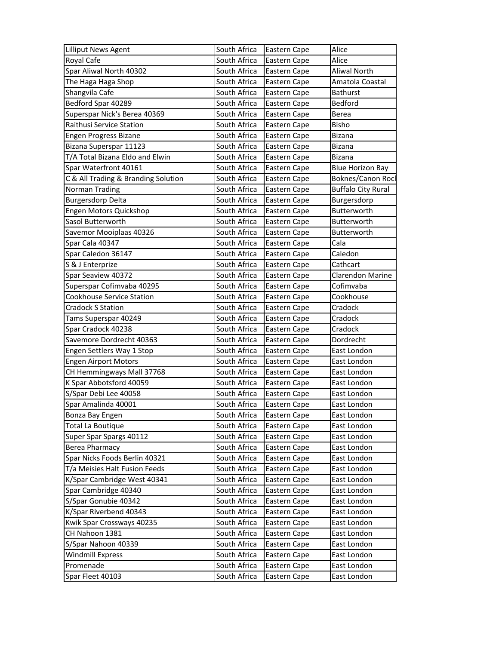| <b>Lilliput News Agent</b>          | South Africa | Eastern Cape | Alice                     |
|-------------------------------------|--------------|--------------|---------------------------|
| Royal Cafe                          | South Africa | Eastern Cape | Alice                     |
| Spar Aliwal North 40302             | South Africa | Eastern Cape | <b>Aliwal North</b>       |
| The Haga Haga Shop                  | South Africa | Eastern Cape | Amatola Coastal           |
| Shangvila Cafe                      | South Africa | Eastern Cape | <b>Bathurst</b>           |
| Bedford Spar 40289                  | South Africa | Eastern Cape | Bedford                   |
| Superspar Nick's Berea 40369        | South Africa | Eastern Cape | Berea                     |
| Raithusi Service Station            | South Africa | Eastern Cape | Bisho                     |
| Engen Progress Bizane               | South Africa | Eastern Cape | <b>Bizana</b>             |
| Bizana Superspar 11123              | South Africa | Eastern Cape | Bizana                    |
| T/A Total Bizana Eldo and Elwin     | South Africa | Eastern Cape | <b>Bizana</b>             |
| Spar Waterfront 40161               | South Africa | Eastern Cape | <b>Blue Horizon Bay</b>   |
| C & All Trading & Branding Solution | South Africa | Eastern Cape | Boknes/Canon Rocl         |
| Norman Trading                      | South Africa | Eastern Cape | <b>Buffalo City Rural</b> |
| <b>Burgersdorp Delta</b>            | South Africa | Eastern Cape | Burgersdorp               |
| Engen Motors Quickshop              | South Africa | Eastern Cape | Butterworth               |
| Sasol Butterworth                   | South Africa | Eastern Cape | Butterworth               |
| Savemor Mooiplaas 40326             | South Africa | Eastern Cape | Butterworth               |
| Spar Cala 40347                     | South Africa | Eastern Cape | Cala                      |
| Spar Caledon 36147                  | South Africa | Eastern Cape | Caledon                   |
| S & J Enterprize                    | South Africa | Eastern Cape | Cathcart                  |
| Spar Seaview 40372                  | South Africa | Eastern Cape | <b>Clarendon Marine</b>   |
| Superspar Cofimvaba 40295           | South Africa | Eastern Cape | Cofimvaba                 |
| Cookhouse Service Station           | South Africa | Eastern Cape | Cookhouse                 |
| <b>Cradock S Station</b>            | South Africa | Eastern Cape | Cradock                   |
| Tams Superspar 40249                | South Africa | Eastern Cape | Cradock                   |
| Spar Cradock 40238                  | South Africa | Eastern Cape | Cradock                   |
| Savemore Dordrecht 40363            | South Africa | Eastern Cape | Dordrecht                 |
| Engen Settlers Way 1 Stop           | South Africa | Eastern Cape | East London               |
| <b>Engen Airport Motors</b>         | South Africa | Eastern Cape | East London               |
| CH Hemmingways Mall 37768           | South Africa | Eastern Cape | East London               |
| K Spar Abbotsford 40059             | South Africa | Eastern Cape | East London               |
| S/Spar Debi Lee 40058               | South Africa | Eastern Cape | East London               |
| Spar Amalinda 40001                 | South Africa | Eastern Cape | East London               |
| Bonza Bay Engen                     | South Africa | Eastern Cape | East London               |
| <b>Total La Boutique</b>            | South Africa | Eastern Cape | East London               |
| Super Spar Spargs 40112             | South Africa | Eastern Cape | East London               |
| <b>Berea Pharmacy</b>               | South Africa | Eastern Cape | East London               |
| Spar Nicks Foods Berlin 40321       | South Africa | Eastern Cape | East London               |
| T/a Meisies Halt Fusion Feeds       | South Africa | Eastern Cape | East London               |
| K/Spar Cambridge West 40341         | South Africa | Eastern Cape | East London               |
| Spar Cambridge 40340                | South Africa | Eastern Cape | East London               |
| S/Spar Gonubie 40342                | South Africa | Eastern Cape | East London               |
| K/Spar Riverbend 40343              | South Africa | Eastern Cape | East London               |
| Kwik Spar Crossways 40235           | South Africa | Eastern Cape | East London               |
| CH Nahoon 1381                      | South Africa | Eastern Cape | East London               |
| S/Spar Nahoon 40339                 | South Africa | Eastern Cape | East London               |
| <b>Windmill Express</b>             | South Africa | Eastern Cape | East London               |
| Promenade                           | South Africa | Eastern Cape | East London               |
| Spar Fleet 40103                    | South Africa | Eastern Cape | East London               |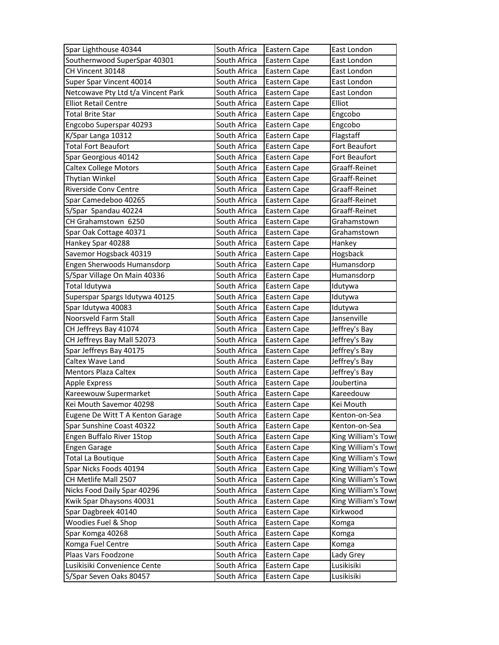| Spar Lighthouse 40344              | South Africa | Eastern Cape | East London         |
|------------------------------------|--------------|--------------|---------------------|
| Southernwood SuperSpar 40301       | South Africa | Eastern Cape | East London         |
| CH Vincent 30148                   | South Africa | Eastern Cape | East London         |
| Super Spar Vincent 40014           | South Africa | Eastern Cape | East London         |
| Netcowave Pty Ltd t/a Vincent Park | South Africa | Eastern Cape | East London         |
| <b>Elliot Retail Centre</b>        | South Africa | Eastern Cape | Elliot              |
| <b>Total Brite Star</b>            | South Africa | Eastern Cape | Engcobo             |
| Engcobo Superspar 40293            | South Africa | Eastern Cape | Engcobo             |
| K/Spar Langa 10312                 | South Africa | Eastern Cape | Flagstaff           |
| <b>Total Fort Beaufort</b>         | South Africa | Eastern Cape | Fort Beaufort       |
| Spar Georgious 40142               | South Africa | Eastern Cape | Fort Beaufort       |
| <b>Caltex College Motors</b>       | South Africa | Eastern Cape | Graaff-Reinet       |
| Thytian Winkel                     | South Africa | Eastern Cape | Graaff-Reinet       |
| Riverside Conv Centre              | South Africa | Eastern Cape | Graaff-Reinet       |
| Spar Camedeboo 40265               | South Africa | Eastern Cape | Graaff-Reinet       |
| S/Spar Spandau 40224               | South Africa | Eastern Cape | Graaff-Reinet       |
| CH Grahamstown 6250                | South Africa | Eastern Cape | Grahamstown         |
| Spar Oak Cottage 40371             | South Africa | Eastern Cape | Grahamstown         |
| Hankey Spar 40288                  | South Africa | Eastern Cape | Hankey              |
| Savemor Hogsback 40319             | South Africa | Eastern Cape | Hogsback            |
| Engen Sherwoods Humansdorp         | South Africa | Eastern Cape | Humansdorp          |
| S/Spar Village On Main 40336       | South Africa | Eastern Cape | Humansdorp          |
| Total Idutywa                      | South Africa | Eastern Cape | Idutywa             |
| Superspar Spargs Idutywa 40125     | South Africa | Eastern Cape | Idutywa             |
| Spar Idutywa 40083                 | South Africa | Eastern Cape | Idutywa             |
| Noorsveld Farm Stall               | South Africa | Eastern Cape | Jansenville         |
| CH Jeffreys Bay 41074              | South Africa | Eastern Cape | Jeffrey's Bay       |
| CH Jeffreys Bay Mall 52073         | South Africa | Eastern Cape | Jeffrey's Bay       |
| Spar Jeffreys Bay 40175            | South Africa | Eastern Cape | Jeffrey's Bay       |
| Caltex Wave Land                   | South Africa | Eastern Cape | Jeffrey's Bay       |
| <b>Mentors Plaza Caltex</b>        | South Africa | Eastern Cape | Jeffrey's Bay       |
| <b>Apple Express</b>               | South Africa | Eastern Cape | Joubertina          |
| Kareewouw Supermarket              | South Africa | Eastern Cape | Kareedouw           |
| Kei Mouth Savemor 40298            | South Africa | Eastern Cape | Kei Mouth           |
| Eugene De Witt T A Kenton Garage   | South Africa | Eastern Cape | Kenton-on-Sea       |
| Spar Sunshine Coast 40322          | South Africa | Eastern Cape | Kenton-on-Sea       |
| Engen Buffalo River 1Stop          | South Africa | Eastern Cape | King William's Town |
| <b>Engen Garage</b>                | South Africa | Eastern Cape | King William's Towi |
| Total La Boutique                  | South Africa | Eastern Cape | King William's Tow  |
| Spar Nicks Foods 40194             | South Africa | Eastern Cape | King William's Tow  |
| CH Metlife Mall 2507               | South Africa | Eastern Cape | King William's Towi |
| Nicks Food Daily Spar 40296        | South Africa | Eastern Cape | King William's Town |
| Kwik Spar Dhaysons 40031           | South Africa | Eastern Cape | King William's Tow  |
| Spar Dagbreek 40140                | South Africa | Eastern Cape | Kirkwood            |
| Woodies Fuel & Shop                | South Africa | Eastern Cape | Komga               |
| Spar Komga 40268                   | South Africa | Eastern Cape | Komga               |
| Komga Fuel Centre                  | South Africa | Eastern Cape | Komga               |
| Plaas Vars Foodzone                | South Africa | Eastern Cape | Lady Grey           |
| Lusikisiki Convenience Cente       | South Africa | Eastern Cape | Lusikisiki          |
| S/Spar Seven Oaks 80457            | South Africa | Eastern Cape | Lusikisiki          |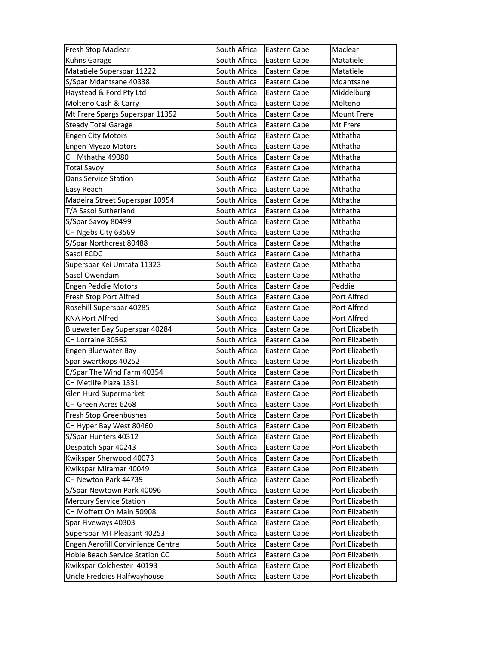| Fresh Stop Maclear                | South Africa | Eastern Cape | Maclear            |
|-----------------------------------|--------------|--------------|--------------------|
| Kuhns Garage                      | South Africa | Eastern Cape | Matatiele          |
| Matatiele Superspar 11222         | South Africa | Eastern Cape | Matatiele          |
| S/Spar Mdantsane 40338            | South Africa | Eastern Cape | Mdantsane          |
| Haystead & Ford Pty Ltd           | South Africa | Eastern Cape | Middelburg         |
| Molteno Cash & Carry              | South Africa | Eastern Cape | Molteno            |
| Mt Frere Spargs Superspar 11352   | South Africa | Eastern Cape | <b>Mount Frere</b> |
| <b>Steady Total Garage</b>        | South Africa | Eastern Cape | Mt Frere           |
| <b>Engen City Motors</b>          | South Africa | Eastern Cape | Mthatha            |
| <b>Engen Myezo Motors</b>         | South Africa | Eastern Cape | Mthatha            |
| CH Mthatha 49080                  | South Africa | Eastern Cape | Mthatha            |
| <b>Total Savoy</b>                | South Africa | Eastern Cape | Mthatha            |
| Dans Service Station              | South Africa | Eastern Cape | Mthatha            |
| Easy Reach                        | South Africa | Eastern Cape | Mthatha            |
| Madeira Street Superspar 10954    | South Africa | Eastern Cape | Mthatha            |
| T/A Sasol Sutherland              | South Africa | Eastern Cape | Mthatha            |
| S/Spar Savoy 80499                | South Africa | Eastern Cape | Mthatha            |
| CH Ngebs City 63569               | South Africa | Eastern Cape | Mthatha            |
| S/Spar Northcrest 80488           | South Africa | Eastern Cape | Mthatha            |
| Sasol ECDC                        | South Africa | Eastern Cape | Mthatha            |
| Superspar Kei Umtata 11323        | South Africa | Eastern Cape | Mthatha            |
| Sasol Owendam                     | South Africa | Eastern Cape | Mthatha            |
| <b>Engen Peddie Motors</b>        | South Africa | Eastern Cape | Peddie             |
| Fresh Stop Port Alfred            | South Africa | Eastern Cape | Port Alfred        |
| Rosehill Superspar 40285          | South Africa | Eastern Cape | Port Alfred        |
| <b>KNA Port Alfred</b>            | South Africa | Eastern Cape | Port Alfred        |
| Bluewater Bay Superspar 40284     | South Africa | Eastern Cape | Port Elizabeth     |
| CH Lorraine 30562                 | South Africa | Eastern Cape | Port Elizabeth     |
| Engen Bluewater Bay               | South Africa | Eastern Cape | Port Elizabeth     |
| Spar Swartkops 40252              | South Africa | Eastern Cape | Port Elizabeth     |
| E/Spar The Wind Farm 40354        | South Africa | Eastern Cape | Port Elizabeth     |
| CH Metlife Plaza 1331             | South Africa | Eastern Cape | Port Elizabeth     |
| Glen Hurd Supermarket             | South Africa | Eastern Cape | Port Elizabeth     |
| CH Green Acres 6268               | South Africa | Eastern Cape | Port Elizabeth     |
| Fresh Stop Greenbushes            | South Africa | Eastern Cape | Port Elizabeth     |
| CH Hyper Bay West 80460           | South Africa | Eastern Cape | Port Elizabeth     |
| S/Spar Hunters 40312              | South Africa | Eastern Cape | Port Elizabeth     |
| Despatch Spar 40243               | South Africa | Eastern Cape | Port Elizabeth     |
| Kwikspar Sherwood 40073           | South Africa | Eastern Cape | Port Elizabeth     |
| Kwikspar Miramar 40049            | South Africa | Eastern Cape | Port Elizabeth     |
| CH Newton Park 44739              | South Africa | Eastern Cape | Port Elizabeth     |
| S/Spar Newtown Park 40096         | South Africa | Eastern Cape | Port Elizabeth     |
| <b>Mercury Service Station</b>    | South Africa | Eastern Cape | Port Elizabeth     |
| CH Moffett On Main 50908          | South Africa | Eastern Cape | Port Elizabeth     |
| Spar Fiveways 40303               | South Africa | Eastern Cape | Port Elizabeth     |
| Superspar MT Pleasant 40253       | South Africa | Eastern Cape | Port Elizabeth     |
| Engen Aerofill Convinience Centre | South Africa | Eastern Cape | Port Elizabeth     |
| Hobie Beach Service Station CC    | South Africa | Eastern Cape | Port Elizabeth     |
| Kwikspar Colchester 40193         | South Africa | Eastern Cape | Port Elizabeth     |
| Uncle Freddies Halfwayhouse       | South Africa | Eastern Cape | Port Elizabeth     |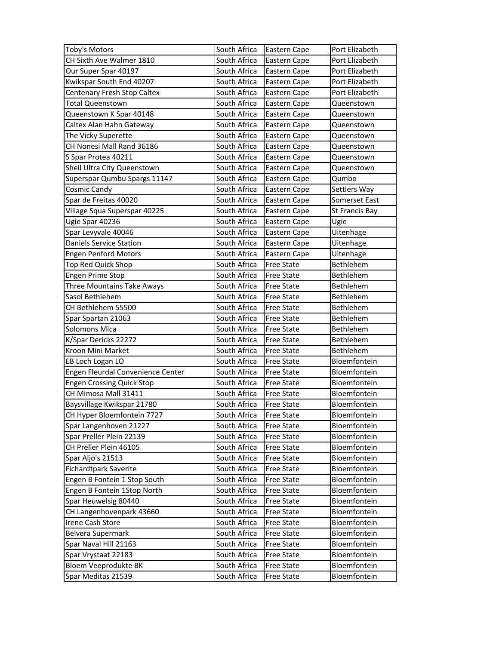| Toby's Motors                     | South Africa | Eastern Cape      | Port Elizabeth               |
|-----------------------------------|--------------|-------------------|------------------------------|
| CH Sixth Ave Walmer 1810          | South Africa | Eastern Cape      | Port Elizabeth               |
| Our Super Spar 40197              | South Africa | Eastern Cape      | Port Elizabeth               |
| Kwikspar South End 40207          | South Africa | Eastern Cape      | Port Elizabeth               |
| Centenary Fresh Stop Caltex       | South Africa | Eastern Cape      | Port Elizabeth               |
| <b>Total Queenstown</b>           | South Africa | Eastern Cape      | Queenstown                   |
| Queenstown K Spar 40148           | South Africa | Eastern Cape      | Queenstown                   |
| Caltex Alan Hahn Gateway          | South Africa | Eastern Cape      | Queenstown                   |
| The Vicky Superette               | South Africa | Eastern Cape      | Queenstown                   |
| CH Nonesi Mall Rand 36186         | South Africa | Eastern Cape      | Queenstown                   |
| S Spar Protea 40211               | South Africa | Eastern Cape      | Queenstown                   |
| Shell Ultra City Queenstown       | South Africa | Eastern Cape      | Queenstown                   |
| Superspar Qumbu Spargs 11147      | South Africa | Eastern Cape      | Qumbo                        |
| Cosmic Candy                      | South Africa | Eastern Cape      | Settlers Way                 |
| Spar de Freitas 40020             | South Africa | Eastern Cape      | Somerset East                |
| Village Squa Superspar 40225      | South Africa | Eastern Cape      | St Francis Bay               |
| Ugie Spar 40236                   | South Africa | Eastern Cape      | Ugie                         |
| Spar Levyvale 40046               | South Africa | Eastern Cape      | Uitenhage                    |
| <b>Daniels Service Station</b>    | South Africa | Eastern Cape      | Uitenhage                    |
| <b>Engen Penford Motors</b>       | South Africa | Eastern Cape      | Uitenhage                    |
| Top Red Quick Shop                | South Africa | <b>Free State</b> | Bethlehem                    |
| Engen Prime Stop                  | South Africa | <b>Free State</b> | Bethlehem                    |
| Three Mountains Take Aways        | South Africa | <b>Free State</b> | Bethlehem                    |
| Sasol Bethlehem                   | South Africa | <b>Free State</b> | Bethlehem                    |
| CH Bethlehem 55500                | South Africa | <b>Free State</b> | Bethlehem                    |
|                                   |              |                   |                              |
| Spar Spartan 21063                | South Africa | <b>Free State</b> | Bethlehem                    |
| Solomons Mica                     | South Africa | <b>Free State</b> | Bethlehem                    |
| K/Spar Dericks 22272              | South Africa | <b>Free State</b> | Bethlehem                    |
| Kroon Mini Market                 | South Africa | <b>Free State</b> | Bethlehem                    |
| EB Loch Logan LO                  | South Africa | <b>Free State</b> | Bloemfontein                 |
| Engen Fleurdal Convenience Center | South Africa | <b>Free State</b> | Bloemfontein                 |
| <b>Engen Crossing Quick Stop</b>  | South Africa | <b>Free State</b> | Bloemfontein                 |
| CH Mimosa Mall 31411              | South Africa | <b>Free State</b> | Bloemfontein                 |
| Baysvillage Kwikspar 21780        | South Africa | <b>Free State</b> | Bloemfontein                 |
| CH Hyper Bloemfontein 7727        | South Africa | <b>Free State</b> | Bloemfontein                 |
| Spar Langenhoven 21227            | South Africa | Free State        | Bloemfontein                 |
| Spar Preller Plein 22139          | South Africa | <b>Free State</b> | Bloemfontein                 |
| CH Preller Plein 46105            | South Africa | Free State        | Bloemfontein                 |
| Spar Aljo's 21513                 | South Africa | <b>Free State</b> | Bloemfontein                 |
| Fichardtpark Saverite             | South Africa | <b>Free State</b> | Bloemfontein                 |
| Engen B Fontein 1 Stop South      | South Africa | <b>Free State</b> | Bloemfontein                 |
| Engen B Fontein 1Stop North       | South Africa | <b>Free State</b> | Bloemfontein                 |
| Spar Heuwelsig 80440              | South Africa | <b>Free State</b> | Bloemfontein                 |
| CH Langenhovenpark 43660          | South Africa | <b>Free State</b> | Bloemfontein                 |
| Irene Cash Store                  | South Africa | <b>Free State</b> | Bloemfontein                 |
| Belvera Supermark                 | South Africa | <b>Free State</b> | Bloemfontein                 |
| Spar Naval Hill 21163             | South Africa | <b>Free State</b> | Bloemfontein                 |
| Spar Vrystaat 22183               | South Africa | <b>Free State</b> | Bloemfontein                 |
| Bloem Veeprodukte BK              | South Africa | <b>Free State</b> | Bloemfontein<br>Bloemfontein |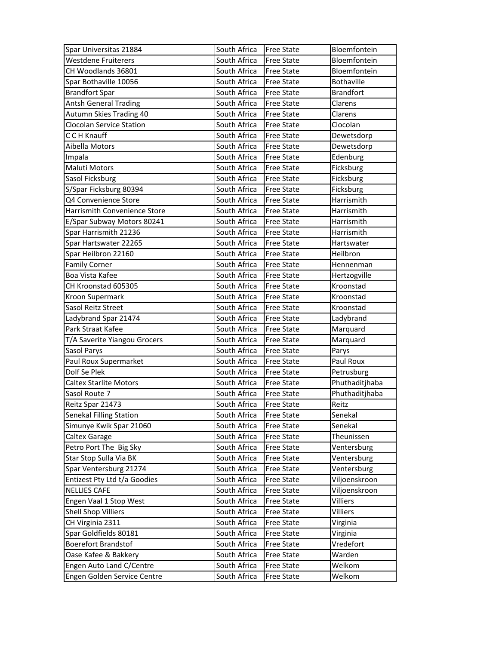| Spar Universitas 21884        | South Africa | <b>Free State</b> | Bloemfontein     |
|-------------------------------|--------------|-------------------|------------------|
| <b>Westdene Fruiterers</b>    | South Africa | <b>Free State</b> | Bloemfontein     |
| CH Woodlands 36801            | South Africa | <b>Free State</b> | Bloemfontein     |
| Spar Bothaville 10056         | South Africa | <b>Free State</b> | Bothaville       |
| <b>Brandfort Spar</b>         | South Africa | <b>Free State</b> | <b>Brandfort</b> |
| <b>Antsh General Trading</b>  | South Africa | <b>Free State</b> | Clarens          |
| Autumn Skies Trading 40       | South Africa | <b>Free State</b> | Clarens          |
| Clocolan Service Station      | South Africa | <b>Free State</b> | Clocolan         |
| C C H Knauff                  | South Africa | Free State        | Dewetsdorp       |
| Aibella Motors                | South Africa | <b>Free State</b> | Dewetsdorp       |
| Impala                        | South Africa | <b>Free State</b> | Edenburg         |
| <b>Maluti Motors</b>          | South Africa | <b>Free State</b> | Ficksburg        |
| Sasol Ficksburg               | South Africa | Free State        | Ficksburg        |
| S/Spar Ficksburg 80394        | South Africa | Free State        | Ficksburg        |
| Q4 Convenience Store          | South Africa | <b>Free State</b> | Harrismith       |
| Harrismith Convenience Store  | South Africa | <b>Free State</b> | Harrismith       |
| E/Spar Subway Motors 80241    | South Africa | <b>Free State</b> | Harrismith       |
| Spar Harrismith 21236         | South Africa | <b>Free State</b> | Harrismith       |
| Spar Hartswater 22265         | South Africa | Free State        | Hartswater       |
| Spar Heilbron 22160           | South Africa | <b>Free State</b> | Heilbron         |
| <b>Family Corner</b>          | South Africa | <b>Free State</b> | Hennenman        |
| Boa Vista Kafee               | South Africa | <b>Free State</b> | Hertzogville     |
| CH Kroonstad 605305           | South Africa | <b>Free State</b> | Kroonstad        |
| Kroon Supermark               | South Africa | Free State        | Kroonstad        |
| Sasol Reitz Street            | South Africa | <b>Free State</b> | Kroonstad        |
|                               |              |                   |                  |
| Ladybrand Spar 21474          | South Africa | <b>Free State</b> | Ladybrand        |
| Park Straat Kafee             | South Africa | <b>Free State</b> | Marquard         |
| T/A Saverite Yiangou Grocers  | South Africa | <b>Free State</b> | Marquard         |
| Sasol Parys                   | South Africa | Free State        | Parys            |
| Paul Roux Supermarket         | South Africa | <b>Free State</b> | Paul Roux        |
| Dolf Se Plek                  | South Africa | <b>Free State</b> | Petrusburg       |
| <b>Caltex Starlite Motors</b> | South Africa | <b>Free State</b> | Phuthaditjhaba   |
| Sasol Route 7                 | South Africa | Free State        | Phuthaditjhaba   |
| Reitz Spar 21473              | South Africa | <b>Free State</b> | Reitz            |
| Senekal Filling Station       | South Africa | <b>Free State</b> | Senekal          |
| Simunye Kwik Spar 21060       | South Africa | <b>Free State</b> | Senekal          |
| Caltex Garage                 | South Africa | <b>Free State</b> | Theunissen       |
| Petro Port The Big Sky        | South Africa | Free State        | Ventersburg      |
| Star Stop Sulla Via BK        | South Africa | Free State        | Ventersburg      |
| Spar Ventersburg 21274        | South Africa | <b>Free State</b> | Ventersburg      |
| Entizest Pty Ltd t/a Goodies  | South Africa | <b>Free State</b> | Viljoenskroon    |
| <b>NELLIES CAFE</b>           | South Africa | Free State        | Viljoenskroon    |
| Engen Vaal 1 Stop West        | South Africa | <b>Free State</b> | Villiers         |
| <b>Shell Shop Villiers</b>    | South Africa | Free State        | Villiers         |
| CH Virginia 2311              | South Africa | <b>Free State</b> | Virginia         |
| Spar Goldfields 80181         | South Africa | <b>Free State</b> | Virginia         |
| <b>Boerefort Brandstof</b>    | South Africa | <b>Free State</b> | Vredefort        |
| Oase Kafee & Bakkery          | South Africa | Free State        | Warden           |
| Engen Auto Land C/Centre      | South Africa | Free State        | Welkom           |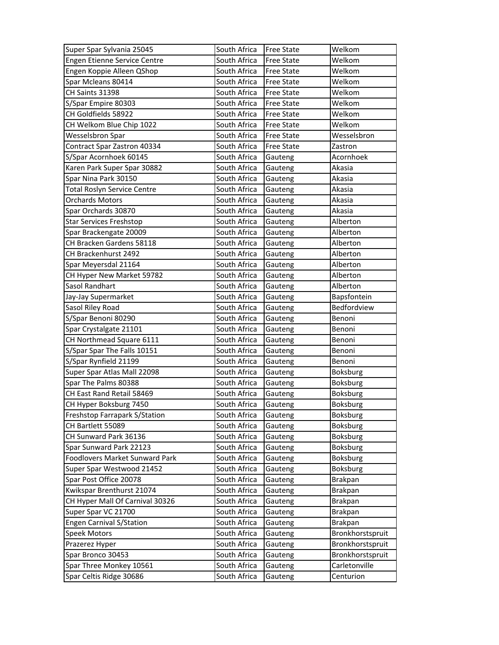| Super Spar Sylvania 25045          | South Africa | <b>Free State</b> | Welkom           |
|------------------------------------|--------------|-------------------|------------------|
| Engen Etienne Service Centre       | South Africa | <b>Free State</b> | Welkom           |
| Engen Koppie Alleen QShop          | South Africa | <b>Free State</b> | Welkom           |
| Spar Mcleans 80414                 | South Africa | <b>Free State</b> | Welkom           |
| CH Saints 31398                    | South Africa | <b>Free State</b> | Welkom           |
| S/Spar Empire 80303                | South Africa | <b>Free State</b> | Welkom           |
| CH Goldfields 58922                | South Africa | <b>Free State</b> | Welkom           |
| CH Welkom Blue Chip 1022           | South Africa | <b>Free State</b> | Welkom           |
| Wesselsbron Spar                   | South Africa | <b>Free State</b> | Wesselsbron      |
| Contract Spar Zastron 40334        | South Africa | <b>Free State</b> | Zastron          |
| S/Spar Acornhoek 60145             | South Africa | Gauteng           | Acornhoek        |
| Karen Park Super Spar 30882        | South Africa | Gauteng           | Akasia           |
| Spar Nina Park 30150               | South Africa | Gauteng           | Akasia           |
| <b>Total Roslyn Service Centre</b> | South Africa | Gauteng           | Akasia           |
| <b>Orchards Motors</b>             | South Africa | Gauteng           | Akasia           |
| Spar Orchards 30870                | South Africa | Gauteng           | Akasia           |
| <b>Star Services Freshstop</b>     | South Africa | Gauteng           | Alberton         |
| Spar Brackengate 20009             | South Africa | Gauteng           | Alberton         |
| CH Bracken Gardens 58118           | South Africa | Gauteng           | Alberton         |
| CH Brackenhurst 2492               | South Africa | Gauteng           | Alberton         |
| Spar Meyersdal 21164               | South Africa | Gauteng           | Alberton         |
| CH Hyper New Market 59782          | South Africa | Gauteng           | Alberton         |
| Sasol Randhart                     | South Africa | Gauteng           | Alberton         |
| Jay-Jay Supermarket                | South Africa | Gauteng           | Bapsfontein      |
| Sasol Riley Road                   | South Africa | Gauteng           | Bedfordview      |
| S/Spar Benoni 80290                | South Africa | Gauteng           | Benoni           |
| Spar Crystalgate 21101             | South Africa | Gauteng           | Benoni           |
| CH Northmead Square 6111           | South Africa | Gauteng           | Benoni           |
| S/Spar Spar The Falls 10151        | South Africa | Gauteng           | Benoni           |
| S/Spar Rynfield 21199              | South Africa | Gauteng           | Benoni           |
| Super Spar Atlas Mall 22098        | South Africa | Gauteng           | Boksburg         |
| Spar The Palms 80388               | South Africa | Gauteng           | <b>Boksburg</b>  |
| CH East Rand Retail 58469          | South Africa | Gauteng           | <b>Boksburg</b>  |
| CH Hyper Boksburg 7450             | South Africa | Gauteng           | <b>Boksburg</b>  |
| Freshstop Farrapark S/Station      | South Africa | Gauteng           | <b>Boksburg</b>  |
| CH Bartlett 55089                  | South Africa | Gauteng           | Boksburg         |
| CH Sunward Park 36136              | South Africa | Gauteng           | <b>Boksburg</b>  |
| Spar Sunward Park 22123            | South Africa | Gauteng           | <b>Boksburg</b>  |
| Foodlovers Market Sunward Park     | South Africa | Gauteng           | <b>Boksburg</b>  |
| Super Spar Westwood 21452          | South Africa | Gauteng           | <b>Boksburg</b>  |
| Spar Post Office 20078             | South Africa | Gauteng           | Brakpan          |
| Kwikspar Brenthurst 21074          | South Africa | Gauteng           | Brakpan          |
| CH Hyper Mall Of Carnival 30326    | South Africa | Gauteng           | Brakpan          |
| Super Spar VC 21700                | South Africa | Gauteng           | Brakpan          |
| <b>Engen Carnival S/Station</b>    | South Africa | Gauteng           | Brakpan          |
| Speek Motors                       | South Africa | Gauteng           | Bronkhorstspruit |
| Prazerez Hyper                     | South Africa | Gauteng           | Bronkhorstspruit |
| Spar Bronco 30453                  | South Africa | Gauteng           | Bronkhorstspruit |
| Spar Three Monkey 10561            | South Africa | Gauteng           | Carletonville    |
| Spar Celtis Ridge 30686            | South Africa | Gauteng           | Centurion        |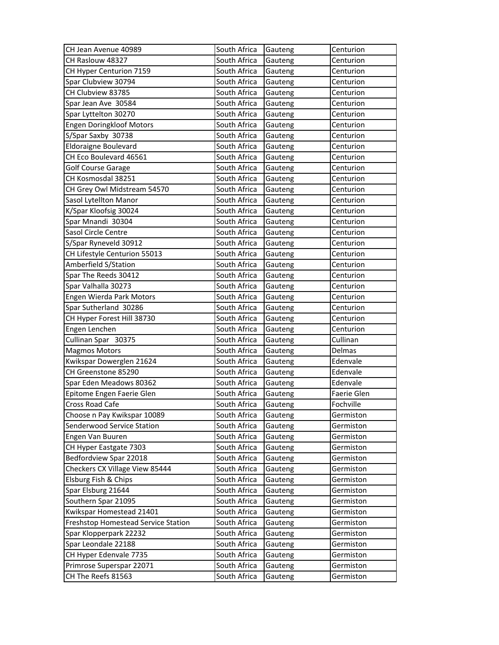| CH Jean Avenue 40989                | South Africa | Gauteng | Centurion   |
|-------------------------------------|--------------|---------|-------------|
| CH Raslouw 48327                    | South Africa | Gauteng | Centurion   |
| CH Hyper Centurion 7159             | South Africa | Gauteng | Centurion   |
| Spar Clubview 30794                 | South Africa | Gauteng | Centurion   |
| CH Clubview 83785                   | South Africa | Gauteng | Centurion   |
| Spar Jean Ave 30584                 | South Africa | Gauteng | Centurion   |
| Spar Lyttelton 30270                | South Africa | Gauteng | Centurion   |
| <b>Engen Doringkloof Motors</b>     | South Africa | Gauteng | Centurion   |
| S/Spar Saxby 30738                  | South Africa | Gauteng | Centurion   |
| <b>Eldoraigne Boulevard</b>         | South Africa | Gauteng | Centurion   |
| CH Eco Boulevard 46561              | South Africa | Gauteng | Centurion   |
| <b>Golf Course Garage</b>           | South Africa | Gauteng | Centurion   |
| CH Kosmosdal 38251                  | South Africa | Gauteng | Centurion   |
| CH Grey Owl Midstream 54570         | South Africa | Gauteng | Centurion   |
| Sasol Lytellton Manor               | South Africa | Gauteng | Centurion   |
| K/Spar Kloofsig 30024               | South Africa | Gauteng | Centurion   |
| Spar Mnandi 30304                   | South Africa | Gauteng | Centurion   |
| Sasol Circle Centre                 | South Africa | Gauteng | Centurion   |
| S/Spar Ryneveld 30912               | South Africa | Gauteng | Centurion   |
| CH Lifestyle Centurion 55013        | South Africa | Gauteng | Centurion   |
| Amberfield S/Station                | South Africa | Gauteng | Centurion   |
| Spar The Reeds 30412                | South Africa | Gauteng | Centurion   |
| Spar Valhalla 30273                 | South Africa | Gauteng | Centurion   |
| Engen Wierda Park Motors            | South Africa | Gauteng | Centurion   |
| Spar Sutherland 30286               | South Africa | Gauteng | Centurion   |
| CH Hyper Forest Hill 38730          | South Africa | Gauteng | Centurion   |
| Engen Lenchen                       | South Africa | Gauteng | Centurion   |
| Cullinan Spar 30375                 | South Africa | Gauteng | Cullinan    |
| <b>Magmos Motors</b>                | South Africa | Gauteng | Delmas      |
| Kwikspar Dowerglen 21624            | South Africa | Gauteng | Edenvale    |
| CH Greenstone 85290                 | South Africa | Gauteng | Edenvale    |
| Spar Eden Meadows 80362             | South Africa | Gauteng | Edenvale    |
| Epitome Engen Faerie Glen           | South Africa | Gauteng | Faerie Glen |
| <b>Cross Road Cafe</b>              | South Africa | Gauteng | Fochville   |
| Choose n Pay Kwikspar 10089         | South Africa | Gauteng | Germiston   |
| Senderwood Service Station          | South Africa | Gauteng | Germiston   |
| Engen Van Buuren                    | South Africa | Gauteng | Germiston   |
| CH Hyper Eastgate 7303              | South Africa | Gauteng | Germiston   |
| Bedfordview Spar 22018              | South Africa | Gauteng | Germiston   |
| Checkers CX Village View 85444      | South Africa | Gauteng | Germiston   |
| Elsburg Fish & Chips                | South Africa | Gauteng | Germiston   |
| Spar Elsburg 21644                  | South Africa | Gauteng | Germiston   |
| Southern Spar 21095                 | South Africa | Gauteng | Germiston   |
| Kwikspar Homestead 21401            | South Africa | Gauteng | Germiston   |
| Freshstop Homestead Service Station | South Africa | Gauteng | Germiston   |
| Spar Klopperpark 22232              | South Africa | Gauteng | Germiston   |
| Spar Leondale 22188                 | South Africa | Gauteng | Germiston   |
| CH Hyper Edenvale 7735              | South Africa | Gauteng | Germiston   |
| Primrose Superspar 22071            | South Africa | Gauteng | Germiston   |
| CH The Reefs 81563                  | South Africa | Gauteng | Germiston   |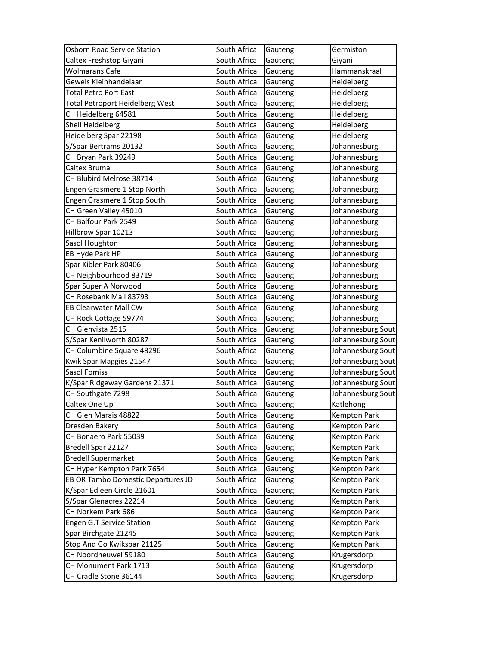| Osborn Road Service Station        | South Africa | Gauteng | Germiston           |
|------------------------------------|--------------|---------|---------------------|
| Caltex Freshstop Giyani            | South Africa | Gauteng | Giyani              |
| <b>Wolmarans Cafe</b>              | South Africa | Gauteng | Hammanskraal        |
| Gewels Kleinhandelaar              | South Africa | Gauteng | Heidelberg          |
| Total Petro Port East              | South Africa | Gauteng | Heidelberg          |
| Total Petroport Heidelberg West    | South Africa | Gauteng | Heidelberg          |
| CH Heidelberg 64581                | South Africa | Gauteng | Heidelberg          |
| Shell Heidelberg                   | South Africa | Gauteng | Heidelberg          |
| Heidelberg Spar 22198              | South Africa | Gauteng | Heidelberg          |
| S/Spar Bertrams 20132              | South Africa | Gauteng | Johannesburg        |
| CH Bryan Park 39249                | South Africa | Gauteng | Johannesburg        |
| Caltex Bruma                       | South Africa | Gauteng | Johannesburg        |
| CH Blubird Melrose 38714           | South Africa | Gauteng | Johannesburg        |
| Engen Grasmere 1 Stop North        | South Africa | Gauteng | Johannesburg        |
| Engen Grasmere 1 Stop South        | South Africa | Gauteng | Johannesburg        |
| CH Green Valley 45010              | South Africa | Gauteng | Johannesburg        |
| CH Balfour Park 2549               | South Africa | Gauteng | Johannesburg        |
| Hillbrow Spar 10213                | South Africa | Gauteng | Johannesburg        |
| Sasol Houghton                     | South Africa | Gauteng | Johannesburg        |
| EB Hyde Park HP                    | South Africa | Gauteng | Johannesburg        |
| Spar Kibler Park 80406             | South Africa | Gauteng | Johannesburg        |
| CH Neighbourhood 83719             | South Africa | Gauteng | Johannesburg        |
| Spar Super A Norwood               | South Africa | Gauteng | Johannesburg        |
| CH Rosebank Mall 83793             | South Africa | Gauteng | Johannesburg        |
| EB Clearwater Mall CW              | South Africa | Gauteng | Johannesburg        |
| CH Rock Cottage 59774              | South Africa | Gauteng | Johannesburg        |
| CH Glenvista 2515                  | South Africa | Gauteng | Johannesburg Sout   |
| S/Spar Kenilworth 80287            | South Africa | Gauteng | Johannesburg Sout   |
| CH Columbine Square 48296          | South Africa | Gauteng | Johannesburg Sout   |
| Kwik Spar Maggies 21547            | South Africa | Gauteng | Johannesburg Sout   |
| Sasol Fomiss                       | South Africa | Gauteng | Johannesburg Sout   |
| K/Spar Ridgeway Gardens 21371      | South Africa | Gauteng | Johannesburg Sout   |
| CH Southgate 7298                  | South Africa | Gauteng | Johannesburg Sout   |
| Caltex One Up                      | South Africa | Gauteng | Katlehong           |
| CH Glen Marais 48822               | South Africa | Gauteng | <b>Kempton Park</b> |
| Dresden Bakery                     | South Africa | Gauteng | Kempton Park        |
| CH Bonaero Park 55039              | South Africa | Gauteng | Kempton Park        |
| Bredell Spar 22127                 | South Africa | Gauteng | Kempton Park        |
| <b>Bredell Supermarket</b>         | South Africa | Gauteng | Kempton Park        |
| CH Hyper Kempton Park 7654         | South Africa | Gauteng | Kempton Park        |
| EB OR Tambo Domestic Departures JD | South Africa | Gauteng | <b>Kempton Park</b> |
| K/Spar Edleen Circle 21601         | South Africa | Gauteng | Kempton Park        |
| S/Spar Glenacres 22214             | South Africa | Gauteng | Kempton Park        |
| CH Norkem Park 686                 | South Africa | Gauteng | Kempton Park        |
| Engen G.T Service Station          | South Africa | Gauteng | Kempton Park        |
| Spar Birchgate 21245               | South Africa | Gauteng | Kempton Park        |
| Stop And Go Kwikspar 21125         | South Africa | Gauteng | Kempton Park        |
| CH Noordheuwel 59180               | South Africa | Gauteng | Krugersdorp         |
| CH Monument Park 1713              | South Africa | Gauteng | Krugersdorp         |
| CH Cradle Stone 36144              | South Africa | Gauteng | Krugersdorp         |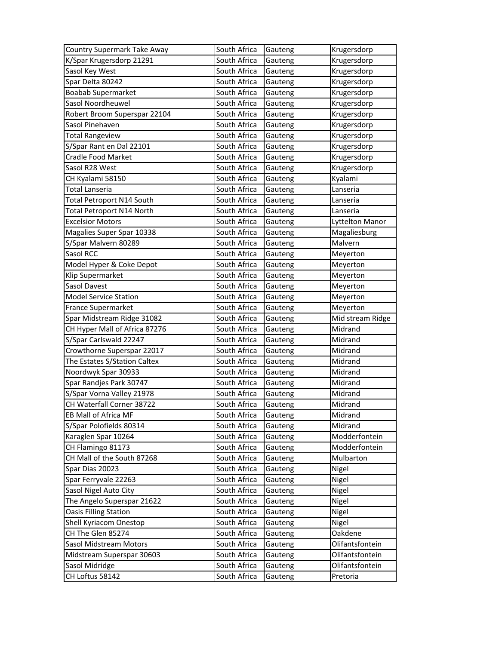| Country Supermark Take Away   | South Africa | Gauteng | Krugersdorp      |
|-------------------------------|--------------|---------|------------------|
| K/Spar Krugersdorp 21291      | South Africa | Gauteng | Krugersdorp      |
| Sasol Key West                | South Africa | Gauteng | Krugersdorp      |
| Spar Delta 80242              | South Africa | Gauteng | Krugersdorp      |
| <b>Boabab Supermarket</b>     | South Africa | Gauteng | Krugersdorp      |
| Sasol Noordheuwel             | South Africa | Gauteng | Krugersdorp      |
| Robert Broom Superspar 22104  | South Africa | Gauteng | Krugersdorp      |
| Sasol Pinehaven               | South Africa | Gauteng | Krugersdorp      |
| <b>Total Rangeview</b>        | South Africa | Gauteng | Krugersdorp      |
| S/Spar Rant en Dal 22101      | South Africa | Gauteng | Krugersdorp      |
| Cradle Food Market            | South Africa | Gauteng | Krugersdorp      |
| Sasol R28 West                | South Africa | Gauteng | Krugersdorp      |
| CH Kyalami 58150              | South Africa | Gauteng | Kyalami          |
| Total Lanseria                | South Africa | Gauteng | Lanseria         |
| Total Petroport N14 South     | South Africa | Gauteng | Lanseria         |
| Total Petroport N14 North     | South Africa | Gauteng | Lanseria         |
| <b>Excelsior Motors</b>       | South Africa | Gauteng | Lyttelton Manor  |
| Magalies Super Spar 10338     | South Africa | Gauteng | Magaliesburg     |
| S/Spar Malvern 80289          | South Africa | Gauteng | Malvern          |
| Sasol RCC                     | South Africa | Gauteng | Meyerton         |
| Model Hyper & Coke Depot      | South Africa | Gauteng | Meyerton         |
| Klip Supermarket              | South Africa | Gauteng | Meyerton         |
| Sasol Davest                  | South Africa | Gauteng | Meyerton         |
| <b>Model Service Station</b>  | South Africa | Gauteng | Meyerton         |
| France Supermarket            | South Africa | Gauteng | Meyerton         |
| Spar Midstream Ridge 31082    | South Africa | Gauteng | Mid stream Ridge |
| CH Hyper Mall of Africa 87276 | South Africa | Gauteng | Midrand          |
| S/Spar Carlswald 22247        | South Africa | Gauteng | Midrand          |
| Crowthorne Superspar 22017    | South Africa | Gauteng | Midrand          |
| The Estates S/Station Caltex  | South Africa | Gauteng | Midrand          |
| Noordwyk Spar 30933           | South Africa | Gauteng | Midrand          |
| Spar Randjes Park 30747       | South Africa | Gauteng | Midrand          |
| S/Spar Vorna Valley 21978     | South Africa | Gauteng | Midrand          |
| CH Waterfall Corner 38722     | South Africa | Gauteng | Midrand          |
| EB Mall of Africa MF          | South Africa | Gauteng | Midrand          |
| S/Spar Polofields 80314       | South Africa | Gauteng | Midrand          |
| Karaglen Spar 10264           | South Africa | Gauteng | Modderfontein    |
| CH Flamingo 81173             | South Africa | Gauteng | Modderfontein    |
| CH Mall of the South 87268    | South Africa | Gauteng | Mulbarton        |
| Spar Dias 20023               | South Africa | Gauteng | Nigel            |
| Spar Ferryvale 22263          | South Africa | Gauteng | Nigel            |
| Sasol Nigel Auto City         | South Africa | Gauteng | Nigel            |
| The Angelo Superspar 21622    | South Africa | Gauteng | Nigel            |
| <b>Oasis Filling Station</b>  | South Africa | Gauteng | Nigel            |
| Shell Kyriacom Onestop        | South Africa | Gauteng | Nigel            |
| CH The Glen 85274             | South Africa | Gauteng | Oakdene          |
| Sasol Midstream Motors        | South Africa | Gauteng | Olifantsfontein  |
| Midstream Superspar 30603     | South Africa | Gauteng | Olifantsfontein  |
| Sasol Midridge                | South Africa | Gauteng | Olifantsfontein  |
| CH Loftus 58142               | South Africa |         | Pretoria         |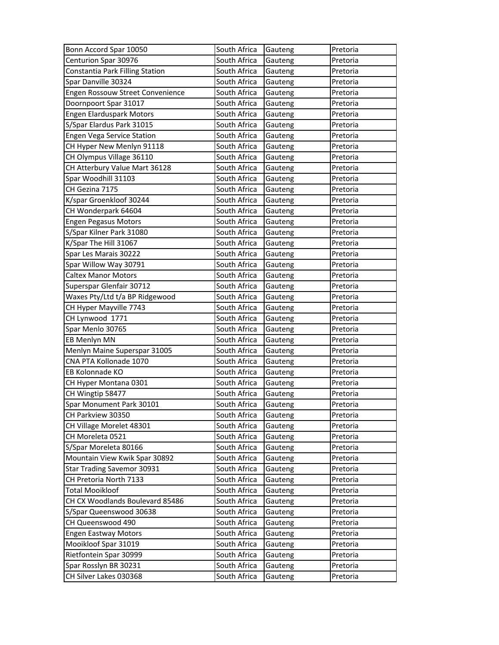| Bonn Accord Spar 10050            | South Africa | Gauteng | Pretoria |
|-----------------------------------|--------------|---------|----------|
| Centurion Spar 30976              | South Africa | Gauteng | Pretoria |
| Constantia Park Filling Station   | South Africa | Gauteng | Pretoria |
| Spar Danville 30324               | South Africa | Gauteng | Pretoria |
| Engen Rossouw Street Convenience  | South Africa | Gauteng | Pretoria |
| Doornpoort Spar 31017             | South Africa | Gauteng | Pretoria |
| <b>Engen Elarduspark Motors</b>   | South Africa | Gauteng | Pretoria |
| S/Spar Elardus Park 31015         | South Africa | Gauteng | Pretoria |
| Engen Vega Service Station        | South Africa | Gauteng | Pretoria |
| CH Hyper New Menlyn 91118         | South Africa | Gauteng | Pretoria |
| CH Olympus Village 36110          | South Africa | Gauteng | Pretoria |
| CH Atterbury Value Mart 36128     | South Africa | Gauteng | Pretoria |
| Spar Woodhill 31103               | South Africa | Gauteng | Pretoria |
| CH Gezina 7175                    | South Africa | Gauteng | Pretoria |
| K/spar Groenkloof 30244           | South Africa | Gauteng | Pretoria |
| CH Wonderpark 64604               | South Africa | Gauteng | Pretoria |
| <b>Engen Pegasus Motors</b>       | South Africa | Gauteng | Pretoria |
| S/Spar Kilner Park 31080          | South Africa | Gauteng | Pretoria |
| K/Spar The Hill 31067             | South Africa | Gauteng | Pretoria |
| Spar Les Marais 30222             | South Africa | Gauteng | Pretoria |
| Spar Willow Way 30791             | South Africa | Gauteng | Pretoria |
| <b>Caltex Manor Motors</b>        | South Africa | Gauteng | Pretoria |
| Superspar Glenfair 30712          | South Africa | Gauteng | Pretoria |
| Waxes Pty/Ltd t/a BP Ridgewood    | South Africa | Gauteng | Pretoria |
| CH Hyper Mayville 7743            | South Africa | Gauteng | Pretoria |
| CH Lynwood 1771                   | South Africa | Gauteng | Pretoria |
| Spar Menlo 30765                  | South Africa | Gauteng | Pretoria |
| EB Menlyn MN                      | South Africa | Gauteng | Pretoria |
| Menlyn Maine Superspar 31005      | South Africa | Gauteng | Pretoria |
| CNA PTA Kollonade 1070            | South Africa | Gauteng | Pretoria |
| EB Kolonnade KO                   | South Africa | Gauteng | Pretoria |
| CH Hyper Montana 0301             | South Africa | Gauteng | Pretoria |
| CH Wingtip 58477                  | South Africa | Gauteng | Pretoria |
| Spar Monument Park 30101          | South Africa | Gauteng | Pretoria |
| CH Parkview 30350                 | South Africa | Gauteng | Pretoria |
| CH Village Morelet 48301          | South Africa | Gauteng | Pretoria |
| CH Moreleta 0521                  | South Africa | Gauteng | Pretoria |
| S/Spar Moreleta 80166             | South Africa | Gauteng | Pretoria |
| Mountain View Kwik Spar 30892     | South Africa | Gauteng | Pretoria |
| <b>Star Trading Savemor 30931</b> | South Africa | Gauteng | Pretoria |
| CH Pretoria North 7133            | South Africa | Gauteng | Pretoria |
| <b>Total Mooikloof</b>            | South Africa | Gauteng | Pretoria |
| CH CX Woodlands Boulevard 85486   | South Africa | Gauteng | Pretoria |
| S/Spar Queenswood 30638           | South Africa | Gauteng | Pretoria |
| CH Queenswood 490                 | South Africa | Gauteng | Pretoria |
| <b>Engen Eastway Motors</b>       | South Africa | Gauteng | Pretoria |
| Mooikloof Spar 31019              | South Africa | Gauteng | Pretoria |
| Rietfontein Spar 30999            | South Africa | Gauteng | Pretoria |
| Spar Rosslyn BR 30231             | South Africa | Gauteng | Pretoria |
| CH Silver Lakes 030368            | South Africa | Gauteng | Pretoria |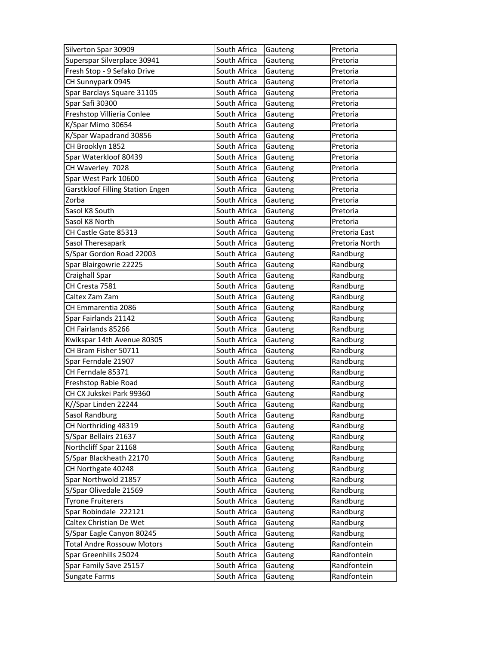| Silverton Spar 30909              | South Africa | Gauteng | Pretoria       |
|-----------------------------------|--------------|---------|----------------|
| Superspar Silverplace 30941       | South Africa | Gauteng | Pretoria       |
| Fresh Stop - 9 Sefako Drive       | South Africa | Gauteng | Pretoria       |
| CH Sunnypark 0945                 | South Africa | Gauteng | Pretoria       |
| Spar Barclays Square 31105        | South Africa | Gauteng | Pretoria       |
| Spar Safi 30300                   | South Africa | Gauteng | Pretoria       |
| Freshstop Villieria Conlee        | South Africa | Gauteng | Pretoria       |
| K/Spar Mimo 30654                 | South Africa | Gauteng | Pretoria       |
| K/Spar Wapadrand 30856            | South Africa | Gauteng | Pretoria       |
| CH Brooklyn 1852                  | South Africa | Gauteng | Pretoria       |
| Spar Waterkloof 80439             | South Africa | Gauteng | Pretoria       |
| CH Waverley 7028                  | South Africa | Gauteng | Pretoria       |
| Spar West Park 10600              | South Africa | Gauteng | Pretoria       |
| Garstkloof Filling Station Engen  | South Africa | Gauteng | Pretoria       |
| Zorba                             | South Africa | Gauteng | Pretoria       |
| Sasol K8 South                    | South Africa | Gauteng | Pretoria       |
| Sasol K8 North                    | South Africa | Gauteng | Pretoria       |
| CH Castle Gate 85313              | South Africa | Gauteng | Pretoria East  |
| Sasol Theresapark                 | South Africa | Gauteng | Pretoria North |
| S/Spar Gordon Road 22003          | South Africa | Gauteng | Randburg       |
| Spar Blairgowrie 22225            | South Africa | Gauteng | Randburg       |
| Craighall Spar                    | South Africa | Gauteng | Randburg       |
| CH Cresta 7581                    | South Africa | Gauteng | Randburg       |
| Caltex Zam Zam                    | South Africa | Gauteng | Randburg       |
| CH Emmarentia 2086                | South Africa | Gauteng | Randburg       |
| Spar Fairlands 21142              | South Africa | Gauteng | Randburg       |
| CH Fairlands 85266                | South Africa | Gauteng | Randburg       |
| Kwikspar 14th Avenue 80305        | South Africa | Gauteng | Randburg       |
| CH Bram Fisher 50711              | South Africa | Gauteng | Randburg       |
| Spar Ferndale 21907               | South Africa | Gauteng | Randburg       |
| CH Ferndale 85371                 | South Africa | Gauteng | Randburg       |
| Freshstop Rabie Road              | South Africa | Gauteng | Randburg       |
| CH CX Jukskei Park 99360          | South Africa | Gauteng | Randburg       |
| K//Spar Linden 22244              | South Africa | Gauteng | Randburg       |
| Sasol Randburg                    | South Africa | Gauteng | Randburg       |
| CH Northriding 48319              | South Africa | Gauteng | Randburg       |
| S/Spar Bellairs 21637             | South Africa | Gauteng | Randburg       |
| Northcliff Spar 21168             | South Africa | Gauteng | Randburg       |
| S/Spar Blackheath 22170           | South Africa | Gauteng | Randburg       |
| CH Northgate 40248                | South Africa | Gauteng | Randburg       |
| Spar Northwold 21857              | South Africa | Gauteng | Randburg       |
| S/Spar Olivedale 21569            | South Africa | Gauteng | Randburg       |
| <b>Tyrone Fruiterers</b>          | South Africa | Gauteng | Randburg       |
| Spar Robindale 222121             | South Africa | Gauteng | Randburg       |
| Caltex Christian De Wet           | South Africa | Gauteng | Randburg       |
| S/Spar Eagle Canyon 80245         | South Africa | Gauteng | Randburg       |
| <b>Total Andre Rossouw Motors</b> | South Africa | Gauteng | Randfontein    |
| Spar Greenhills 25024             | South Africa | Gauteng | Randfontein    |
| Spar Family Save 25157            | South Africa | Gauteng | Randfontein    |
| Sungate Farms                     | South Africa | Gauteng | Randfontein    |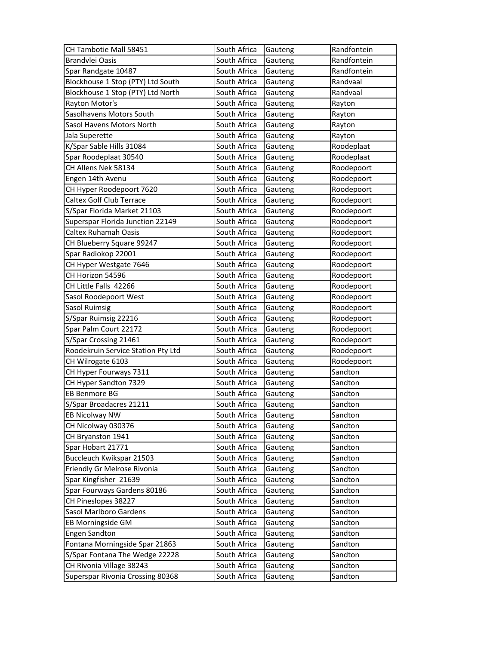| CH Tambotie Mall 58451             | South Africa | Gauteng | Randfontein |
|------------------------------------|--------------|---------|-------------|
| Brandvlei Oasis                    | South Africa | Gauteng | Randfontein |
| Spar Randgate 10487                | South Africa | Gauteng | Randfontein |
| Blockhouse 1 Stop (PTY) Ltd South  | South Africa | Gauteng | Randvaal    |
| Blockhouse 1 Stop (PTY) Ltd North  | South Africa | Gauteng | Randvaal    |
| Rayton Motor's                     | South Africa | Gauteng | Rayton      |
| Sasolhavens Motors South           | South Africa | Gauteng | Rayton      |
| Sasol Havens Motors North          | South Africa | Gauteng | Rayton      |
| Jala Superette                     | South Africa | Gauteng | Rayton      |
| K/Spar Sable Hills 31084           | South Africa | Gauteng | Roodeplaat  |
| Spar Roodeplaat 30540              | South Africa | Gauteng | Roodeplaat  |
| CH Allens Nek 58134                | South Africa | Gauteng | Roodepoort  |
| Engen 14th Avenu                   | South Africa | Gauteng | Roodepoort  |
| CH Hyper Roodepoort 7620           | South Africa | Gauteng | Roodepoort  |
| <b>Caltex Golf Club Terrace</b>    | South Africa | Gauteng | Roodepoort  |
| S/Spar Florida Market 21103        | South Africa | Gauteng | Roodepoort  |
| Superspar Florida Junction 22149   | South Africa | Gauteng | Roodepoort  |
| <b>Caltex Ruhamah Oasis</b>        | South Africa | Gauteng | Roodepoort  |
| CH Blueberry Square 99247          | South Africa | Gauteng | Roodepoort  |
| Spar Radiokop 22001                | South Africa | Gauteng | Roodepoort  |
| CH Hyper Westgate 7646             | South Africa | Gauteng | Roodepoort  |
| CH Horizon 54596                   | South Africa | Gauteng | Roodepoort  |
| CH Little Falls 42266              | South Africa | Gauteng | Roodepoort  |
| Sasol Roodepoort West              | South Africa | Gauteng | Roodepoort  |
| Sasol Ruimsig                      | South Africa | Gauteng | Roodepoort  |
| S/Spar Ruimsig 22216               | South Africa | Gauteng | Roodepoort  |
| Spar Palm Court 22172              | South Africa | Gauteng | Roodepoort  |
| S/Spar Crossing 21461              | South Africa | Gauteng | Roodepoort  |
| Roodekruin Service Station Pty Ltd | South Africa | Gauteng | Roodepoort  |
| CH Wilrogate 6103                  | South Africa | Gauteng | Roodepoort  |
| CH Hyper Fourways 7311             | South Africa | Gauteng | Sandton     |
| CH Hyper Sandton 7329              | South Africa | Gauteng | Sandton     |
| EB Benmore BG                      | South Africa | Gauteng | Sandton     |
| S/Spar Broadacres 21211            | South Africa | Gauteng | Sandton     |
| EB Nicolway NW                     | South Africa | Gauteng | Sandton     |
| CH Nicolway 030376                 | South Africa | Gauteng | Sandton     |
| CH Bryanston 1941                  | South Africa | Gauteng | Sandton     |
| Spar Hobart 21771                  | South Africa | Gauteng | Sandton     |
| Buccleuch Kwikspar 21503           | South Africa | Gauteng | Sandton     |
| Friendly Gr Melrose Rivonia        | South Africa | Gauteng | Sandton     |
| Spar Kingfisher 21639              | South Africa | Gauteng | Sandton     |
| Spar Fourways Gardens 80186        | South Africa | Gauteng | Sandton     |
| CH Pineslopes 38227                | South Africa | Gauteng | Sandton     |
| Sasol Marlboro Gardens             | South Africa | Gauteng | Sandton     |
| EB Morningside GM                  | South Africa | Gauteng | Sandton     |
| <b>Engen Sandton</b>               | South Africa | Gauteng | Sandton     |
| Fontana Morningside Spar 21863     | South Africa | Gauteng | Sandton     |
| S/Spar Fontana The Wedge 22228     | South Africa | Gauteng | Sandton     |
| CH Rivonia Village 38243           | South Africa | Gauteng | Sandton     |
| Superspar Rivonia Crossing 80368   | South Africa | Gauteng | Sandton     |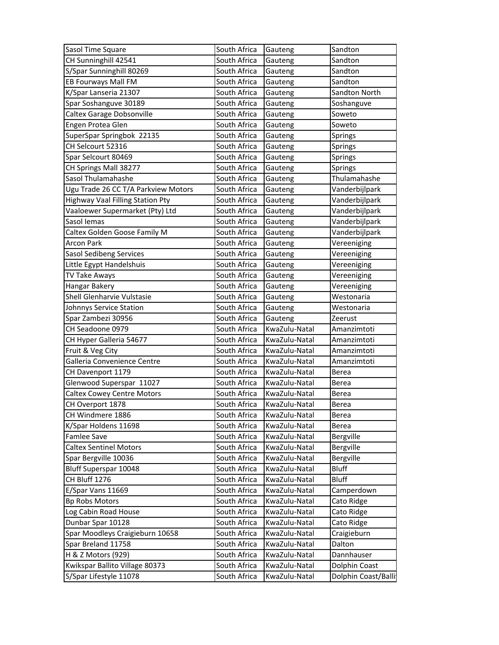| Sasol Time Square                                        | South Africa | Gauteng       | Sandton        |
|----------------------------------------------------------|--------------|---------------|----------------|
| CH Sunninghill 42541                                     | South Africa | Gauteng       | Sandton        |
| S/Spar Sunninghill 80269                                 | South Africa | Gauteng       | Sandton        |
| EB Fourways Mall FM                                      | South Africa | Gauteng       | Sandton        |
| K/Spar Lanseria 21307                                    | South Africa | Gauteng       | Sandton North  |
| Spar Soshanguve 30189                                    | South Africa | Gauteng       | Soshanguve     |
| Caltex Garage Dobsonville                                | South Africa | Gauteng       | Soweto         |
| Engen Protea Glen                                        | South Africa | Gauteng       | Soweto         |
| SuperSpar Springbok 22135                                | South Africa | Gauteng       | Springs        |
| CH Selcourt 52316                                        | South Africa | Gauteng       | <b>Springs</b> |
| Spar Selcourt 80469                                      | South Africa | Gauteng       | Springs        |
| CH Springs Mall 38277                                    | South Africa | Gauteng       | Springs        |
| Sasol Thulamahashe                                       | South Africa | Gauteng       | Thulamahashe   |
| Ugu Trade 26 CC T/A Parkview Motors                      | South Africa | Gauteng       | Vanderbijlpark |
| Highway Vaal Filling Station Pty                         | South Africa | Gauteng       | Vanderbijlpark |
| Vaaloewer Supermarket (Pty) Ltd                          | South Africa | Gauteng       | Vanderbijlpark |
| Sasol Iemas                                              | South Africa | Gauteng       | Vanderbijlpark |
| Caltex Golden Goose Family M                             | South Africa | Gauteng       | Vanderbijlpark |
| <b>Arcon Park</b>                                        | South Africa | Gauteng       | Vereeniging    |
| <b>Sasol Sedibeng Services</b>                           | South Africa | Gauteng       | Vereeniging    |
| Little Egypt Handelshuis                                 | South Africa | Gauteng       | Vereeniging    |
| TV Take Aways                                            | South Africa | Gauteng       | Vereeniging    |
| Hangar Bakery                                            | South Africa | Gauteng       | Vereeniging    |
| Shell Glenharvie Vulstasie                               | South Africa | Gauteng       | Westonaria     |
| Johnnys Service Station                                  | South Africa | Gauteng       | Westonaria     |
|                                                          |              |               |                |
| Spar Zambezi 30956                                       | South Africa | Gauteng       | Zeerust        |
| CH Seadoone 0979                                         | South Africa | KwaZulu-Natal | Amanzimtoti    |
| CH Hyper Galleria 54677                                  | South Africa | KwaZulu-Natal | Amanzimtoti    |
| Fruit & Veg City                                         | South Africa | KwaZulu-Natal | Amanzimtoti    |
| Galleria Convenience Centre                              | South Africa | KwaZulu-Natal | Amanzimtoti    |
| CH Davenport 1179                                        | South Africa | KwaZulu-Natal | Berea          |
| Glenwood Superspar 11027                                 | South Africa | KwaZulu-Natal | <b>Berea</b>   |
| Caltex Cowey Centre Motors                               | South Africa | KwaZulu-Natal | Berea          |
| CH Overport 1878                                         | South Africa | KwaZulu-Natal | Berea          |
| CH Windmere 1886                                         | South Africa | KwaZulu-Natal | Berea          |
| K/Spar Holdens 11698                                     | South Africa | KwaZulu-Natal | Berea          |
| Famlee Save                                              | South Africa | KwaZulu-Natal | Bergville      |
| <b>Caltex Sentinel Motors</b>                            | South Africa | KwaZulu-Natal | Bergville      |
| Spar Bergville 10036                                     | South Africa | KwaZulu-Natal | Bergville      |
| Bluff Superspar 10048                                    | South Africa | KwaZulu-Natal | <b>Bluff</b>   |
| CH Bluff 1276                                            | South Africa | KwaZulu-Natal | <b>Bluff</b>   |
| E/Spar Vans 11669                                        | South Africa | KwaZulu-Natal | Camperdown     |
| <b>Bp Robs Motors</b>                                    | South Africa | KwaZulu-Natal | Cato Ridge     |
| Log Cabin Road House                                     | South Africa | KwaZulu-Natal | Cato Ridge     |
| Dunbar Spar 10128                                        | South Africa | KwaZulu-Natal | Cato Ridge     |
| Spar Moodleys Craigieburn 10658                          | South Africa | KwaZulu-Natal | Craigieburn    |
| Spar Breland 11758                                       | South Africa | KwaZulu-Natal | Dalton         |
| H & Z Motors (929)                                       | South Africa | KwaZulu-Natal | Dannhauser     |
| Kwikspar Ballito Village 80373<br>S/Spar Lifestyle 11078 | South Africa | KwaZulu-Natal | Dolphin Coast  |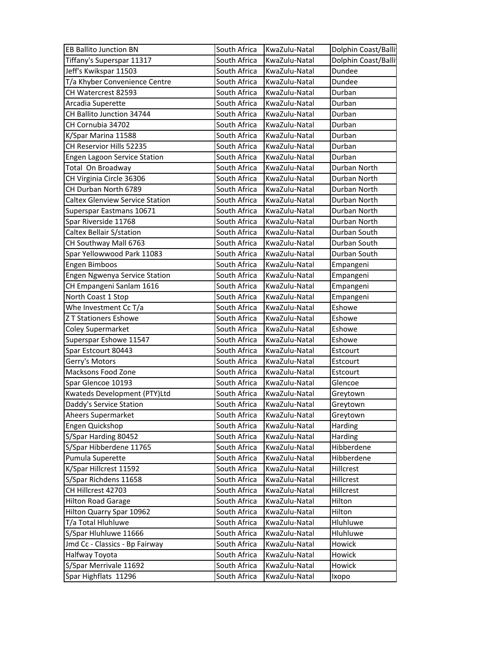| <b>EB Ballito Junction BN</b>                  | South Africa                 | KwaZulu-Natal                  | Dolphin Coast/Balli |
|------------------------------------------------|------------------------------|--------------------------------|---------------------|
| Tiffany's Superspar 11317                      | South Africa                 | KwaZulu-Natal                  | Dolphin Coast/Balli |
| Jeff's Kwikspar 11503                          | South Africa                 | KwaZulu-Natal                  | Dundee              |
| T/a Khyber Convenience Centre                  | South Africa                 | KwaZulu-Natal                  | Dundee              |
| CH Watercrest 82593                            | South Africa                 | KwaZulu-Natal                  | Durban              |
| Arcadia Superette                              | South Africa                 | KwaZulu-Natal                  | Durban              |
| CH Ballito Junction 34744                      | South Africa                 | KwaZulu-Natal                  | Durban              |
| CH Cornubia 34702                              | South Africa                 | KwaZulu-Natal                  | Durban              |
| K/Spar Marina 11588                            | South Africa                 | KwaZulu-Natal                  | Durban              |
| CH Reservior Hills 52235                       | South Africa                 | KwaZulu-Natal                  | Durban              |
| Engen Lagoon Service Station                   | South Africa                 | KwaZulu-Natal                  | Durban              |
| Total On Broadway                              | South Africa                 | KwaZulu-Natal                  | Durban North        |
| CH Virginia Circle 36306                       | South Africa                 | KwaZulu-Natal                  | Durban North        |
| CH Durban North 6789                           | South Africa                 | KwaZulu-Natal                  | Durban North        |
| <b>Caltex Glenview Service Station</b>         | South Africa                 | KwaZulu-Natal                  | Durban North        |
| Superspar Eastmans 10671                       | South Africa                 | KwaZulu-Natal                  | Durban North        |
| Spar Riverside 11768                           | South Africa                 | KwaZulu-Natal                  | Durban North        |
| Caltex Bellair S/station                       | South Africa                 | KwaZulu-Natal                  | Durban South        |
| CH Southway Mall 6763                          | South Africa                 | KwaZulu-Natal                  | Durban South        |
| Spar Yellowwood Park 11083                     | South Africa                 | KwaZulu-Natal                  | Durban South        |
| Engen Bimboos                                  | South Africa                 | KwaZulu-Natal                  | Empangeni           |
| Engen Ngwenya Service Station                  | South Africa                 | KwaZulu-Natal                  | Empangeni           |
| CH Empangeni Sanlam 1616                       | South Africa                 | KwaZulu-Natal                  | Empangeni           |
| North Coast 1 Stop                             | South Africa                 | KwaZulu-Natal                  | Empangeni           |
| Whe Investment Cc T/a                          | South Africa                 | KwaZulu-Natal                  | Eshowe              |
|                                                |                              |                                |                     |
| <b>Z T Stationers Eshowe</b>                   | South Africa                 | KwaZulu-Natal                  | Eshowe              |
| <b>Coley Supermarket</b>                       | South Africa                 | KwaZulu-Natal                  | Eshowe              |
| Superspar Eshowe 11547                         | South Africa                 | KwaZulu-Natal                  | Eshowe              |
| Spar Estcourt 80443                            | South Africa                 | KwaZulu-Natal                  | Estcourt            |
| Gerry's Motors                                 | South Africa                 | KwaZulu-Natal                  | Estcourt            |
| Macksons Food Zone                             | South Africa                 | KwaZulu-Natal                  | Estcourt            |
| Spar Glencoe 10193                             | South Africa                 | KwaZulu-Natal                  | Glencoe             |
| Kwateds Development (PTY)Ltd                   | South Africa                 | KwaZulu-Natal                  | Greytown            |
| Daddy's Service Station                        | South Africa                 | KwaZulu-Natal                  | Greytown            |
| Aheers Supermarket                             | South Africa                 | KwaZulu-Natal                  | Greytown            |
| Engen Quickshop                                | South Africa                 | KwaZulu-Natal                  | Harding             |
| S/Spar Harding 80452                           | South Africa                 | KwaZulu-Natal                  | Harding             |
| S/Spar Hibberdene 11765                        | South Africa                 | KwaZulu-Natal                  | Hibberdene          |
| Pumula Superette                               | South Africa                 | KwaZulu-Natal                  | Hibberdene          |
| K/Spar Hillcrest 11592                         | South Africa                 | KwaZulu-Natal                  | Hillcrest           |
| S/Spar Richdens 11658                          | South Africa                 | KwaZulu-Natal                  | Hillcrest           |
| CH Hillcrest 42703                             | South Africa                 | KwaZulu-Natal                  | Hillcrest           |
| <b>Hilton Road Garage</b>                      | South Africa                 | KwaZulu-Natal                  | Hilton              |
| Hilton Quarry Spar 10962                       | South Africa                 | KwaZulu-Natal                  | Hilton              |
| T/a Total Hluhluwe                             | South Africa                 | KwaZulu-Natal                  | Hluhluwe            |
| S/Spar Hluhluwe 11666                          | South Africa                 | KwaZulu-Natal                  | Hluhluwe            |
| Jmd Cc - Classics - Bp Fairway                 | South Africa                 | KwaZulu-Natal                  | Howick              |
| Halfway Toyota                                 | South Africa                 | KwaZulu-Natal                  | Howick              |
| S/Spar Merrivale 11692<br>Spar Highflats 11296 | South Africa<br>South Africa | KwaZulu-Natal<br>KwaZulu-Natal | Howick              |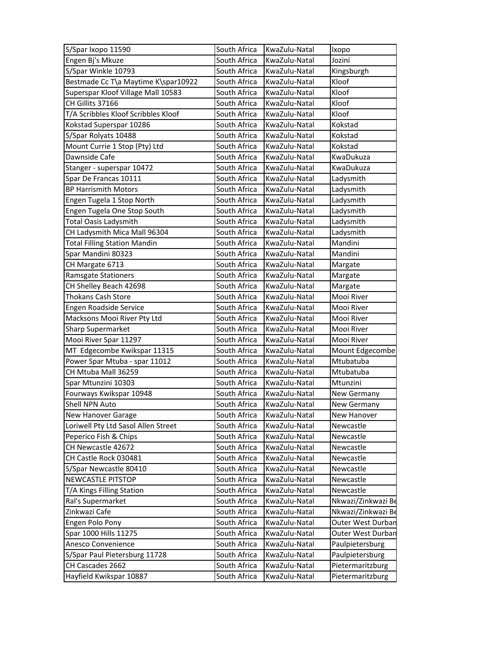| S/Spar Ixopo 11590                  | South Africa | KwaZulu-Natal | Ixopo              |
|-------------------------------------|--------------|---------------|--------------------|
| Engen Bj's Mkuze                    | South Africa | KwaZulu-Natal | Jozini             |
| S/Spar Winkle 10793                 | South Africa | KwaZulu-Natal | Kingsburgh         |
| Bestmade Cc T\a Maytime K\spar10922 | South Africa | KwaZulu-Natal | Kloof              |
| Superspar Kloof Village Mall 10583  | South Africa | KwaZulu-Natal | Kloof              |
| CH Gillits 37166                    | South Africa | KwaZulu-Natal | Kloof              |
| T/A Scribbles Kloof Scribbles Kloof | South Africa | KwaZulu-Natal | Kloof              |
| Kokstad Superspar 10286             | South Africa | KwaZulu-Natal | Kokstad            |
| S/Spar Rolyats 10488                | South Africa | KwaZulu-Natal | Kokstad            |
| Mount Currie 1 Stop (Pty) Ltd       | South Africa | KwaZulu-Natal | Kokstad            |
| Dawnside Cafe                       | South Africa | KwaZulu-Natal | KwaDukuza          |
| Stanger - superspar 10472           | South Africa | KwaZulu-Natal | KwaDukuza          |
| Spar De Francas 10111               | South Africa | KwaZulu-Natal | Ladysmith          |
| <b>BP Harrismith Motors</b>         | South Africa | KwaZulu-Natal | Ladysmith          |
| Engen Tugela 1 Stop North           | South Africa | KwaZulu-Natal | Ladysmith          |
| Engen Tugela One Stop South         | South Africa | KwaZulu-Natal | Ladysmith          |
| <b>Total Oasis Ladysmith</b>        | South Africa | KwaZulu-Natal | Ladysmith          |
| CH Ladysmith Mica Mall 96304        | South Africa | KwaZulu-Natal | Ladysmith          |
| <b>Total Filling Station Mandin</b> | South Africa | KwaZulu-Natal | Mandini            |
| Spar Mandini 80323                  | South Africa | KwaZulu-Natal | Mandini            |
| CH Margate 6713                     | South Africa | KwaZulu-Natal | Margate            |
| Ramsgate Stationers                 | South Africa | KwaZulu-Natal | Margate            |
| CH Shelley Beach 42698              | South Africa | KwaZulu-Natal | Margate            |
| <b>Thokans Cash Store</b>           | South Africa | KwaZulu-Natal | Mooi River         |
| Engen Roadside Service              | South Africa | KwaZulu-Natal | Mooi River         |
| Macksons Mooi River Pty Ltd         | South Africa | KwaZulu-Natal | Mooi River         |
| Sharp Supermarket                   | South Africa | KwaZulu-Natal | Mooi River         |
| Mooi River Spar 11297               | South Africa | KwaZulu-Natal | Mooi River         |
| MT Edgecombe Kwikspar 11315         | South Africa | KwaZulu-Natal | Mount Edgecombe    |
| Power Spar Mtuba - spar 11012       | South Africa | KwaZulu-Natal | Mtubatuba          |
| CH Mtuba Mall 36259                 | South Africa | KwaZulu-Natal | Mtubatuba          |
| Spar Mtunzini 10303                 | South Africa | KwaZulu-Natal | Mtunzini           |
| Fourways Kwikspar 10948             | South Africa | KwaZulu-Natal | New Germany        |
| Shell NPN Auto                      | South Africa | KwaZulu-Natal | New Germany        |
| New Hanover Garage                  | South Africa | KwaZulu-Natal | New Hanover        |
| Loriwell Pty Ltd Sasol Allen Street | South Africa | KwaZulu-Natal | Newcastle          |
| Peperico Fish & Chips               | South Africa | KwaZulu-Natal | Newcastle          |
| CH Newcastle 42672                  | South Africa | KwaZulu-Natal | Newcastle          |
| CH Castle Rock 030481               | South Africa | KwaZulu-Natal | Newcastle          |
| S/Spar Newcastle 80410              | South Africa | KwaZulu-Natal | Newcastle          |
| <b>NEWCASTLE PITSTOP</b>            | South Africa | KwaZulu-Natal | Newcastle          |
| T/A Kings Filling Station           | South Africa | KwaZulu-Natal | Newcastle          |
| Ral's Supermarket                   | South Africa | KwaZulu-Natal | Nkwazi/Zinkwazi Be |
| Zinkwazi Cafe                       | South Africa | KwaZulu-Natal | Nkwazi/Zinkwazi Be |
| Engen Polo Pony                     | South Africa | KwaZulu-Natal | Outer West Durbar  |
| Spar 1000 Hills 11275               | South Africa | KwaZulu-Natal | Outer West Durban  |
| Anesco Convenience                  | South Africa | KwaZulu-Natal | Paulpietersburg    |
| S/Spar Paul Pietersburg 11728       | South Africa | KwaZulu-Natal | Paulpietersburg    |
| CH Cascades 2662                    | South Africa | KwaZulu-Natal | Pietermaritzburg   |
| Hayfield Kwikspar 10887             | South Africa | KwaZulu-Natal | Pietermaritzburg   |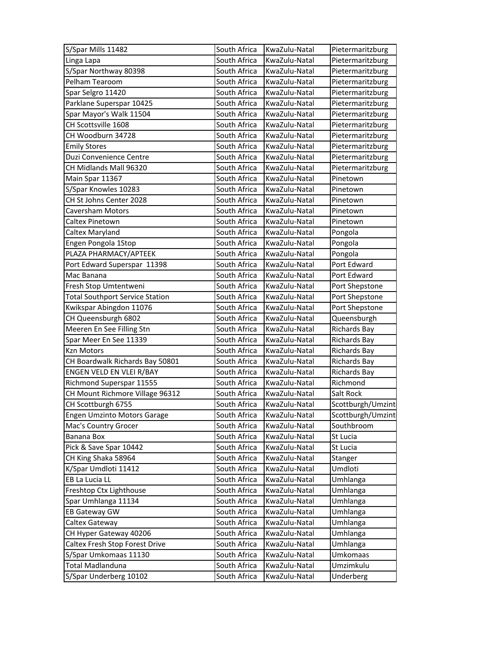| S/Spar Mills 11482                     | South Africa | KwaZulu-Natal | Pietermaritzburg    |
|----------------------------------------|--------------|---------------|---------------------|
| Linga Lapa                             | South Africa | KwaZulu-Natal | Pietermaritzburg    |
| S/Spar Northway 80398                  | South Africa | KwaZulu-Natal | Pietermaritzburg    |
| Pelham Tearoom                         | South Africa | KwaZulu-Natal | Pietermaritzburg    |
| Spar Selgro 11420                      | South Africa | KwaZulu-Natal | Pietermaritzburg    |
| Parklane Superspar 10425               | South Africa | KwaZulu-Natal | Pietermaritzburg    |
| Spar Mayor's Walk 11504                | South Africa | KwaZulu-Natal | Pietermaritzburg    |
| CH Scottsville 1608                    | South Africa | KwaZulu-Natal | Pietermaritzburg    |
| CH Woodburn 34728                      | South Africa | KwaZulu-Natal | Pietermaritzburg    |
| <b>Emily Stores</b>                    | South Africa | KwaZulu-Natal | Pietermaritzburg    |
| Duzi Convenience Centre                | South Africa | KwaZulu-Natal | Pietermaritzburg    |
| CH Midlands Mall 96320                 | South Africa | KwaZulu-Natal | Pietermaritzburg    |
| Main Spar 11367                        | South Africa | KwaZulu-Natal | Pinetown            |
| S/Spar Knowles 10283                   | South Africa | KwaZulu-Natal | Pinetown            |
| CH St Johns Center 2028                | South Africa | KwaZulu-Natal | Pinetown            |
| Caversham Motors                       | South Africa | KwaZulu-Natal | Pinetown            |
| Caltex Pinetown                        | South Africa | KwaZulu-Natal | Pinetown            |
| Caltex Maryland                        | South Africa | KwaZulu-Natal | Pongola             |
| Engen Pongola 1Stop                    | South Africa | KwaZulu-Natal | Pongola             |
| PLAZA PHARMACY/APTEEK                  | South Africa | KwaZulu-Natal | Pongola             |
| Port Edward Superspar 11398            | South Africa | KwaZulu-Natal | Port Edward         |
| Mac Banana                             | South Africa | KwaZulu-Natal | Port Edward         |
| Fresh Stop Umtentweni                  | South Africa | KwaZulu-Natal | Port Shepstone      |
| <b>Total Southport Service Station</b> | South Africa | KwaZulu-Natal | Port Shepstone      |
| Kwikspar Abingdon 11076                | South Africa | KwaZulu-Natal | Port Shepstone      |
| CH Queensburgh 6802                    | South Africa | KwaZulu-Natal | Queensburgh         |
| Meeren En See Filling Stn              | South Africa | KwaZulu-Natal | <b>Richards Bay</b> |
| Spar Meer En See 11339                 | South Africa | KwaZulu-Natal | <b>Richards Bay</b> |
| Kzn Motors                             | South Africa | KwaZulu-Natal | <b>Richards Bay</b> |
| CH Boardwalk Richards Bay 50801        | South Africa | KwaZulu-Natal | <b>Richards Bay</b> |
| ENGEN VELD EN VLEI R/BAY               | South Africa | KwaZulu-Natal | <b>Richards Bay</b> |
| Richmond Superspar 11555               | South Africa | KwaZulu-Natal | Richmond            |
| CH Mount Richmore Village 96312        | South Africa | KwaZulu-Natal | Salt Rock           |
| CH Scottburgh 6755                     | South Africa | KwaZulu-Natal | Scottburgh/Umzint   |
| Engen Umzinto Motors Garage            | South Africa | KwaZulu-Natal | Scottburgh/Umzint   |
| Mac's Country Grocer                   | South Africa | KwaZulu-Natal | Southbroom          |
| Banana Box                             | South Africa | KwaZulu-Natal | St Lucia            |
| Pick & Save Spar 10442                 | South Africa | KwaZulu-Natal | St Lucia            |
| CH King Shaka 58964                    | South Africa | KwaZulu-Natal | Stanger             |
| K/Spar Umdloti 11412                   | South Africa | KwaZulu-Natal | Umdloti             |
| EB La Lucia LL                         | South Africa | KwaZulu-Natal | Umhlanga            |
| Freshtop Ctx Lighthouse                | South Africa | KwaZulu-Natal | Umhlanga            |
| Spar Umhlanga 11134                    | South Africa | KwaZulu-Natal | Umhlanga            |
| EB Gateway GW                          | South Africa | KwaZulu-Natal | Umhlanga            |
| Caltex Gateway                         | South Africa | KwaZulu-Natal | Umhlanga            |
| CH Hyper Gateway 40206                 | South Africa | KwaZulu-Natal | Umhlanga            |
| Caltex Fresh Stop Forest Drive         | South Africa | KwaZulu-Natal | Umhlanga            |
| S/Spar Umkomaas 11130                  | South Africa | KwaZulu-Natal | Umkomaas            |
| Total Madlanduna                       | South Africa | KwaZulu-Natal | Umzimkulu           |
| S/Spar Underberg 10102                 | South Africa | KwaZulu-Natal | Underberg           |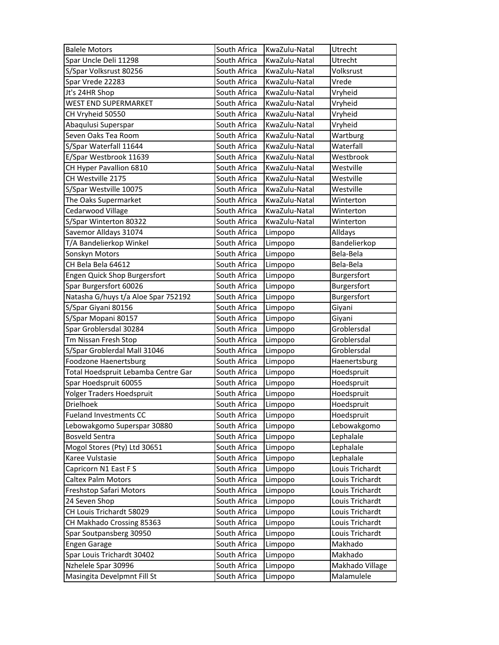| <b>Balele Motors</b>                               | South Africa                 | KwaZulu-Natal      | Utrecht                       |
|----------------------------------------------------|------------------------------|--------------------|-------------------------------|
| Spar Uncle Deli 11298                              | South Africa                 | KwaZulu-Natal      | Utrecht                       |
| S/Spar Volksrust 80256                             | South Africa                 | KwaZulu-Natal      | Volksrust                     |
| Spar Vrede 22283                                   | South Africa                 | KwaZulu-Natal      | Vrede                         |
| Jt's 24HR Shop                                     | South Africa                 | KwaZulu-Natal      | Vryheid                       |
| WEST END SUPERMARKET                               | South Africa                 | KwaZulu-Natal      | Vryheid                       |
| CH Vryheid 50550                                   | South Africa                 | KwaZulu-Natal      | Vryheid                       |
| Abaqulusi Superspar                                | South Africa                 | KwaZulu-Natal      | Vryheid                       |
| Seven Oaks Tea Room                                | South Africa                 | KwaZulu-Natal      | Wartburg                      |
| S/Spar Waterfall 11644                             | South Africa                 | KwaZulu-Natal      | Waterfall                     |
| E/Spar Westbrook 11639                             | South Africa                 | KwaZulu-Natal      | Westbrook                     |
| CH Hyper Pavallion 6810                            | South Africa                 | KwaZulu-Natal      | Westville                     |
| CH Westville 2175                                  | South Africa                 | KwaZulu-Natal      | Westville                     |
| S/Spar Westville 10075                             | South Africa                 | KwaZulu-Natal      | Westville                     |
| The Oaks Supermarket                               | South Africa                 | KwaZulu-Natal      | Winterton                     |
| Cedarwood Village                                  | South Africa                 | KwaZulu-Natal      | Winterton                     |
| S/Spar Winterton 80322                             | South Africa                 | KwaZulu-Natal      | Winterton                     |
| Savemor Alldays 31074                              | South Africa                 | Limpopo            | Alldays                       |
| T/A Bandelierkop Winkel                            | South Africa                 | Limpopo            | Bandelierkop                  |
| Sonskyn Motors                                     | South Africa                 | Limpopo            | Bela-Bela                     |
| CH Bela Bela 64612                                 | South Africa                 | Limpopo            | Bela-Bela                     |
| Engen Quick Shop Burgersfort                       | South Africa                 | Limpopo            | Burgersfort                   |
| Spar Burgersfort 60026                             | South Africa                 | Limpopo            | Burgersfort                   |
| Natasha G/huys t/a Aloe Spar 752192                | South Africa                 | Limpopo            | Burgersfort                   |
| S/Spar Giyani 80156                                | South Africa                 | Limpopo            | Giyani                        |
|                                                    |                              |                    |                               |
| S/Spar Mopani 80157                                | South Africa                 | Limpopo            | Giyani                        |
| Spar Groblersdal 30284                             | South Africa                 | Limpopo            | Groblersdal                   |
| Tm Nissan Fresh Stop                               | South Africa                 | Limpopo            | Groblersdal                   |
| S/Spar Groblerdal Mall 31046                       | South Africa                 | Limpopo            | Groblersdal                   |
| <b>Foodzone Haenertsburg</b>                       | South Africa                 | Limpopo            | Haenertsburg                  |
| Total Hoedspruit Lebamba Centre Gar                | South Africa                 | Limpopo            | Hoedspruit                    |
| Spar Hoedspruit 60055                              | South Africa                 | Limpopo            | Hoedspruit                    |
| Yolger Traders Hoedspruit                          | South Africa                 | Limpopo            | Hoedspruit                    |
| Drielhoek                                          | South Africa                 | Limpopo            | Hoedspruit                    |
| <b>Fueland Investments CC</b>                      | South Africa                 | Limpopo            | Hoedspruit                    |
| Lebowakgomo Superspar 30880                        | South Africa                 | Limpopo            | Lebowakgomo                   |
| <b>Bosveld Sentra</b>                              | South Africa                 | Limpopo            | Lephalale                     |
| Mogol Stores (Pty) Ltd 30651                       | South Africa                 | Limpopo            | Lephalale                     |
| Karee Vulstasie                                    | South Africa                 | Limpopo            | Lephalale                     |
| Capricorn N1 East FS                               | South Africa                 | Limpopo            | Louis Trichardt               |
| <b>Caltex Palm Motors</b>                          | South Africa                 | Limpopo            | Louis Trichardt               |
| Freshstop Safari Motors                            | South Africa                 | Limpopo            | Louis Trichardt               |
| 24 Seven Shop                                      | South Africa                 | Limpopo            | Louis Trichardt               |
| CH Louis Trichardt 58029                           | South Africa                 | Limpopo            | Louis Trichardt               |
| CH Makhado Crossing 85363                          | South Africa                 | Limpopo            | Louis Trichardt               |
| Spar Soutpansberg 30950                            | South Africa                 | Limpopo            | Louis Trichardt               |
| <b>Engen Garage</b>                                | South Africa                 | Limpopo            | Makhado                       |
| Spar Louis Trichardt 30402                         | South Africa                 | Limpopo            | Makhado                       |
| Nzhelele Spar 30996<br>Masingita Develpmnt Fill St | South Africa<br>South Africa | Limpopo<br>Limpopo | Makhado Village<br>Malamulele |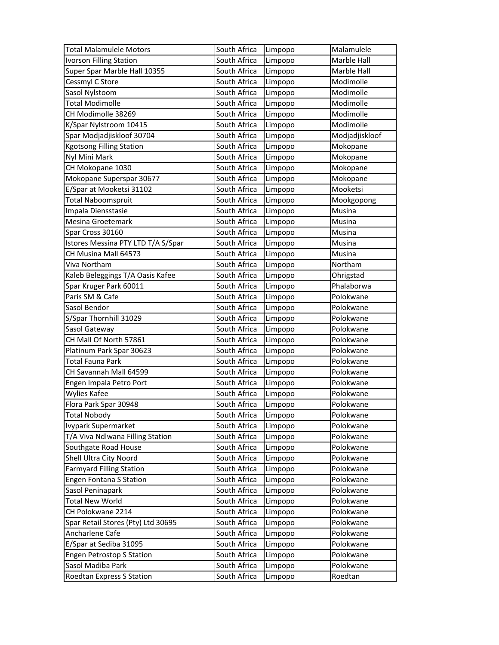| <b>Total Malamulele Motors</b>     | South Africa | Limpopo | Malamulele     |
|------------------------------------|--------------|---------|----------------|
| <b>Ivorson Filling Station</b>     | South Africa | Limpopo | Marble Hall    |
| Super Spar Marble Hall 10355       | South Africa | Limpopo | Marble Hall    |
| Cessmyl C Store                    | South Africa | Limpopo | Modimolle      |
| Sasol Nylstoom                     | South Africa | Limpopo | Modimolle      |
| <b>Total Modimolle</b>             | South Africa | Limpopo | Modimolle      |
| CH Modimolle 38269                 | South Africa | Limpopo | Modimolle      |
| K/Spar Nylstroom 10415             | South Africa | Limpopo | Modimolle      |
| Spar Modjadjiskloof 30704          | South Africa | Limpopo | Modjadjiskloof |
| <b>Kgotsong Filling Station</b>    | South Africa | Limpopo | Mokopane       |
| Nyl Mini Mark                      | South Africa | Limpopo | Mokopane       |
| CH Mokopane 1030                   | South Africa | Limpopo | Mokopane       |
| Mokopane Superspar 30677           | South Africa | Limpopo | Mokopane       |
| E/Spar at Mooketsi 31102           | South Africa | Limpopo | Mooketsi       |
| <b>Total Naboomspruit</b>          | South Africa | Limpopo | Mookgopong     |
| Impala Diensstasie                 | South Africa | Limpopo | Musina         |
| Mesina Groetemark                  | South Africa | Limpopo | Musina         |
| Spar Cross 30160                   | South Africa | Limpopo | Musina         |
| Istores Messina PTY LTD T/A S/Spar | South Africa | Limpopo | Musina         |
| CH Musina Mall 64573               | South Africa | Limpopo | Musina         |
| Viva Northam                       | South Africa | Limpopo | Northam        |
| Kaleb Beleggings T/A Oasis Kafee   | South Africa | Limpopo | Ohrigstad      |
| Spar Kruger Park 60011             | South Africa | Limpopo | Phalaborwa     |
| Paris SM & Cafe                    | South Africa | Limpopo | Polokwane      |
| Sasol Bendor                       | South Africa | Limpopo | Polokwane      |
| S/Spar Thornhill 31029             | South Africa | Limpopo | Polokwane      |
| Sasol Gateway                      | South Africa | Limpopo | Polokwane      |
| CH Mall Of North 57861             | South Africa | Limpopo | Polokwane      |
| Platinum Park Spar 30623           | South Africa | Limpopo | Polokwane      |
| <b>Total Fauna Park</b>            | South Africa | Limpopo | Polokwane      |
| CH Savannah Mall 64599             | South Africa | Limpopo | Polokwane      |
| Engen Impala Petro Port            | South Africa | Limpopo | Polokwane      |
| <b>Wylies Kafee</b>                | South Africa | Limpopo | Polokwane      |
| Flora Park Spar 30948              | South Africa | Limpopo | Polokwane      |
| <b>Total Nobody</b>                | South Africa | Limpopo | Polokwane      |
| Ivypark Supermarket                | South Africa | Limpopo | Polokwane      |
| T/A Viva Ndlwana Filling Station   | South Africa | Limpopo | Polokwane      |
| Southgate Road House               | South Africa | Limpopo | Polokwane      |
| Shell Ultra City Noord             | South Africa | Limpopo | Polokwane      |
| <b>Farmyard Filling Station</b>    | South Africa | Limpopo | Polokwane      |
| <b>Engen Fontana S Station</b>     | South Africa | Limpopo | Polokwane      |
| Sasol Peninapark                   | South Africa | Limpopo | Polokwane      |
| <b>Total New World</b>             | South Africa | Limpopo | Polokwane      |
| CH Polokwane 2214                  | South Africa | Limpopo | Polokwane      |
| Spar Retail Stores (Pty) Ltd 30695 | South Africa | Limpopo | Polokwane      |
| Ancharlene Cafe                    | South Africa | Limpopo | Polokwane      |
| E/Spar at Sediba 31095             | South Africa | Limpopo | Polokwane      |
| <b>Engen Petrostop S Station</b>   | South Africa | Limpopo | Polokwane      |
| Sasol Madiba Park                  | South Africa | Limpopo | Polokwane      |
| Roedtan Express S Station          | South Africa | Limpopo | Roedtan        |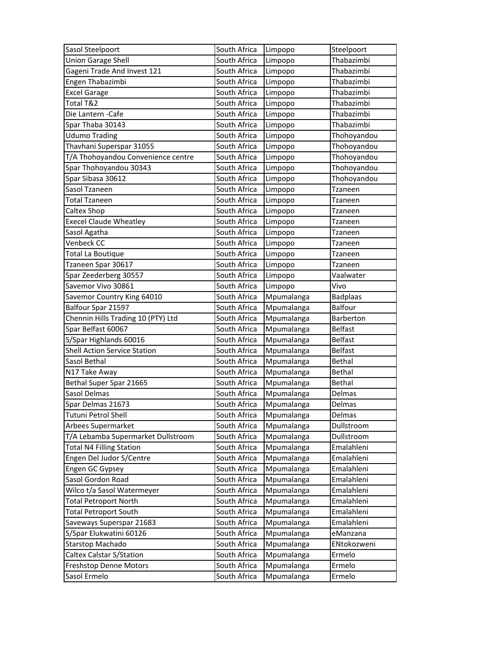| Sasol Steelpoort                    | South Africa | Limpopo    | Steelpoort      |
|-------------------------------------|--------------|------------|-----------------|
| <b>Union Garage Shell</b>           | South Africa | Limpopo    | Thabazimbi      |
| Gageni Trade And Invest 121         | South Africa | Limpopo    | Thabazimbi      |
| Engen Thabazimbi                    | South Africa | Limpopo    | Thabazimbi      |
| <b>Excel Garage</b>                 | South Africa | Limpopo    | Thabazimbi      |
| Total T&2                           | South Africa | Limpopo    | Thabazimbi      |
| Die Lantern - Cafe                  | South Africa | Limpopo    | Thabazimbi      |
| Spar Thaba 30143                    | South Africa | Limpopo    | Thabazimbi      |
| <b>Udumo Trading</b>                | South Africa | Limpopo    | Thohoyandou     |
| Thavhani Superspar 31055            | South Africa | Limpopo    | Thohoyandou     |
| T/A Thohoyandou Convenience centre  | South Africa | Limpopo    | Thohoyandou     |
| Spar Thohoyandou 30343              | South Africa | Limpopo    | Thohoyandou     |
| Spar Sibasa 30612                   | South Africa | Limpopo    | Thohoyandou     |
| Sasol Tzaneen                       | South Africa | Limpopo    | Tzaneen         |
| Total Tzaneen                       | South Africa | Limpopo    | Tzaneen         |
| Caltex Shop                         | South Africa | Limpopo    | <b>Tzaneen</b>  |
| <b>Execel Claude Wheatley</b>       | South Africa | Limpopo    | Tzaneen         |
| Sasol Agatha                        | South Africa | Limpopo    | Tzaneen         |
| Venbeck CC                          | South Africa | Limpopo    | Tzaneen         |
| Total La Boutique                   | South Africa | Limpopo    | <b>Tzaneen</b>  |
| Tzaneen Spar 30617                  | South Africa | Limpopo    | Tzaneen         |
| Spar Zeederberg 30557               | South Africa | Limpopo    | Vaalwater       |
| Savemor Vivo 30861                  | South Africa | Limpopo    | Vivo            |
| Savemor Country King 64010          | South Africa | Mpumalanga | <b>Badplaas</b> |
| Balfour Spar 21597                  | South Africa | Mpumalanga | <b>Balfour</b>  |
| Chennin Hills Trading 10 (PTY) Ltd  | South Africa | Mpumalanga | Barberton       |
| Spar Belfast 60067                  | South Africa | Mpumalanga | <b>Belfast</b>  |
| S/Spar Highlands 60016              | South Africa | Mpumalanga | <b>Belfast</b>  |
| <b>Shell Action Service Station</b> | South Africa | Mpumalanga | <b>Belfast</b>  |
| Sasol Bethal                        | South Africa | Mpumalanga | <b>Bethal</b>   |
| N17 Take Away                       | South Africa | Mpumalanga | Bethal          |
| Bethal Super Spar 21665             | South Africa | Mpumalanga | Bethal          |
| Sasol Delmas                        | South Africa | Mpumalanga | Delmas          |
| Spar Delmas 21673                   | South Africa | Mpumalanga | Delmas          |
| Tutuni Petrol Shell                 | South Africa | Mpumalanga | Delmas          |
| <b>Arbees Supermarket</b>           | South Africa | Mpumalanga | Dullstroom      |
| T/A Lebamba Supermarket Dullstroom  | South Africa | Mpumalanga | Dullstroom      |
| <b>Total N4 Filling Station</b>     | South Africa | Mpumalanga | Emalahleni      |
| Engen Del Judor S/Centre            | South Africa | Mpumalanga | Emalahleni      |
| Engen GC Gypsey                     | South Africa | Mpumalanga | Emalahleni      |
| Sasol Gordon Road                   | South Africa | Mpumalanga | Emalahleni      |
| Wilco t/a Sasol Watermeyer          | South Africa | Mpumalanga | Emalahleni      |
| <b>Total Petroport North</b>        | South Africa | Mpumalanga | Emalahleni      |
| <b>Total Petroport South</b>        | South Africa | Mpumalanga | Emalahleni      |
| Saveways Superspar 21683            | South Africa | Mpumalanga | Emalahleni      |
| S/Spar Elukwatini 60126             | South Africa | Mpumalanga | eManzana        |
| <b>Starstop Machado</b>             | South Africa | Mpumalanga | ENtokozweni     |
| Caltex Calstar S/Station            | South Africa | Mpumalanga | Ermelo          |
| <b>Freshstop Denne Motors</b>       | South Africa | Mpumalanga | Ermelo          |
| Sasol Ermelo                        | South Africa | Mpumalanga | Ermelo          |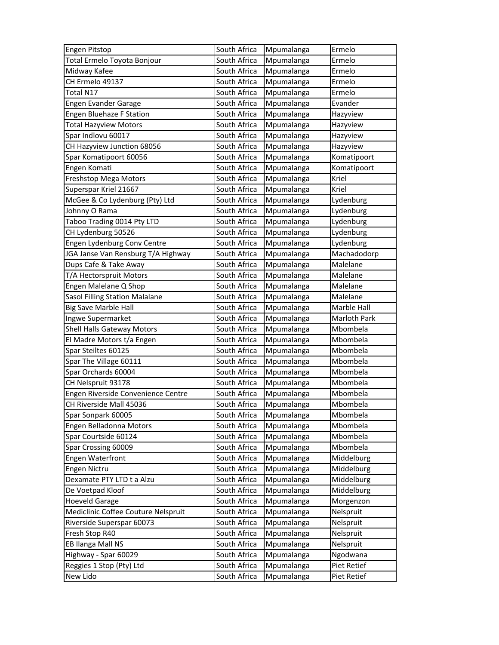| Engen Pitstop                       | South Africa | Mpumalanga | Ermelo       |
|-------------------------------------|--------------|------------|--------------|
| Total Ermelo Toyota Bonjour         | South Africa | Mpumalanga | Ermelo       |
| Midway Kafee                        | South Africa | Mpumalanga | Ermelo       |
| CH Ermelo 49137                     | South Africa | Mpumalanga | Ermelo       |
| Total N17                           | South Africa | Mpumalanga | Ermelo       |
| Engen Evander Garage                | South Africa | Mpumalanga | Evander      |
| <b>Engen Bluehaze F Station</b>     | South Africa | Mpumalanga | Hazyview     |
| <b>Total Hazyview Motors</b>        | South Africa | Mpumalanga | Hazyview     |
| Spar Indlovu 60017                  | South Africa | Mpumalanga | Hazyview     |
| CH Hazyview Junction 68056          | South Africa | Mpumalanga | Hazyview     |
| Spar Komatipoort 60056              | South Africa | Mpumalanga | Komatipoort  |
| Engen Komati                        | South Africa | Mpumalanga | Komatipoort  |
| Freshstop Mega Motors               | South Africa | Mpumalanga | Kriel        |
| Superspar Kriel 21667               | South Africa | Mpumalanga | Kriel        |
| McGee & Co Lydenburg (Pty) Ltd      | South Africa | Mpumalanga | Lydenburg    |
| Johnny O Rama                       | South Africa | Mpumalanga | Lydenburg    |
| Taboo Trading 0014 Pty LTD          | South Africa | Mpumalanga | Lydenburg    |
| CH Lydenburg 50526                  | South Africa | Mpumalanga | Lydenburg    |
| Engen Lydenburg Conv Centre         | South Africa | Mpumalanga | Lydenburg    |
| JGA Janse Van Rensburg T/A Highway  | South Africa | Mpumalanga | Machadodorp  |
| Dups Cafe & Take Away               | South Africa | Mpumalanga | Malelane     |
| T/A Hectorspruit Motors             | South Africa | Mpumalanga | Malelane     |
| Engen Malelane Q Shop               | South Africa | Mpumalanga | Malelane     |
| Sasol Filling Station Malalane      | South Africa | Mpumalanga | Malelane     |
| <b>Big Save Marble Hall</b>         | South Africa | Mpumalanga | Marble Hall  |
| Ingwe Supermarket                   | South Africa | Mpumalanga | Marloth Park |
| Shell Halls Gateway Motors          | South Africa | Mpumalanga | Mbombela     |
| El Madre Motors t/a Engen           | South Africa | Mpumalanga | Mbombela     |
| Spar Steiltes 60125                 | South Africa | Mpumalanga | Mbombela     |
| Spar The Village 60111              | South Africa | Mpumalanga | Mbombela     |
| Spar Orchards 60004                 | South Africa | Mpumalanga | Mbombela     |
| CH Nelspruit 93178                  | South Africa | Mpumalanga | Mbombela     |
| Engen Riverside Convenience Centre  | South Africa | Mpumalanga | Mbombela     |
| CH Riverside Mall 45036             | South Africa | Mpumalanga | Mbombela     |
| Spar Sonpark 60005                  | South Africa | Mpumalanga | Mbombela     |
| Engen Belladonna Motors             | South Africa | Mpumalanga | Mbombela     |
| Spar Courtside 60124                | South Africa | Mpumalanga | Mbombela     |
| Spar Crossing 60009                 | South Africa | Mpumalanga | Mbombela     |
| Engen Waterfront                    | South Africa | Mpumalanga | Middelburg   |
| Engen Nictru                        | South Africa | Mpumalanga | Middelburg   |
| Dexamate PTY LTD t a Alzu           | South Africa | Mpumalanga | Middelburg   |
| De Voetpad Kloof                    | South Africa | Mpumalanga | Middelburg   |
| <b>Hoeveld Garage</b>               | South Africa | Mpumalanga | Morgenzon    |
| Mediclinic Coffee Couture Nelspruit | South Africa | Mpumalanga | Nelspruit    |
| Riverside Superspar 60073           | South Africa | Mpumalanga | Nelspruit    |
| Fresh Stop R40                      | South Africa | Mpumalanga | Nelspruit    |
| EB Ilanga Mall NS                   | South Africa | Mpumalanga | Nelspruit    |
| Highway - Spar 60029                | South Africa | Mpumalanga | Ngodwana     |
| Reggies 1 Stop (Pty) Ltd            | South Africa | Mpumalanga | Piet Retief  |
| New Lido                            | South Africa | Mpumalanga | Piet Retief  |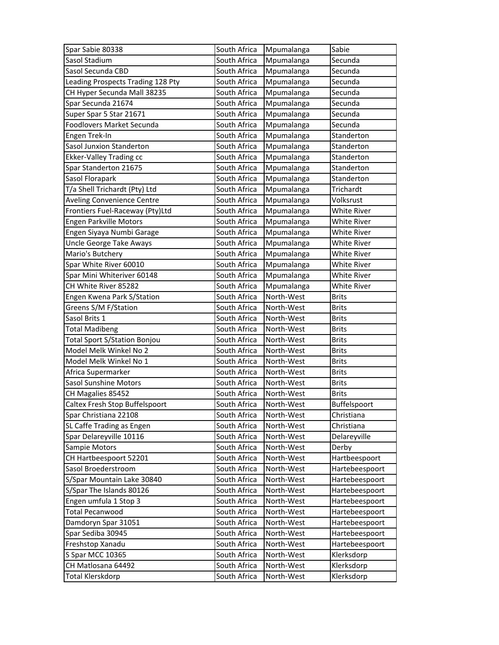| Spar Sabie 80338                    | South Africa | Mpumalanga | Sabie              |
|-------------------------------------|--------------|------------|--------------------|
| Sasol Stadium                       | South Africa | Mpumalanga | Secunda            |
| Sasol Secunda CBD                   | South Africa | Mpumalanga | Secunda            |
| Leading Prospects Trading 128 Pty   | South Africa | Mpumalanga | Secunda            |
| CH Hyper Secunda Mall 38235         | South Africa | Mpumalanga | Secunda            |
| Spar Secunda 21674                  | South Africa | Mpumalanga | Secunda            |
| Super Spar 5 Star 21671             | South Africa | Mpumalanga | Secunda            |
| Foodlovers Market Secunda           | South Africa | Mpumalanga | Secunda            |
| Engen Trek-In                       | South Africa | Mpumalanga | Standerton         |
| Sasol Junxion Standerton            | South Africa | Mpumalanga | Standerton         |
| <b>Ekker-Valley Trading cc</b>      | South Africa | Mpumalanga | Standerton         |
| Spar Standerton 21675               | South Africa | Mpumalanga | Standerton         |
| Sasol Florapark                     | South Africa | Mpumalanga | Standerton         |
| T/a Shell Trichardt (Pty) Ltd       | South Africa | Mpumalanga | Trichardt          |
| Aveling Convenience Centre          | South Africa | Mpumalanga | Volksrust          |
| Frontiers Fuel-Raceway (Pty)Ltd     | South Africa | Mpumalanga | White River        |
| Engen Parkville Motors              | South Africa | Mpumalanga | White River        |
| Engen Siyaya Numbi Garage           | South Africa | Mpumalanga | White River        |
| Uncle George Take Aways             | South Africa | Mpumalanga | White River        |
| Mario's Butchery                    | South Africa | Mpumalanga | <b>White River</b> |
| Spar White River 60010              | South Africa | Mpumalanga | White River        |
| Spar Mini Whiteriver 60148          | South Africa | Mpumalanga | White River        |
| CH White River 85282                | South Africa | Mpumalanga | <b>White River</b> |
| Engen Kwena Park S/Station          | South Africa | North-West | <b>Brits</b>       |
| Greens S/M F/Station                | South Africa | North-West | <b>Brits</b>       |
|                                     |              |            |                    |
| Sasol Brits 1                       | South Africa | North-West | <b>Brits</b>       |
| <b>Total Madibeng</b>               | South Africa | North-West | <b>Brits</b>       |
| <b>Total Sport S/Station Bonjou</b> | South Africa | North-West | <b>Brits</b>       |
| Model Melk Winkel No 2              | South Africa | North-West | <b>Brits</b>       |
| Model Melk Winkel No 1              | South Africa | North-West | <b>Brits</b>       |
| Africa Supermarker                  | South Africa | North-West | <b>Brits</b>       |
| Sasol Sunshine Motors               | South Africa | North-West | <b>Brits</b>       |
| CH Magalies 85452                   | South Africa | North-West | <b>Brits</b>       |
| Caltex Fresh Stop Buffelspoort      | South Africa | North-West | Buffelspoort       |
| Spar Christiana 22108               | South Africa | North-West | Christiana         |
| SL Caffe Trading as Engen           | South Africa | North-West | Christiana         |
| Spar Delareyville 10116             | South Africa | North-West | Delareyville       |
| Sampie Motors                       | South Africa | North-West | Derby              |
| CH Hartbeespoort 52201              | South Africa | North-West | Hartbeespoort      |
| Sasol Broederstroom                 | South Africa | North-West | Hartebeespoort     |
| S/Spar Mountain Lake 30840          | South Africa | North-West | Hartebeespoort     |
| S/Spar The Islands 80126            | South Africa | North-West | Hartebeespoort     |
| Engen umfula 1 Stop 3               | South Africa | North-West | Hartebeespoort     |
| <b>Total Pecanwood</b>              | South Africa | North-West | Hartebeespoort     |
| Damdoryn Spar 31051                 | South Africa | North-West | Hartebeespoort     |
| Spar Sediba 30945                   | South Africa | North-West | Hartebeespoort     |
| Freshstop Xanadu                    | South Africa | North-West | Hartebeespoort     |
| S Spar MCC 10365                    | South Africa | North-West | Klerksdorp         |
| CH Matlosana 64492                  | South Africa | North-West | Klerksdorp         |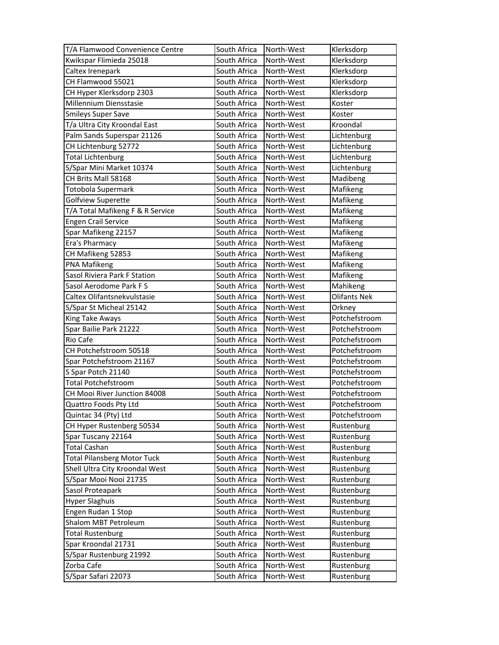| T/A Flamwood Convenience Centre    | South Africa                 | North-West               | Klerksdorp          |
|------------------------------------|------------------------------|--------------------------|---------------------|
| Kwikspar Flimieda 25018            | South Africa                 | North-West               | Klerksdorp          |
| Caltex Irenepark                   | South Africa                 | North-West               | Klerksdorp          |
| CH Flamwood 55021                  | South Africa                 | North-West               | Klerksdorp          |
| CH Hyper Klerksdorp 2303           | South Africa                 | North-West               | Klerksdorp          |
| Millennium Diensstasie             | South Africa                 | North-West               | Koster              |
| <b>Smileys Super Save</b>          | South Africa                 | North-West               | Koster              |
| T/a Ultra City Kroondal East       | South Africa                 | North-West               | Kroondal            |
| Palm Sands Superspar 21126         | South Africa                 | North-West               | Lichtenburg         |
| CH Lichtenburg 52772               | South Africa                 | North-West               | Lichtenburg         |
| <b>Total Lichtenburg</b>           | South Africa                 | North-West               | Lichtenburg         |
| S/Spar Mini Market 10374           | South Africa                 | North-West               | Lichtenburg         |
| CH Brits Mall 58168                | South Africa                 | North-West               | Madibeng            |
| Totobola Supermark                 | South Africa                 | North-West               | Mafikeng            |
| Golfview Superette                 | South Africa                 | North-West               | Mafikeng            |
| T/A Total Mafikeng F & R Service   | South Africa                 | North-West               | Mafikeng            |
| <b>Engen Crail Service</b>         | South Africa                 | North-West               | Mafikeng            |
| Spar Mafikeng 22157                | South Africa                 | North-West               | Mafikeng            |
| Era's Pharmacy                     | South Africa                 | North-West               | Mafikeng            |
| CH Mafikeng 52853                  | South Africa                 | North-West               | Mafikeng            |
| PNA Mafikeng                       | South Africa                 | North-West               | Mafikeng            |
| Sasol Riviera Park F Station       | South Africa                 | North-West               | Mafikeng            |
| Sasol Aerodome Park F S            | South Africa                 | North-West               | Mahikeng            |
| Caltex Olifantsnekvulstasie        | South Africa                 | North-West               | <b>Olifants Nek</b> |
| S/Spar St Micheal 25142            | South Africa                 | North-West               | Orkney              |
|                                    |                              |                          |                     |
| King Take Aways                    | South Africa                 | North-West               | Potchefstroom       |
| Spar Bailie Park 21222             | South Africa                 | North-West               | Potchefstroom       |
| Rio Cafe                           | South Africa                 | North-West               | Potchefstroom       |
| CH Potchefstroom 50518             | South Africa                 | North-West               | Potchefstroom       |
| Spar Potchefstroom 21167           | South Africa                 | North-West               | Potchefstroom       |
| S Spar Potch 21140                 | South Africa                 | North-West               | Potchefstroom       |
| <b>Total Potchefstroom</b>         | South Africa                 | North-West               | Potchefstroom       |
| CH Mooi River Junction 84008       | South Africa                 | North-West               | Potchefstroom       |
| Quattro Foods Pty Ltd              | South Africa                 | North-West               | Potchefstroom       |
| Quintac 34 (Pty) Ltd               | South Africa                 | North-West               | Potchefstroom       |
| CH Hyper Rustenberg 50534          | South Africa                 | North-West               | Rustenburg          |
| Spar Tuscany 22164                 | South Africa                 | North-West               | Rustenburg          |
| <b>Total Cashan</b>                | South Africa                 | North-West               | Rustenburg          |
| <b>Total Pilansberg Motor Tuck</b> | South Africa                 | North-West               | Rustenburg          |
| Shell Ultra City Kroondal West     | South Africa                 | North-West               | Rustenburg          |
| S/Spar Mooi Nooi 21735             | South Africa                 | North-West               | Rustenburg          |
| Sasol Proteapark                   | South Africa                 | North-West               | Rustenburg          |
| <b>Hyper Slaghuis</b>              | South Africa                 | North-West               | Rustenburg          |
| Engen Rudan 1 Stop                 | South Africa                 | North-West               | Rustenburg          |
| Shalom MBT Petroleum               | South Africa                 | North-West               | Rustenburg          |
| <b>Total Rustenburg</b>            | South Africa                 | North-West               | Rustenburg          |
| Spar Kroondal 21731                | South Africa                 | North-West               | Rustenburg          |
| S/Spar Rustenburg 21992            | South Africa                 | North-West               | Rustenburg          |
| Zorba Cafe<br>S/Spar Safari 22073  | South Africa<br>South Africa | North-West<br>North-West | Rustenburg          |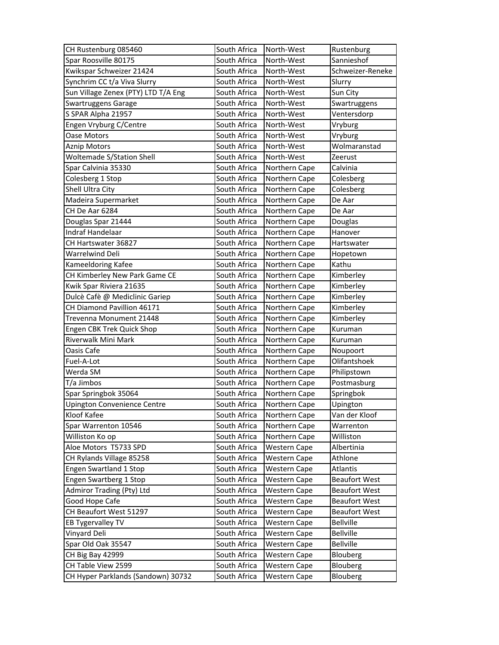| CH Rustenburg 085460                | South Africa | North-West          | Rustenburg           |
|-------------------------------------|--------------|---------------------|----------------------|
| Spar Roosville 80175                | South Africa | North-West          | Sannieshof           |
| Kwikspar Schweizer 21424            | South Africa | North-West          | Schweizer-Reneke     |
| Synchrim CC t/a Viva Slurry         | South Africa | North-West          | Slurry               |
| Sun Village Zenex (PTY) LTD T/A Eng | South Africa | North-West          | Sun City             |
| Swartruggens Garage                 | South Africa | North-West          | Swartruggens         |
| S SPAR Alpha 21957                  | South Africa | North-West          | Ventersdorp          |
| Engen Vryburg C/Centre              | South Africa | North-West          | Vryburg              |
| Oase Motors                         | South Africa | North-West          | Vryburg              |
| <b>Aznip Motors</b>                 | South Africa | North-West          | Wolmaranstad         |
| <b>Woltemade S/Station Shell</b>    | South Africa | North-West          | Zeerust              |
| Spar Calvinia 35330                 | South Africa | Northern Cape       | Calvinia             |
| Colesberg 1 Stop                    | South Africa | Northern Cape       | Colesberg            |
| Shell Ultra City                    | South Africa | Northern Cape       | Colesberg            |
| Madeira Supermarket                 | South Africa | Northern Cape       | De Aar               |
| CH De Aar 6284                      | South Africa | Northern Cape       | De Aar               |
| Douglas Spar 21444                  | South Africa | Northern Cape       | Douglas              |
| Indraf Handelaar                    | South Africa | Northern Cape       | Hanover              |
| CH Hartswater 36827                 | South Africa | Northern Cape       | Hartswater           |
| Warrelwind Deli                     | South Africa | Northern Cape       | Hopetown             |
| Kameeldoring Kafee                  | South Africa | Northern Cape       | Kathu                |
| CH Kimberley New Park Game CE       | South Africa | Northern Cape       | Kimberley            |
| Kwik Spar Riviera 21635             | South Africa | Northern Cape       | Kimberley            |
| Dulcè Cafè @ Mediclinic Gariep      | South Africa | Northern Cape       | Kimberley            |
| CH Diamond Pavillion 46171          | South Africa | Northern Cape       | Kimberley            |
| Trevenna Monument 21448             | South Africa | Northern Cape       | Kimberley            |
| Engen CBK Trek Quick Shop           | South Africa | Northern Cape       | Kuruman              |
| Riverwalk Mini Mark                 | South Africa | Northern Cape       | Kuruman              |
| Oasis Cafe                          | South Africa | Northern Cape       | Noupoort             |
| Fuel-A-Lot                          | South Africa | Northern Cape       | Olifantshoek         |
| Werda SM                            | South Africa | Northern Cape       | Philipstown          |
| T/a Jimbos                          | South Africa | Northern Cape       | Postmasburg          |
| Spar Springbok 35064                | South Africa | Northern Cape       | Springbok            |
| <b>Upington Convenience Centre</b>  | South Africa | Northern Cape       | Upington             |
| Kloof Kafee                         | South Africa | Northern Cape       | Van der Kloof        |
| Spar Warrenton 10546                | South Africa | Northern Cape       | Warrenton            |
| Williston Ko op                     | South Africa | Northern Cape       | Williston            |
| Aloe Motors T5733 SPD               | South Africa | <b>Western Cape</b> | Albertinia           |
| CH Rylands Village 85258            | South Africa | <b>Western Cape</b> | Athlone              |
| Engen Swartland 1 Stop              | South Africa | <b>Western Cape</b> | Atlantis             |
| Engen Swartberg 1 Stop              | South Africa | Western Cape        | <b>Beaufort West</b> |
| Admiror Trading (Pty) Ltd           | South Africa | Western Cape        | <b>Beaufort West</b> |
| Good Hope Cafe                      | South Africa | <b>Western Cape</b> | <b>Beaufort West</b> |
| CH Beaufort West 51297              | South Africa | <b>Western Cape</b> | <b>Beaufort West</b> |
| EB Tygervalley TV                   | South Africa | <b>Western Cape</b> | <b>Bellville</b>     |
| Vinyard Deli                        | South Africa | <b>Western Cape</b> | <b>Bellville</b>     |
| Spar Old Oak 35547                  | South Africa | Western Cape        | <b>Bellville</b>     |
| CH Big Bay 42999                    | South Africa | <b>Western Cape</b> | Blouberg             |
| CH Table View 2599                  | South Africa | Western Cape        | Blouberg             |
| CH Hyper Parklands (Sandown) 30732  | South Africa | Western Cape        | Blouberg             |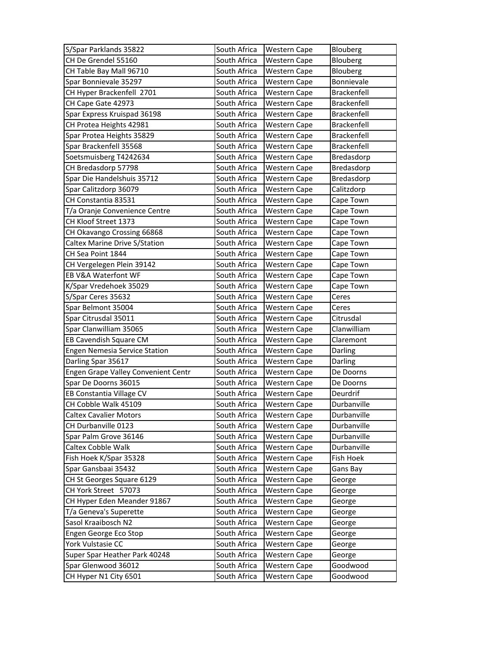| S/Spar Parklands 35822                       | South Africa                 | <b>Western Cape</b>          | Blouberg             |
|----------------------------------------------|------------------------------|------------------------------|----------------------|
| CH De Grendel 55160                          | South Africa                 | <b>Western Cape</b>          | Blouberg             |
| CH Table Bay Mall 96710                      | South Africa                 | <b>Western Cape</b>          | Blouberg             |
| Spar Bonnievale 35297                        | South Africa                 | <b>Western Cape</b>          | Bonnievale           |
| CH Hyper Brackenfell 2701                    | South Africa                 | <b>Western Cape</b>          | Brackenfell          |
| CH Cape Gate 42973                           | South Africa                 | <b>Western Cape</b>          | <b>Brackenfell</b>   |
| Spar Express Kruispad 36198                  | South Africa                 | <b>Western Cape</b>          | Brackenfell          |
| CH Protea Heights 42981                      | South Africa                 | <b>Western Cape</b>          | Brackenfell          |
| Spar Protea Heights 35829                    | South Africa                 | Western Cape                 | Brackenfell          |
| Spar Brackenfell 35568                       | South Africa                 | <b>Western Cape</b>          | <b>Brackenfell</b>   |
| Soetsmuisberg T4242634                       | South Africa                 | <b>Western Cape</b>          | Bredasdorp           |
| CH Bredasdorp 57798                          | South Africa                 | <b>Western Cape</b>          | Bredasdorp           |
| Spar Die Handelshuis 35712                   | South Africa                 | Western Cape                 | Bredasdorp           |
| Spar Calitzdorp 36079                        | South Africa                 | <b>Western Cape</b>          | Calitzdorp           |
| CH Constantia 83531                          | South Africa                 | <b>Western Cape</b>          | Cape Town            |
| T/a Oranje Convenience Centre                | South Africa                 | <b>Western Cape</b>          | Cape Town            |
| CH Kloof Street 1373                         | South Africa                 | Western Cape                 | Cape Town            |
| CH Okavango Crossing 66868                   | South Africa                 | <b>Western Cape</b>          | Cape Town            |
| Caltex Marine Drive S/Station                | South Africa                 | Western Cape                 | Cape Town            |
| CH Sea Point 1844                            | South Africa                 | <b>Western Cape</b>          | Cape Town            |
| CH Vergelegen Plein 39142                    | South Africa                 | <b>Western Cape</b>          | Cape Town            |
| EB V&A Waterfont WF                          | South Africa                 | <b>Western Cape</b>          | Cape Town            |
| K/Spar Vredehoek 35029                       | South Africa                 | <b>Western Cape</b>          | Cape Town            |
| S/Spar Ceres 35632                           | South Africa                 | <b>Western Cape</b>          | Ceres                |
| Spar Belmont 35004                           | South Africa                 | <b>Western Cape</b>          | Ceres                |
| Spar Citrusdal 35011                         | South Africa                 | <b>Western Cape</b>          | Citrusdal            |
| Spar Clanwilliam 35065                       | South Africa                 | Western Cape                 | Clanwilliam          |
| EB Cavendish Square CM                       | South Africa                 | Western Cape                 | Claremont            |
| <b>Engen Nemesia Service Station</b>         | South Africa                 | <b>Western Cape</b>          | Darling              |
| Darling Spar 35617                           | South Africa                 | <b>Western Cape</b>          | Darling              |
| Engen Grape Valley Convenient Centr          | South Africa                 | <b>Western Cape</b>          | De Doorns            |
| Spar De Doorns 36015                         | South Africa                 | <b>Western Cape</b>          | De Doorns            |
| EB Constantia Village CV                     | South Africa                 | <b>Western Cape</b>          | Deurdrif             |
| CH Cobble Walk 45109                         | South Africa                 | <b>Western Cape</b>          | Durbanville          |
| <b>Caltex Cavalier Motors</b>                | South Africa                 | <b>Western Cape</b>          | Durbanville          |
| CH Durbanville 0123                          | South Africa                 | <b>Western Cape</b>          | Durbanville          |
| Spar Palm Grove 36146                        | South Africa                 | <b>Western Cape</b>          | Durbanville          |
| Caltex Cobble Walk                           | South Africa                 | Western Cape                 | Durbanville          |
| Fish Hoek K/Spar 35328                       | South Africa                 | <b>Western Cape</b>          | Fish Hoek            |
| Spar Gansbaai 35432                          | South Africa                 | Western Cape                 | Gans Bay             |
| CH St Georges Square 6129                    | South Africa                 | <b>Western Cape</b>          | George               |
| CH York Street 57073                         | South Africa                 | Western Cape                 | George               |
| CH Hyper Eden Meander 91867                  | South Africa                 | Western Cape                 | George               |
| T/a Geneva's Superette                       | South Africa                 | <b>Western Cape</b>          | George               |
| Sasol Kraaibosch N2                          | South Africa                 | Western Cape                 | George               |
| Engen George Eco Stop                        |                              |                              | George               |
|                                              | South Africa                 | <b>Western Cape</b>          |                      |
| York Vulstasie CC                            | South Africa                 | <b>Western Cape</b>          | George               |
| Super Spar Heather Park 40248                | South Africa                 | Western Cape                 | George               |
| Spar Glenwood 36012<br>CH Hyper N1 City 6501 | South Africa<br>South Africa | Western Cape<br>Western Cape | Goodwood<br>Goodwood |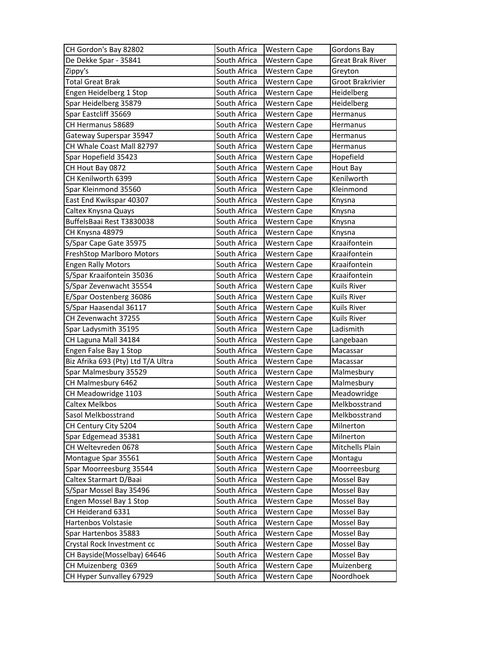| CH Gordon's Bay 82802              | South Africa | <b>Western Cape</b> | Gordons Bay      |
|------------------------------------|--------------|---------------------|------------------|
| De Dekke Spar - 35841              | South Africa | <b>Western Cape</b> | Great Brak River |
| Zippy's                            | South Africa | <b>Western Cape</b> | Greyton          |
| <b>Total Great Brak</b>            | South Africa | Western Cape        | Groot Brakrivier |
| Engen Heidelberg 1 Stop            | South Africa | <b>Western Cape</b> | Heidelberg       |
| Spar Heidelberg 35879              | South Africa | Western Cape        | Heidelberg       |
| Spar Eastcliff 35669               | South Africa | Western Cape        | Hermanus         |
| CH Hermanus 58689                  | South Africa | <b>Western Cape</b> | Hermanus         |
| Gateway Superspar 35947            | South Africa | <b>Western Cape</b> | Hermanus         |
| CH Whale Coast Mall 82797          | South Africa | <b>Western Cape</b> | Hermanus         |
| Spar Hopefield 35423               | South Africa | <b>Western Cape</b> | Hopefield        |
| CH Hout Bay 0872                   | South Africa | <b>Western Cape</b> | Hout Bay         |
| CH Kenilworth 6399                 | South Africa | <b>Western Cape</b> | Kenilworth       |
| Spar Kleinmond 35560               | South Africa | Western Cape        | Kleinmond        |
| East End Kwikspar 40307            | South Africa | <b>Western Cape</b> | Knysna           |
| Caltex Knysna Quays                | South Africa | <b>Western Cape</b> | Knysna           |
| BuffelsBaai Rest T3830038          | South Africa | Western Cape        | Knysna           |
| CH Knysna 48979                    | South Africa | <b>Western Cape</b> | Knysna           |
| S/Spar Cape Gate 35975             | South Africa | <b>Western Cape</b> | Kraaifontein     |
| FreshStop Marlboro Motors          | South Africa | Western Cape        | Kraaifontein     |
| <b>Engen Rally Motors</b>          | South Africa | <b>Western Cape</b> | Kraaifontein     |
| S/Spar Kraaifontein 35036          | South Africa | <b>Western Cape</b> | Kraaifontein     |
| S/Spar Zevenwacht 35554            | South Africa | <b>Western Cape</b> | Kuils River      |
| E/Spar Oostenberg 36086            | South Africa | Western Cape        | Kuils River      |
| S/Spar Haasendal 36117             | South Africa | <b>Western Cape</b> | Kuils River      |
| CH Zevenwacht 37255                | South Africa | <b>Western Cape</b> | Kuils River      |
| Spar Ladysmith 35195               | South Africa | Western Cape        | Ladismith        |
| CH Laguna Mall 34184               | South Africa | Western Cape        | Langebaan        |
| Engen False Bay 1 Stop             | South Africa | <b>Western Cape</b> | Macassar         |
| Biz Afrika 693 (Pty) Ltd T/A Ultra | South Africa | <b>Western Cape</b> | Macassar         |
| Spar Malmesbury 35529              | South Africa | <b>Western Cape</b> | Malmesbury       |
| CH Malmesbury 6462                 | South Africa | <b>Western Cape</b> | Malmesbury       |
| CH Meadowridge 1103                | South Africa | <b>Western Cape</b> | Meadowridge      |
| <b>Caltex Melkbos</b>              | South Africa | <b>Western Cape</b> | Melkbosstrand    |
| Sasol Melkbosstrand                | South Africa | Western Cape        | Melkbosstrand    |
| CH Century City 5204               | South Africa | Western Cape        | Milnerton        |
| Spar Edgemead 35381                | South Africa | Western Cape        | Milnerton        |
| CH Weltevreden 0678                | South Africa | <b>Western Cape</b> | Mitchells Plain  |
| Montague Spar 35561                | South Africa | <b>Western Cape</b> | Montagu          |
| Spar Moorreesburg 35544            | South Africa | <b>Western Cape</b> | Moorreesburg     |
| Caltex Starmart D/Baai             | South Africa | <b>Western Cape</b> | Mossel Bay       |
| S/Spar Mossel Bay 35496            | South Africa | Western Cape        | Mossel Bay       |
| Engen Mossel Bay 1 Stop            | South Africa | Western Cape        | Mossel Bay       |
| CH Heiderand 6331                  | South Africa | Western Cape        | Mossel Bay       |
| Hartenbos Volstasie                | South Africa | Western Cape        | Mossel Bay       |
| Spar Hartenbos 35883               | South Africa | <b>Western Cape</b> | Mossel Bay       |
| Crystal Rock Investment cc         | South Africa | Western Cape        | Mossel Bay       |
| CH Bayside(Mosselbay) 64646        | South Africa | <b>Western Cape</b> | Mossel Bay       |
| CH Muizenberg 0369                 |              |                     |                  |
|                                    | South Africa | Western Cape        | Muizenberg       |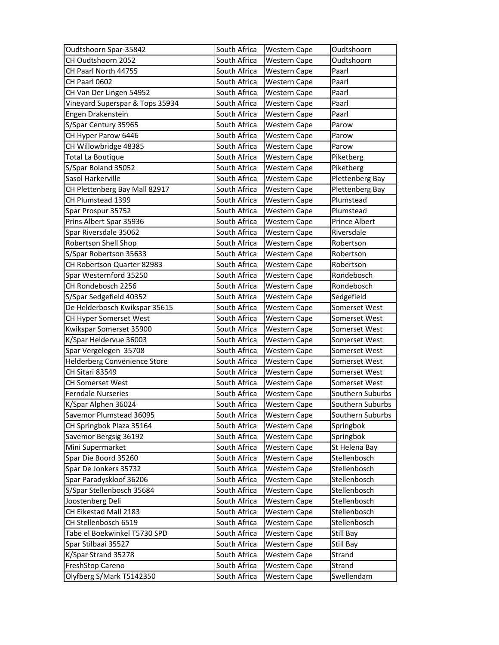| Oudtshoorn Spar-35842           | South Africa | <b>Western Cape</b> | Oudtshoorn       |
|---------------------------------|--------------|---------------------|------------------|
| CH Oudtshoorn 2052              | South Africa | <b>Western Cape</b> | Oudtshoorn       |
| CH Paarl North 44755            | South Africa | Western Cape        | Paarl            |
| CH Paarl 0602                   | South Africa | <b>Western Cape</b> | Paarl            |
| CH Van Der Lingen 54952         | South Africa | <b>Western Cape</b> | Paarl            |
| Vineyard Superspar & Tops 35934 | South Africa | <b>Western Cape</b> | Paarl            |
| Engen Drakenstein               | South Africa | <b>Western Cape</b> | Paarl            |
| S/Spar Century 35965            | South Africa | <b>Western Cape</b> | Parow            |
| CH Hyper Parow 6446             | South Africa | <b>Western Cape</b> | Parow            |
| CH Willowbridge 48385           | South Africa | <b>Western Cape</b> | Parow            |
| <b>Total La Boutique</b>        | South Africa | <b>Western Cape</b> | Piketberg        |
| S/Spar Boland 35052             | South Africa | <b>Western Cape</b> | Piketberg        |
| Sasol Harkerville               | South Africa | <b>Western Cape</b> | Plettenberg Bay  |
| CH Plettenberg Bay Mall 82917   | South Africa | <b>Western Cape</b> | Plettenberg Bay  |
| CH Plumstead 1399               | South Africa | <b>Western Cape</b> | Plumstead        |
| Spar Prospur 35752              | South Africa | <b>Western Cape</b> | Plumstead        |
| Prins Albert Spar 35936         | South Africa | <b>Western Cape</b> | Prince Albert    |
| Spar Riversdale 35062           | South Africa | <b>Western Cape</b> | Riversdale       |
| Robertson Shell Shop            | South Africa | Western Cape        | Robertson        |
| S/Spar Robertson 35633          | South Africa | <b>Western Cape</b> | Robertson        |
| CH Robertson Quarter 82983      | South Africa | <b>Western Cape</b> | Robertson        |
| Spar Westernford 35250          | South Africa | <b>Western Cape</b> | Rondebosch       |
| CH Rondebosch 2256              | South Africa | <b>Western Cape</b> | Rondebosch       |
| S/Spar Sedgefield 40352         | South Africa | <b>Western Cape</b> | Sedgefield       |
| De Helderbosch Kwikspar 35615   | South Africa | <b>Western Cape</b> | Somerset West    |
| CH Hyper Somerset West          | South Africa | <b>Western Cape</b> | Somerset West    |
| Kwikspar Somerset 35900         | South Africa | <b>Western Cape</b> | Somerset West    |
| K/Spar Heldervue 36003          | South Africa | <b>Western Cape</b> | Somerset West    |
| Spar Vergelegen 35708           | South Africa | <b>Western Cape</b> | Somerset West    |
| Helderberg Convenience Store    | South Africa | <b>Western Cape</b> | Somerset West    |
| CH Sitari 83549                 | South Africa | <b>Western Cape</b> | Somerset West    |
| CH Somerset West                | South Africa | <b>Western Cape</b> | Somerset West    |
| <b>Ferndale Nurseries</b>       | South Africa | Western Cape        | Southern Suburbs |
| K/Spar Alphen 36024             | South Africa | <b>Western Cape</b> | Southern Suburbs |
| Savemor Plumstead 36095         | South Africa | <b>Western Cape</b> | Southern Suburbs |
| CH Springbok Plaza 35164        | South Africa | <b>Western Cape</b> | Springbok        |
| Savemor Bergsig 36192           | South Africa | <b>Western Cape</b> | Springbok        |
| Mini Supermarket                | South Africa | Western Cape        | St Helena Bay    |
| Spar Die Boord 35260            | South Africa | <b>Western Cape</b> | Stellenbosch     |
| Spar De Jonkers 35732           | South Africa | Western Cape        | Stellenbosch     |
| Spar Paradyskloof 36206         | South Africa | <b>Western Cape</b> | Stellenbosch     |
| S/Spar Stellenbosch 35684       | South Africa | Western Cape        | Stellenbosch     |
| Joostenberg Deli                | South Africa | <b>Western Cape</b> | Stellenbosch     |
| CH Eikestad Mall 2183           | South Africa | Western Cape        | Stellenbosch     |
| CH Stellenbosch 6519            | South Africa | Western Cape        | Stellenbosch     |
| Tabe el Boekwinkel T5730 SPD    | South Africa | Western Cape        | Still Bay        |
| Spar Stilbaai 35527             | South Africa | <b>Western Cape</b> | Still Bay        |
| K/Spar Strand 35278             | South Africa | Western Cape        | Strand           |
| FreshStop Careno                | South Africa | Western Cape        | Strand           |
| Olyfberg S/Mark T5142350        | South Africa | <b>Western Cape</b> | Swellendam       |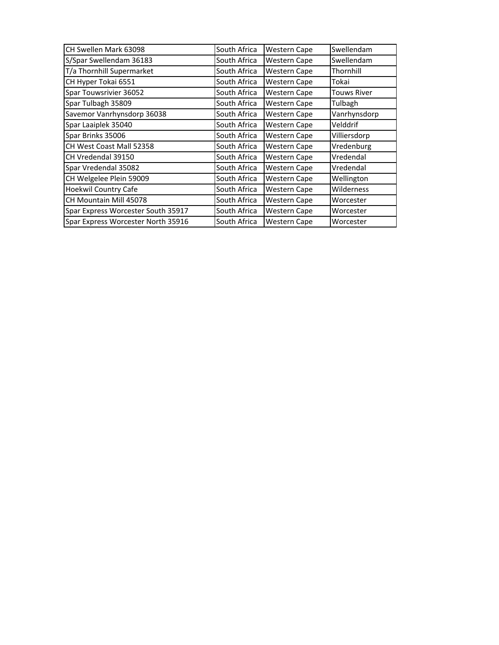| CH Swellen Mark 63098              | South Africa | <b>Western Cape</b> | Swellendam         |
|------------------------------------|--------------|---------------------|--------------------|
| S/Spar Swellendam 36183            | South Africa | <b>Western Cape</b> | Swellendam         |
| T/a Thornhill Supermarket          | South Africa | <b>Western Cape</b> | Thornhill          |
| CH Hyper Tokai 6551                | South Africa | <b>Western Cape</b> | Tokai              |
| Spar Touwsrivier 36052             | South Africa | Western Cape        | <b>Touws River</b> |
| Spar Tulbagh 35809                 | South Africa | <b>Western Cape</b> | Tulbagh            |
| Savemor Vanrhynsdorp 36038         | South Africa | Western Cape        | Vanrhynsdorp       |
| Spar Laaiplek 35040                | South Africa | <b>Western Cape</b> | Velddrif           |
| Spar Brinks 35006                  | South Africa | <b>Western Cape</b> | Villiersdorp       |
| CH West Coast Mall 52358           | South Africa | <b>Western Cape</b> | Vredenburg         |
| CH Vredendal 39150                 | South Africa | Western Cape        | Vredendal          |
| Spar Vredendal 35082               | South Africa | <b>Western Cape</b> | Vredendal          |
| CH Welgelee Plein 59009            | South Africa | <b>Western Cape</b> | Wellington         |
| <b>Hoekwil Country Cafe</b>        | South Africa | <b>Western Cape</b> | Wilderness         |
| CH Mountain Mill 45078             | South Africa | Western Cape        | Worcester          |
| Spar Express Worcester South 35917 | South Africa | Western Cape        | Worcester          |
| Spar Express Worcester North 35916 | South Africa | <b>Western Cape</b> | Worcester          |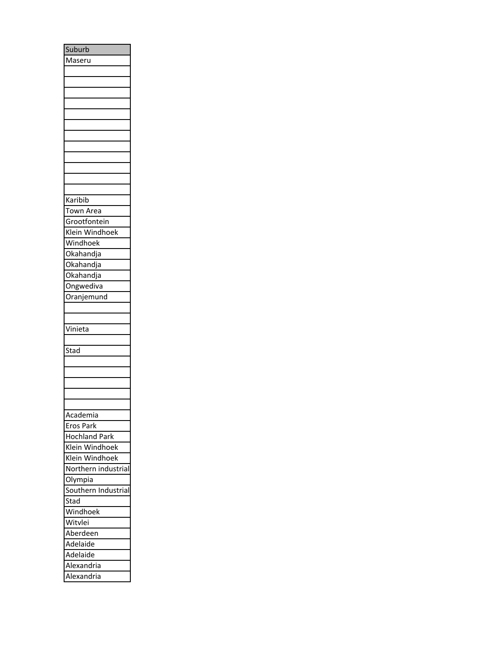| Suburb                 |
|------------------------|
| Maseru                 |
|                        |
|                        |
|                        |
|                        |
|                        |
|                        |
|                        |
|                        |
|                        |
|                        |
|                        |
|                        |
| Karibib                |
| Town Area              |
| Grootfontein           |
| Klein Windhoek         |
| Windhoek               |
| _<br>Okahandja         |
| Okahandja              |
| Okahandja              |
| <b>Ongwediva</b>       |
|                        |
| Oranjemund             |
|                        |
|                        |
| Vinieta                |
|                        |
| Stad                   |
|                        |
|                        |
|                        |
|                        |
|                        |
|                        |
| Academia               |
| Eros Park              |
| <b>Hochland Park</b>   |
| Klein Windhoek         |
| Klein Windhoek         |
| Northern industrial    |
| Olympia                |
| Southern<br>Industrial |
| Stad                   |
| Nindhoek               |
| Witvlei                |
| Aberdeen               |
| Adelaide               |
| Adelaide               |
| Alexandria             |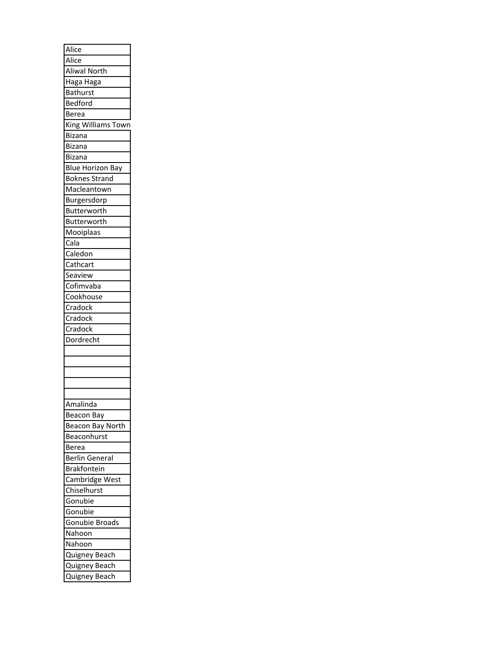| Alice                   |
|-------------------------|
| Alice                   |
| Aliwal North            |
| Haga Haga               |
| <b>Bathurst</b>         |
| Bedford                 |
| Berea                   |
| King Williams Town      |
| <b>Bizana</b>           |
| <b>Bizana</b>           |
| Bizana                  |
| <b>Blue Horizon Bay</b> |
| <b>Boknes Strand</b>    |
| Macleantown             |
| Burgersdorp             |
| Butterworth             |
| Butterworth             |
| Mooiplaas               |
| Cala                    |
| Caledon                 |
| Cathcart                |
| Seaview                 |
| Cofimvaba               |
| Cookhouse               |
| Cradock                 |
|                         |
| Cradock                 |
| Cradock                 |
| Dordrecht               |
|                         |
|                         |
|                         |
|                         |
|                         |
| Amalinda                |
| <b>Beacon Bay</b>       |
| Beacon Bay North        |
| Beaconhurst             |
| <b>Berea</b>            |
| <b>Berlin General</b>   |
| Brakfontein             |
| Cambridge West          |
|                         |
| Chiselhurst             |
| Gonubie                 |
| Gonubie                 |
| Gonubie Broads          |
| Nahoon                  |
| Nahoon                  |
| Quigney Beach           |
| Quigney Beach           |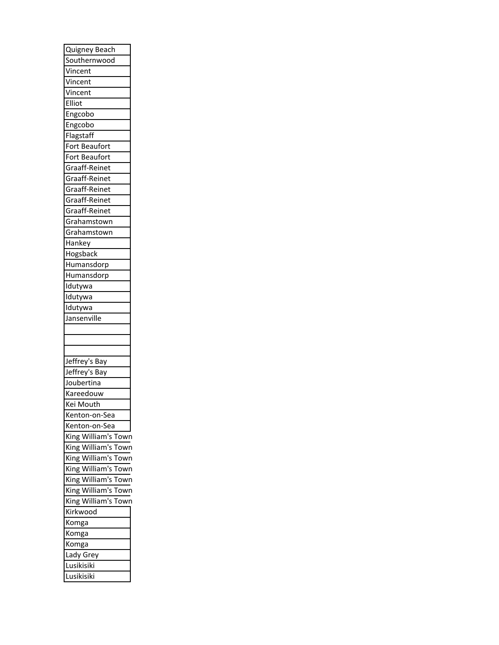| <b>Quigney Beach</b>   |
|------------------------|
| Southernwood           |
| Vincent                |
| Vincent                |
| Vincent                |
| Elliot                 |
| Engcobo                |
| Engcobo                |
| Flagstaff              |
| Fort Beaufort          |
| Fort Beaufort          |
| Graaff-Reinet          |
| Graaff-Reinet          |
| Graaff-Reinet          |
| Graaff-Reinet          |
| Graaff-Reinet          |
| Grahamstown            |
|                        |
| Grahamstown<br>Hankey  |
|                        |
| Hogsback               |
| Humansdorp             |
| Humansdorp             |
| Idutywa                |
| Idutywa                |
| ldutywa                |
| Jansenville            |
|                        |
|                        |
|                        |
| Jeffrey's Bay          |
|                        |
| Jeffrey's Bay          |
| Joubertina             |
| Kareedouw              |
| Kei Mouth              |
| Kenton-on-Sea          |
| Kenton-on-Sea          |
| King William's<br>Town |
| King William's<br>Town |
| King William's<br>Town |
| King William's<br>Town |
| King William's<br>Town |
| King William's<br>Town |
| King William's<br>Town |
| Kirkwood               |
| Komga                  |
| Komga                  |
| Komga                  |
| Lady Grey              |
| Lusikisiki             |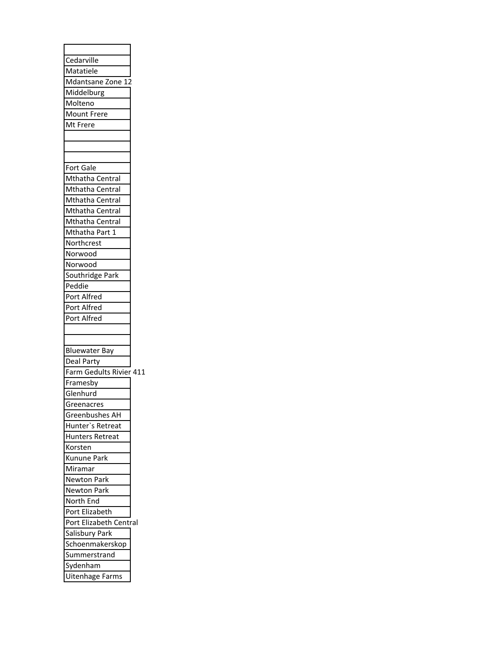| Cedarville                        |
|-----------------------------------|
| Matatiele                         |
| Mdantsane Zone 12                 |
| Middelburg                        |
| Molteno                           |
| Mount Frere                       |
| Mt Frere                          |
|                                   |
|                                   |
|                                   |
| Fort Gale                         |
| Mthatha Central                   |
| Mthatha Central                   |
| Mthatha Central                   |
| Mthatha Central                   |
|                                   |
| Mthatha Central<br>Mthatha Part 1 |
|                                   |
| Northcrest                        |
| Norwood                           |
| Norwood                           |
| Southridge Park                   |
| Peddie                            |
| Port Alfred                       |
| Port Alfred                       |
| Port Alfred                       |
|                                   |
|                                   |
| <b>Bluewater Bay</b>              |
| Deal Party                        |
| Farm Gedults Rivier 411           |
| Framesby                          |
| Glenhurd                          |
| Greenacres                        |
| Greenbushes AH                    |
|                                   |
| Hunter's Retreat                  |
| <b>Hunters Retreat</b>            |
| Korsten                           |
| Kunune Park                       |
| Miramar                           |
| Newton Park                       |
|                                   |
| Newton Park                       |
| North End<br>Port Elizabeth       |
|                                   |
| Port Elizabeth Central            |
| Salisbury Park                    |
| Schoenmakerskop                   |
| Summerstrand                      |
| Sydenham<br>Uitenhage Farms       |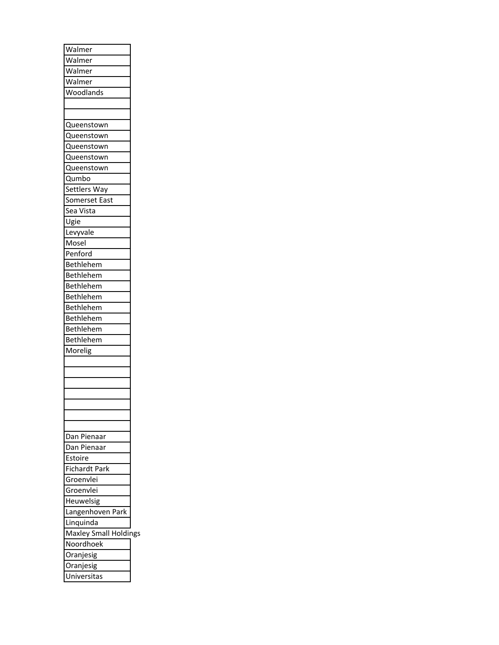| Walmer                       |  |
|------------------------------|--|
| Walmer                       |  |
| Walmer                       |  |
| Walmer                       |  |
| Woodlands                    |  |
|                              |  |
|                              |  |
| Queenstown                   |  |
| Queenstown                   |  |
| Queenstown                   |  |
| Queenstown                   |  |
| Queenstown                   |  |
| Qumbo                        |  |
|                              |  |
| Settlers Way                 |  |
| Somerset East                |  |
| Sea Vista                    |  |
| Ugie                         |  |
| Levyvale                     |  |
| Mosel                        |  |
| Penford                      |  |
| Bethlehem                    |  |
| Bethlehem                    |  |
| Bethlehem                    |  |
| Bethlehem                    |  |
| Bethlehem                    |  |
| Bethlehem                    |  |
| Bethlehem                    |  |
| <b>Bethlehem</b>             |  |
| Morelig                      |  |
|                              |  |
|                              |  |
|                              |  |
|                              |  |
|                              |  |
|                              |  |
|                              |  |
| Dan Pienaar                  |  |
| Dan Pienaar                  |  |
| Estoire                      |  |
| <b>Fichardt Park</b>         |  |
| Groenvlei                    |  |
|                              |  |
| Groenvlei                    |  |
| Heuwelsig                    |  |
| Langenhoven Park             |  |
| Linquinda                    |  |
| <b>Maxley Small Holdings</b> |  |
| Noordhoek                    |  |
| Oranjesig                    |  |
| Oranjesig                    |  |
| Universitas                  |  |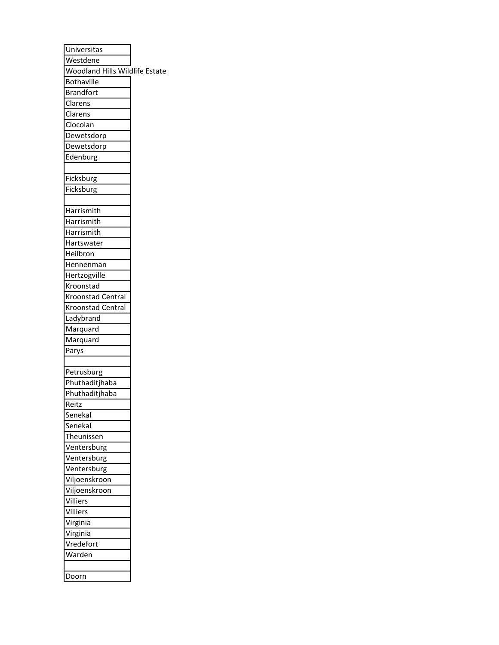| Universitas                    |  |
|--------------------------------|--|
| Westdene                       |  |
| Woodland Hills Wildlife Estate |  |
| Bothaville                     |  |
| <b>Brandfort</b>               |  |
| Clarens                        |  |
| Clarens                        |  |
| Clocolan                       |  |
| Dewetsdorp                     |  |
| Dewetsdorp                     |  |
| Edenburg                       |  |
|                                |  |
| Ficksburg                      |  |
| Ficksburg                      |  |
|                                |  |
| Harrismith                     |  |
| Harrismith                     |  |
| Harrismith                     |  |
| Hartswater                     |  |
| Heilbron                       |  |
| Hennenman                      |  |
| Hertzogville                   |  |
| Kroonstad                      |  |
| <b>Kroonstad Central</b>       |  |
| <b>Kroonstad Central</b>       |  |
| Ladybrand                      |  |
| Marquard                       |  |
| Marquard                       |  |
| Parys                          |  |
|                                |  |
| Petrusburg                     |  |
| Phuthaditjhaba                 |  |
| Phuthaditjhaba                 |  |
| Reitz                          |  |
| Senekal                        |  |
| Senekal                        |  |
| Theunissen                     |  |
| Ventersburg                    |  |
| Ventersburg                    |  |
| Ventersburg                    |  |
| Viljoenskroon                  |  |
| Viljoenskroon                  |  |
| Villiers                       |  |
| Villiers                       |  |
| Virginia                       |  |
| Virginia                       |  |
| Vredefort                      |  |
| Warden                         |  |
|                                |  |
| Doorn                          |  |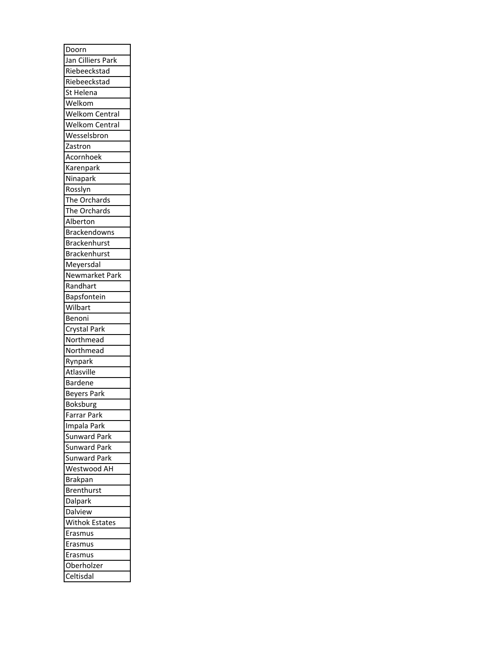| Doorn                   |
|-------------------------|
| Jan Cilliers Park       |
| Riebeeckstad            |
| Riebeeckstad            |
| St Helena               |
| Welkom                  |
| Welkom Central          |
| Welkom Central          |
| Wesselsbron             |
| Zastron                 |
| Acornhoek               |
| Karenpark               |
| Ninapark                |
| Rosslyn                 |
| The Orchards            |
| The Orchards            |
| Alberton                |
| <b>Brackendowns</b>     |
| Brackenhurst            |
| Brackenhurst            |
| Meyersdal               |
| Newmarket Park          |
| Randhart                |
| Bapsfontein             |
| Wilbart                 |
| Benoni                  |
|                         |
|                         |
| Crystal Park            |
| Northmead               |
| Northmead               |
| Rynpark                 |
| Atlasville              |
| <b>Bardene</b>          |
| Beyers Park             |
| <b>Boksburg</b>         |
| Farrar Park             |
| Impala Park             |
| Sunward Park            |
| Sunward<br>Park         |
| Sunward Park            |
| Westwood AH             |
| <b>Brakpan</b>          |
| Brenthurst              |
| Dalpark                 |
| Dalview                 |
| Withok Estates          |
| Erasmus                 |
| Erasmus                 |
| Erasmus                 |
| Oberholzer<br>Celtisdal |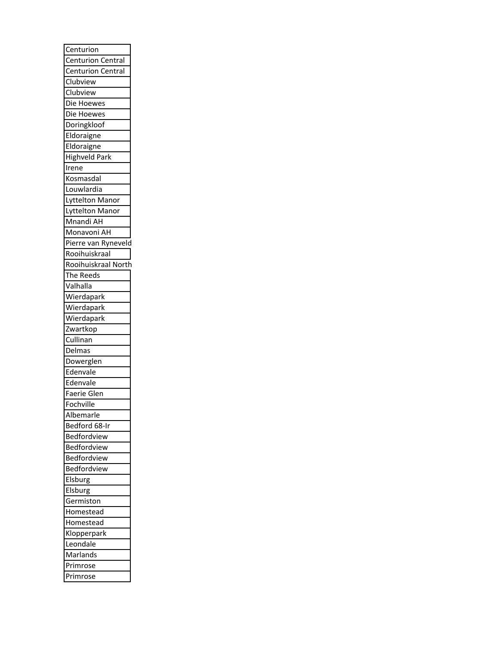| Centurion                          |
|------------------------------------|
| <b>Centurion Central</b>           |
| <b>Centurion Central</b>           |
| Clubview                           |
| Clubview                           |
| Die Hoewes                         |
| Die Hoewes                         |
| Doringkloof                        |
| Eldoraigne                         |
| Eldoraigne                         |
|                                    |
| <b>Highveld Park</b>               |
| Irene                              |
| Kosmasdal                          |
| Louwlardia                         |
| Lyttelton Manor<br>Lyttelton Manor |
|                                    |
| Mnandi AH                          |
| Monavoni AH                        |
| Pierre van Ryneveld                |
| Rooihuiskraal                      |
| Rooihuiskraal North                |
| The Reeds                          |
| Valhalla                           |
| Wierdapark                         |
| Wierdapark                         |
| Wierdapark                         |
| Zwartkop                           |
| Cullinan                           |
| Delmas                             |
| Dowerglen                          |
|                                    |
| Edenvale                           |
| Edenvale                           |
| Faerie Glen                        |
| Fochville                          |
| Albemarle                          |
| Bedford 68-Ir                      |
| Bedfordview                        |
| Bedfordview                        |
| Bedfordview                        |
| Bedfordview                        |
| Elsburg                            |
| Elsburg                            |
| Germiston                          |
| Homestead                          |
| Homestead                          |
| Klopperpark                        |
| Leondale                           |
| Marlands                           |
| Primrose                           |
| Primrose                           |
|                                    |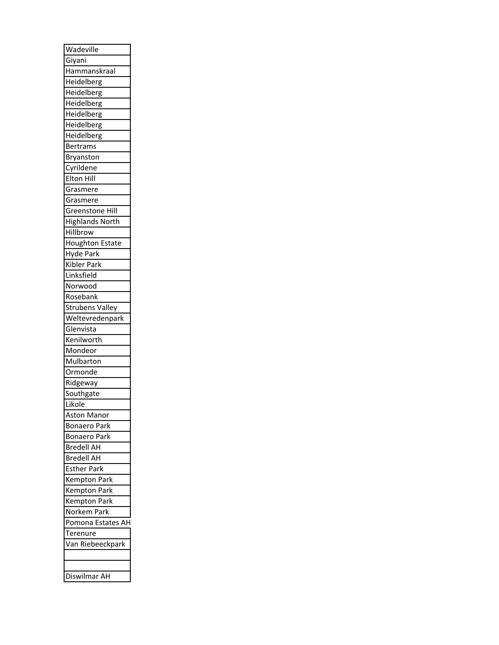| Wadeville              |
|------------------------|
| Giyani                 |
| Hammanskraal           |
| Heidelberg             |
| Heidelberg             |
| Heidelberg             |
| Heidelberg             |
| Heidelberg             |
| Heidelberg             |
| <b>Bertrams</b>        |
|                        |
| Bryanston<br>Cyrildene |
|                        |
| Elton Hill             |
| Grasmere               |
| Grasmere               |
| Greenstone Hill        |
| <b>Highlands North</b> |
| Hillbrow               |
| <b>Houghton Estate</b> |
| Hyde Park              |
| Kibler Park            |
| Linksfield             |
| Norwood                |
| Rosebank               |
| <b>Strubens Valley</b> |
| Weltevredenpark        |
| Glenvista              |
| Kenilworth             |
| Mondeor                |
| Mulbarton              |
| Ormonde                |
| Ridgeway               |
| Southgate              |
| Likole                 |
| <b>Aston Manor</b>     |
| <b>Bonaero Park</b>    |
| <b>Bonaero Park</b>    |
| <b>Bredell AH</b>      |
|                        |
| <b>Bredell AH</b>      |
| <b>Esther Park</b>     |
| <b>Kempton Park</b>    |
| <b>Kempton Park</b>    |
| <b>Kempton Park</b>    |
| Norkem Park            |
| Pomona Estates AH      |
| Terenure               |
| Van Riebeeckpark       |
|                        |
|                        |
| Diswilmar AH           |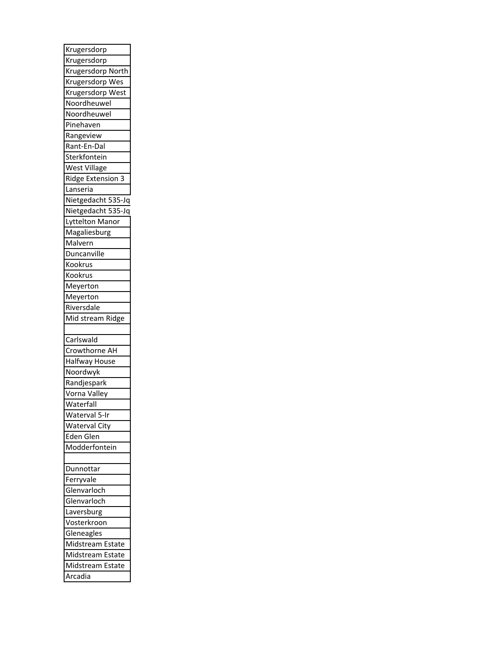| Krugersdorp          |
|----------------------|
| Krugersdorp          |
| Krugersdorp North    |
| Krugersdorp Wes      |
| Krugersdorp West     |
| Noordheuwel          |
| Noordheuwel          |
| Pinehaven            |
| Rangeview            |
| Rant-En-Dal          |
| Sterkfontein         |
| West Village         |
| Ridge Extension 3    |
| Lanseria             |
| Nietgedacht 535-Jq   |
| Nietgedacht 535-Jq   |
| Lyttelton Manor      |
| Magaliesburg         |
| Malvern              |
| Duncanville          |
| Kookrus              |
| Kookrus              |
| Meyerton             |
| Meyerton             |
| Riversdale           |
|                      |
|                      |
| Mid stream Ridge     |
|                      |
| Carlswald            |
| Crowthorne AH        |
| Halfway House        |
| Noordwyk             |
| Randjespark          |
| Vorna Valley         |
| Waterfall            |
| Waterval 5-Ir        |
| <b>Waterval City</b> |
| Eden Glen            |
| Modderfontein        |
|                      |
| Dunnottar            |
| Ferryvale            |
| Glenvarloch          |
| Glenvarloch          |
| Laversburg           |
| Vosterkroon          |
| Gleneagles           |
| Midstream<br>Estate  |
| Midstream<br>Estate  |
| Midstream<br>Estate  |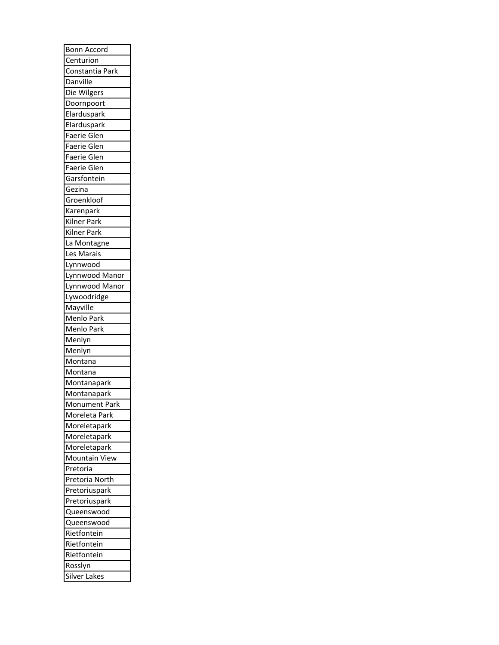| Bonn Accord                     |
|---------------------------------|
| Centurion                       |
| Constantia Park                 |
| Danville                        |
| Die Wilgers                     |
| Doornpoort                      |
| Elarduspark                     |
| Elarduspark                     |
| Faerie Glen                     |
| Faerie Glen                     |
| Faerie Glen                     |
| Faerie Glen                     |
| Garsfontein                     |
| Gezina                          |
| Groenkloof                      |
| Karenpark                       |
| Kilner Park                     |
| Kilner Park                     |
| La Montagne                     |
| Les Marais                      |
| Lynnwood                        |
| Lynnwood Manor                  |
| Lynnwood Manor                  |
| Lywoodridge                     |
| Mayville                        |
|                                 |
|                                 |
| Menlo Park<br>Menlo Park        |
| Menlyn                          |
| Menlyn                          |
| Montana                         |
| Montana                         |
| Montanapark                     |
| Montanapark                     |
| Monument Park                   |
| Moreleta Park                   |
| Moreletapark                    |
| Moreletapark                    |
| Moreletapark                    |
| Mountain View                   |
| Pretoria                        |
|                                 |
| Pretoria North<br>Pretoriuspark |
|                                 |
| Pretoriuspark                   |
| Queenswood                      |
| Queenswood                      |
| Rietfontein                     |
| Rietfontein                     |
| Rietfontein<br>Rosslyn          |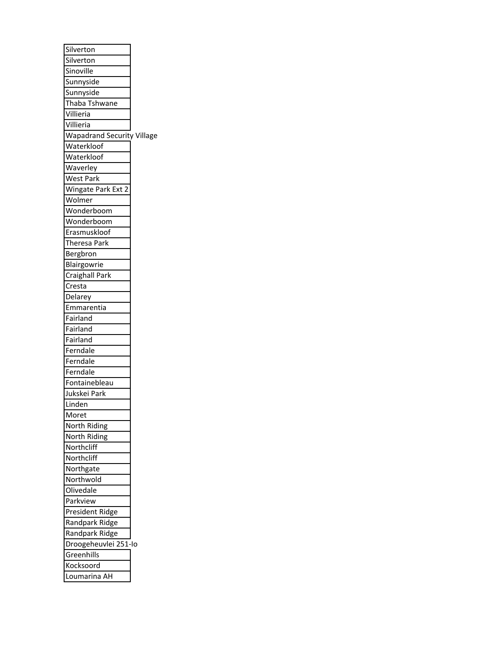| Silverton                         |
|-----------------------------------|
| Silverton                         |
| Sinoville                         |
| Sunnyside                         |
| Sunnyside                         |
| Thaba Tshwane                     |
| Villieria                         |
| Villieria                         |
| <b>Wapadrand Security Village</b> |
| Waterkloof                        |
| Waterkloof                        |
| Waverley                          |
| <b>West Park</b>                  |
| Wingate Park Ext 2                |
| Wolmer                            |
| Wonderboom                        |
| Wonderboom                        |
| Erasmuskloof                      |
| Theresa Park                      |
| Bergbron                          |
| Blairgowrie                       |
| <b>Craighall Park</b>             |
| Cresta                            |
| Delarey                           |
| Emmarentia                        |
| Fairland                          |
| Fairland                          |
| Fairland                          |
| Ferndale                          |
| Ferndale                          |
| Ferndale                          |
| Fontainebleau                     |
| Jukskei Park                      |
| Linden                            |
| Moret                             |
| North Riding                      |
| North Riding                      |
| Northcliff                        |
| Northcliff                        |
| Northgate                         |
| Northwold                         |
| Olivedale                         |
| Parkview                          |
| President Ridge                   |
| Randpark Ridge                    |
| Randpark Ridge                    |
| Droogeheuvlei 251-Io              |
| Greenhills                        |
| Kocksoord                         |
| oumarina AH.                      |
|                                   |

÷,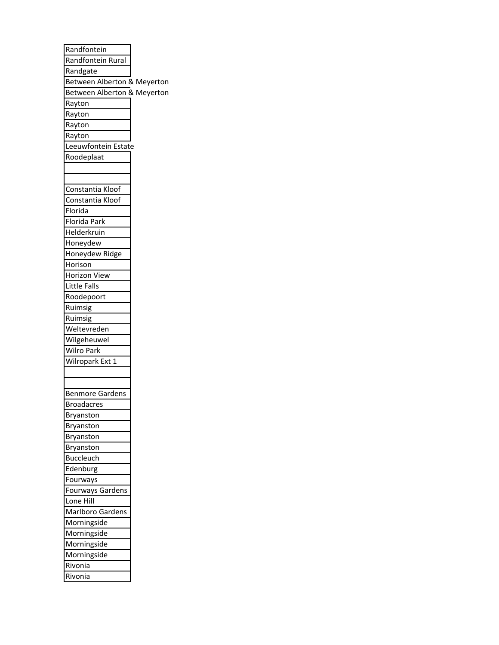| Randfontein                 |  |
|-----------------------------|--|
| Randfontein Rural           |  |
| Randgate                    |  |
| Between Alberton & Meyerton |  |
| Between Alberton & Meyerton |  |
| Rayton                      |  |
| Rayton                      |  |
| Rayton                      |  |
| Rayton                      |  |
| Leeuwfontein Estate         |  |
| Roodeplaat                  |  |
|                             |  |
|                             |  |
| Constantia Kloof            |  |
| Constantia Kloof            |  |
| Florida                     |  |
| Florida Park                |  |
| Helderkruin                 |  |
| Honeydew                    |  |
| Honeydew Ridge              |  |
| Horison                     |  |
| Horizon View                |  |
| Little Falls                |  |
| Roodepoort                  |  |
| Ruimsig                     |  |
| Ruimsig                     |  |
| Weltevreden                 |  |
| Wilgeheuwel                 |  |
| Wilro Park                  |  |
| Wilropark Ext 1             |  |
|                             |  |
|                             |  |
| <b>Benmore Gardens</b>      |  |
| <b>Broadacres</b>           |  |
| <b>Bryanston</b>            |  |
| Bryanston                   |  |
| Bryanston                   |  |
| Bryanston                   |  |
| Buccleuch                   |  |
| Edenburg                    |  |
|                             |  |
| Fourways                    |  |
| Fourways Gardens            |  |
| Lone Hill                   |  |
| Marlboro Gardens            |  |
| Morningside                 |  |
| Morningside                 |  |
| Morningside                 |  |
| Morningside                 |  |
| Rivonia                     |  |
| Rivonia                     |  |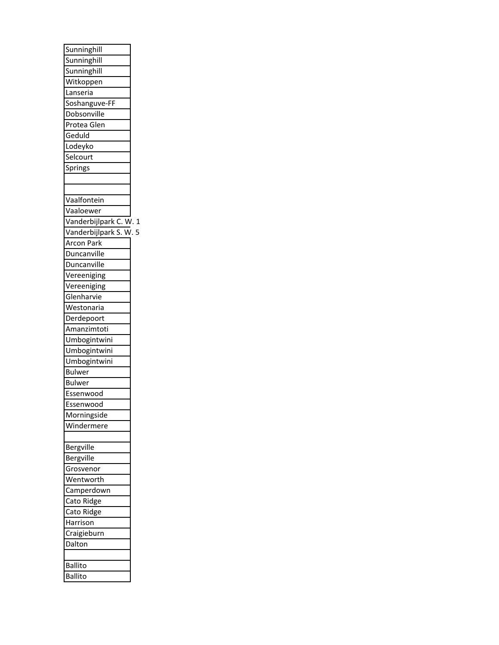| Sunninghill            |  |
|------------------------|--|
| Sunninghill            |  |
| Sunninghill            |  |
| Witkoppen              |  |
| Lanseria               |  |
| Soshanguve-FF          |  |
| Dobsonville            |  |
| Protea Glen            |  |
| Geduld                 |  |
| Lodeyko                |  |
| Selcourt               |  |
| Springs                |  |
|                        |  |
|                        |  |
| Vaalfontein            |  |
| Vaaloewer              |  |
| Vanderbijlpark C. W. 1 |  |
| Vanderbijlpark S. W. 5 |  |
| Arcon Park             |  |
| Duncanville            |  |
| Duncanville            |  |
| Vereeniging            |  |
| Vereeniging            |  |
| Glenharvie             |  |
| Westonaria             |  |
| Derdepoort             |  |
| Amanzimtoti            |  |
| Umbogintwini           |  |
| Umbogintwini           |  |
| Umbogintwini           |  |
| <b>Bulwer</b>          |  |
| <b>Bulwer</b>          |  |
| Essenwood              |  |
| Essenwood              |  |
| Morningside            |  |
| Windermere             |  |
|                        |  |
| Bergville              |  |
| Bergville              |  |
| Grosvenor              |  |
| Wentworth              |  |
| Camperdown             |  |
| Cato Ridge             |  |
| Cato Ridge             |  |
| Harrison               |  |
| Craigieburn            |  |
| Dalton                 |  |
|                        |  |
| Ballito                |  |
| <b>Ballito</b>         |  |
|                        |  |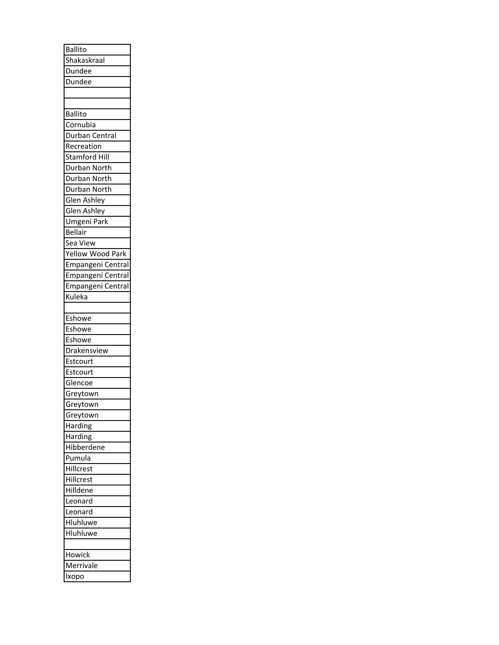| <b>Ballito</b>    |
|-------------------|
| Shakaskraal       |
| Dundee            |
| Dundee            |
|                   |
|                   |
| <b>Ballito</b>    |
| Cornubia          |
| Durban Central    |
| Recreation        |
| Stamford Hill     |
| Durban North      |
| Durban North      |
| Durban North      |
| Glen Ashley       |
| Glen Ashley       |
| Umgeni Park       |
| <b>Bellair</b>    |
| Sea View          |
| Yellow Wood Park  |
| Empangeni Central |
| Empangeni Central |
| Empangeni Central |
| Kuleka            |
|                   |
| Eshowe            |
| Eshowe            |
| Eshowe            |
| Drakensview       |
| Estcourt          |
| Estcourt          |
| Glencoe           |
| Greytown          |
| Greytown          |
| Greytown          |
| Harding           |
| Harding           |
| Hibberdene        |
| Pumula            |
| Hillcrest         |
| Hillcrest         |
| Hilldene          |
| Leonard           |
| Leonard           |
| Hluhluwe          |
| Hluhluwe          |
|                   |
| Howick            |
| Merrivale         |
| Ixopo             |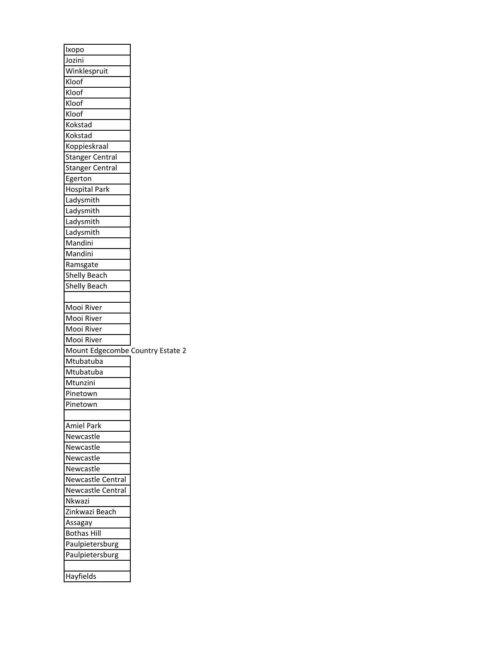| Ixopo                            |  |
|----------------------------------|--|
| Jozini                           |  |
| Winklespruit                     |  |
| Kloof                            |  |
| Kloof                            |  |
| Kloof                            |  |
| Kloof                            |  |
| Kokstad                          |  |
| Kokstad                          |  |
| Koppieskraal                     |  |
| <b>Stanger Central</b>           |  |
| <b>Stanger Central</b>           |  |
| Egerton                          |  |
| <b>Hospital Park</b>             |  |
| Ladysmith                        |  |
| Ladysmith                        |  |
| Ladysmith                        |  |
| Ladysmith                        |  |
| Mandini                          |  |
| Mandini                          |  |
| Ramsgate                         |  |
| Shelly Beach                     |  |
| Shelly Beach                     |  |
|                                  |  |
| Mooi River                       |  |
| Mooi River                       |  |
| Mooi River                       |  |
| Mooi River                       |  |
| Mount Edgecombe Country Estate 2 |  |
| Mtubatuba                        |  |
| Mtubatuba                        |  |
| Mtunzini                         |  |
| Pinetown                         |  |
| Pinetown                         |  |
|                                  |  |
| Amiel Park                       |  |
| Newcastle                        |  |
| Newcastle                        |  |
| Newcastle                        |  |
| Newcastle                        |  |
| <b>Newcastle Central</b>         |  |
| <b>Newcastle Central</b>         |  |
| Nkwazi                           |  |
| Zinkwazi Beach                   |  |
|                                  |  |
| Assagay                          |  |
| <b>Bothas Hill</b>               |  |
| Paulpietersburg                  |  |
| Paulpietersburg                  |  |
|                                  |  |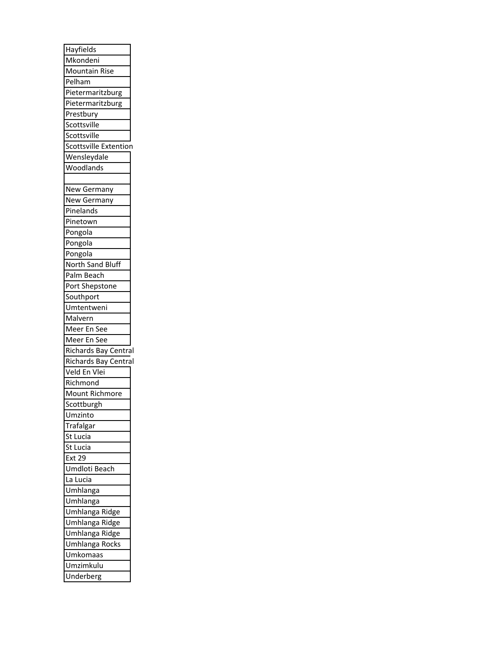| Hayfields                |
|--------------------------|
| Mkondeni                 |
| <b>Mountain Rise</b>     |
| Pelham                   |
| Pietermaritzburg         |
| Pietermaritzburg         |
| Prestbury                |
| Scottsville              |
| Scottsville              |
| Scottsville Extention    |
| Wensleydale              |
| Woodlands                |
|                          |
| New Germany              |
| New Germany              |
| Pinelands                |
| Pinetown                 |
| Pongola                  |
| Pongola                  |
| Pongola                  |
| North Sand Bluff         |
| Palm Beach               |
|                          |
| Port Shepstone           |
| Southport                |
| Umtentweni               |
|                          |
| Malvern                  |
| Meer En See              |
| Meer En See              |
| Richards Bay Central     |
| Richards Bay Central     |
| Veld En Vlei             |
| Richmond                 |
| Mount Richmore           |
| Scottburgh               |
| Umzinto                  |
| Trafalgar                |
| St<br>.ucia              |
| St<br>.ucia<br>l         |
| <b>Ext 29</b>            |
| Umdloti<br>Beach         |
| La<br>Lucia              |
| Umhlanga                 |
| Umhlanga                 |
| Umhlanga<br><u>Ridge</u> |
| Umhlanga<br>Ridge        |
| Umhlanga<br>Ridge        |
| Umhlanga<br>Rocks        |
| Umkomaas                 |
| Umzimkulu                |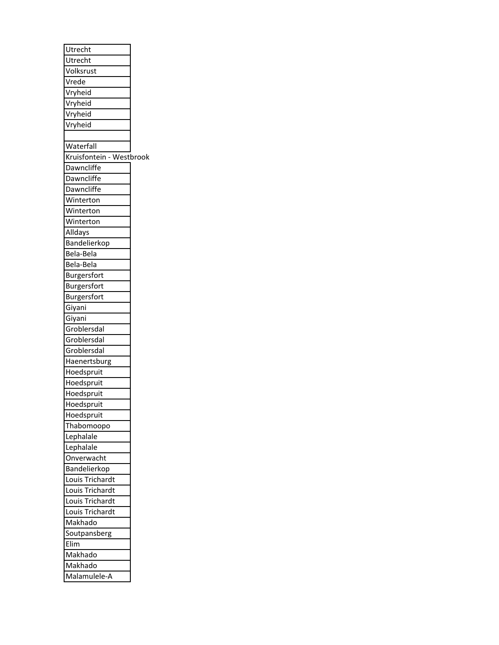| Utrecht<br>Volksrust<br>Vrede<br>Vryheid<br>Vryheid<br>Vryheid<br>Vryheid<br>Waterfall<br>Kruisfontein - Westbrook<br>Dawncliffe<br>Dawncliffe<br>Dawncliffe<br>Winterton<br>Winterton<br>Winterton<br>Alldays<br>Bandelierkop<br>Bela-Bela<br>Bela-Bela<br>Burgersfort<br>Burgersfort<br>Burgersfort<br>Giyani<br>Giyani<br>Groblersdal<br>Groblersdal<br>Groblersdal<br>Haenertsburg<br>Hoedspruit<br>Hoedspruit<br>Hoedspruit<br>Hoedspruit<br>Hoedspruit<br>Thabomoopo<br>Lephalale<br>Lephalale<br>Onverwacht |
|--------------------------------------------------------------------------------------------------------------------------------------------------------------------------------------------------------------------------------------------------------------------------------------------------------------------------------------------------------------------------------------------------------------------------------------------------------------------------------------------------------------------|
|                                                                                                                                                                                                                                                                                                                                                                                                                                                                                                                    |
|                                                                                                                                                                                                                                                                                                                                                                                                                                                                                                                    |
|                                                                                                                                                                                                                                                                                                                                                                                                                                                                                                                    |
|                                                                                                                                                                                                                                                                                                                                                                                                                                                                                                                    |
|                                                                                                                                                                                                                                                                                                                                                                                                                                                                                                                    |
|                                                                                                                                                                                                                                                                                                                                                                                                                                                                                                                    |
|                                                                                                                                                                                                                                                                                                                                                                                                                                                                                                                    |
|                                                                                                                                                                                                                                                                                                                                                                                                                                                                                                                    |
|                                                                                                                                                                                                                                                                                                                                                                                                                                                                                                                    |
|                                                                                                                                                                                                                                                                                                                                                                                                                                                                                                                    |
|                                                                                                                                                                                                                                                                                                                                                                                                                                                                                                                    |
|                                                                                                                                                                                                                                                                                                                                                                                                                                                                                                                    |
|                                                                                                                                                                                                                                                                                                                                                                                                                                                                                                                    |
|                                                                                                                                                                                                                                                                                                                                                                                                                                                                                                                    |
|                                                                                                                                                                                                                                                                                                                                                                                                                                                                                                                    |
|                                                                                                                                                                                                                                                                                                                                                                                                                                                                                                                    |
|                                                                                                                                                                                                                                                                                                                                                                                                                                                                                                                    |
|                                                                                                                                                                                                                                                                                                                                                                                                                                                                                                                    |
|                                                                                                                                                                                                                                                                                                                                                                                                                                                                                                                    |
|                                                                                                                                                                                                                                                                                                                                                                                                                                                                                                                    |
|                                                                                                                                                                                                                                                                                                                                                                                                                                                                                                                    |
|                                                                                                                                                                                                                                                                                                                                                                                                                                                                                                                    |
|                                                                                                                                                                                                                                                                                                                                                                                                                                                                                                                    |
|                                                                                                                                                                                                                                                                                                                                                                                                                                                                                                                    |
|                                                                                                                                                                                                                                                                                                                                                                                                                                                                                                                    |
|                                                                                                                                                                                                                                                                                                                                                                                                                                                                                                                    |
|                                                                                                                                                                                                                                                                                                                                                                                                                                                                                                                    |
|                                                                                                                                                                                                                                                                                                                                                                                                                                                                                                                    |
|                                                                                                                                                                                                                                                                                                                                                                                                                                                                                                                    |
|                                                                                                                                                                                                                                                                                                                                                                                                                                                                                                                    |
|                                                                                                                                                                                                                                                                                                                                                                                                                                                                                                                    |
|                                                                                                                                                                                                                                                                                                                                                                                                                                                                                                                    |
|                                                                                                                                                                                                                                                                                                                                                                                                                                                                                                                    |
|                                                                                                                                                                                                                                                                                                                                                                                                                                                                                                                    |
|                                                                                                                                                                                                                                                                                                                                                                                                                                                                                                                    |
|                                                                                                                                                                                                                                                                                                                                                                                                                                                                                                                    |
|                                                                                                                                                                                                                                                                                                                                                                                                                                                                                                                    |
|                                                                                                                                                                                                                                                                                                                                                                                                                                                                                                                    |
| Bandelierkop                                                                                                                                                                                                                                                                                                                                                                                                                                                                                                       |
| Louis Trichardt                                                                                                                                                                                                                                                                                                                                                                                                                                                                                                    |
| Louis Trichardt                                                                                                                                                                                                                                                                                                                                                                                                                                                                                                    |
| Louis Trichardt                                                                                                                                                                                                                                                                                                                                                                                                                                                                                                    |
| Louis Trichardt                                                                                                                                                                                                                                                                                                                                                                                                                                                                                                    |
|                                                                                                                                                                                                                                                                                                                                                                                                                                                                                                                    |
|                                                                                                                                                                                                                                                                                                                                                                                                                                                                                                                    |
| Makhado                                                                                                                                                                                                                                                                                                                                                                                                                                                                                                            |
| Soutpansberg                                                                                                                                                                                                                                                                                                                                                                                                                                                                                                       |
| Elim                                                                                                                                                                                                                                                                                                                                                                                                                                                                                                               |
| Makhado<br>Makhado                                                                                                                                                                                                                                                                                                                                                                                                                                                                                                 |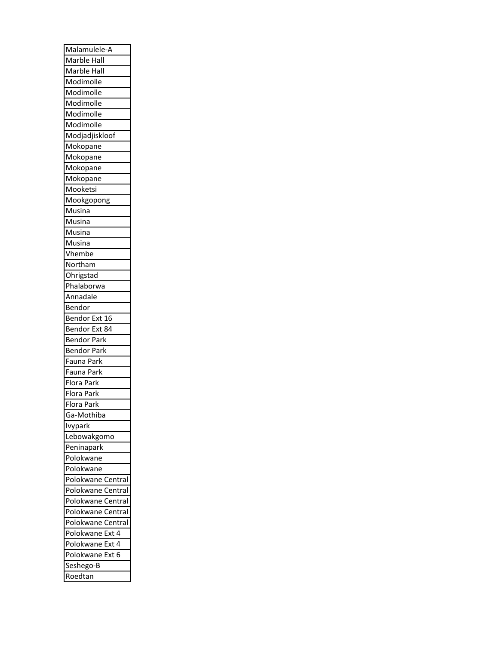| Malamulele-A             |
|--------------------------|
| Marble Hall              |
| Marble Hall              |
| Modimolle                |
| Modimolle                |
| Modimolle                |
| Modimolle                |
| Modimolle                |
| Modjadjiskloof           |
| Mokopane                 |
| Mokopane                 |
| Mokopane                 |
| Mokopane                 |
| Mooketsi                 |
| Mookgopong               |
| Musina                   |
| Musina                   |
| Musina                   |
| Musina                   |
| Vhembe                   |
| Northam                  |
| Ohrigstad                |
| Phalaborwa               |
| Annadale                 |
| Bendor                   |
| Bendor Ext 16            |
| Bendor Ext 84            |
| <b>Bendor Park</b>       |
| <b>Bendor Park</b>       |
| Fauna Park               |
|                          |
| Fauna Park               |
| Flora Park               |
| Flora Park<br>Flora Park |
|                          |
| Ga-Mothiba               |
| Ivypark                  |
| Lebowakgomo              |
| Peninapark               |
| Polokwane                |
| Polokwane                |
| Polokwane<br>Central     |
| Polokwane<br>Central     |
| Polokwane<br>Central     |
| Central<br>Polokwane     |
| Polokwane<br>Central     |
| Polokwane<br>Ext<br>4    |
| Polokwane<br>4<br>Ext    |
|                          |
| Polokwane<br>Ext<br>6    |
| Seshego-B                |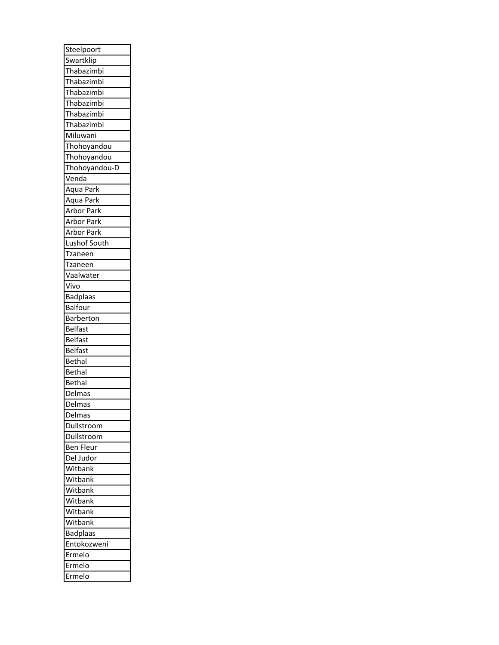| Steelpoort              |
|-------------------------|
| Swartklip               |
| Thabazimbi              |
| Thabazimbi              |
| Thabazimbi              |
| Thabazimbi              |
| Thabazimbi              |
| Thabazimbi              |
| Miluwani                |
| Thohoyandou             |
| Thohoyandou             |
| Thohoyandou-D           |
| Venda                   |
| Aqua Park               |
| Aqua Park               |
| Arbor Park              |
| Arbor Park              |
| Arbor Park              |
| Lushof South            |
| Tzaneen                 |
| Tzaneen                 |
|                         |
| Vaalwater               |
| Vivo<br><b>Badplaas</b> |
|                         |
| Balfour                 |
|                         |
| <b>Barberton</b>        |
| Belfast                 |
| <b>Belfast</b>          |
| Belfast                 |
| <b>Bethal</b>           |
| Bethal                  |
| Bethal                  |
| Delmas                  |
| Delmas                  |
| Delmas                  |
| Dullstroom              |
| Dullstroom              |
| Ben<br>Fleur            |
| Del Judor               |
| Witbank                 |
| Witbank                 |
| Witbank                 |
| Witbank                 |
| Witbank                 |
| Witbank                 |
| <b>Badplaas</b>         |
| Entokozweni             |
| Ermelo                  |
| Ermelo                  |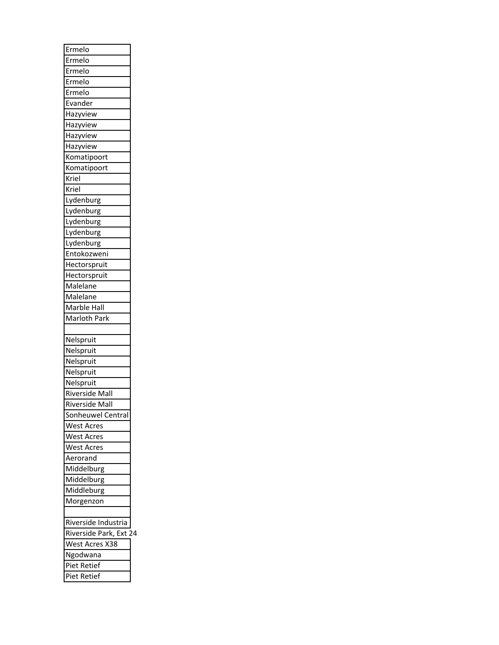| Ermelo                 |  |
|------------------------|--|
| Ermelo                 |  |
| Ermelo                 |  |
| Ermelo                 |  |
| Ermelo                 |  |
| Evander                |  |
| Hazyview               |  |
| Hazyview               |  |
| Hazyview               |  |
| Hazyview               |  |
| Komatipoort            |  |
| Komatipoort            |  |
| Kriel                  |  |
| Kriel                  |  |
| Lydenburg              |  |
| Lydenburg              |  |
| Lydenburg              |  |
| Lydenburg              |  |
| Lydenburg              |  |
| Entokozweni            |  |
| Hectorspruit           |  |
| Hectorspruit           |  |
| Malelane               |  |
| Malelane               |  |
| Marble Hall            |  |
| Marloth Park           |  |
|                        |  |
| Nelspruit              |  |
| Nelspruit              |  |
| Nelspruit              |  |
| Nelspruit              |  |
| Nelspruit              |  |
| Riverside Mall         |  |
| Riverside Mall         |  |
|                        |  |
| Sonheuwel Central      |  |
| <b>West Acres</b>      |  |
| <b>West Acres</b>      |  |
| <b>West Acres</b>      |  |
| Aerorand               |  |
| Middelburg             |  |
| Middelburg             |  |
| Middleburg             |  |
| Morgenzon              |  |
| Riverside Industria    |  |
| Riverside Park, Ext 24 |  |
| West Acres X38         |  |
| Ngodwana               |  |
| Piet Retief            |  |
|                        |  |
| Piet Retief            |  |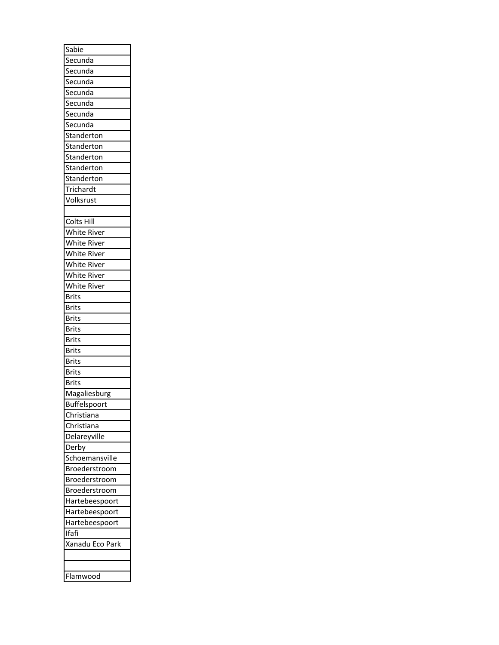| Sabie               |
|---------------------|
| Secunda             |
| Secunda             |
| Secunda             |
| Secunda             |
| Secunda             |
| Secunda             |
| Secunda             |
| Standerton          |
| Standerton          |
| Standerton          |
| Standerton          |
| Standerton          |
| Trichardt           |
| Volksrust           |
|                     |
| Colts<br>Hill       |
| White River         |
| White River         |
| White River         |
| White River         |
| White River         |
| White<br>River      |
| Brits               |
| Brits               |
| Brits               |
| Brits               |
| Brits               |
| Brits               |
| <b>Brits</b>        |
|                     |
| Brits               |
| <b>Brits</b>        |
| Magaliesburg        |
| <b>Buffelspoort</b> |
| Christiana          |
| Christiana          |
| Delareyville        |
| Derby               |
| Schoemansville      |
| Broederstroom       |
| Broederstroom       |
| Broederstroom       |
| Hartebeespoort      |
| Hartebeespoort      |
| Hartebeespoort      |
| Ifafi               |
| Xanadu Eco Park     |
|                     |
|                     |
| Flamwood            |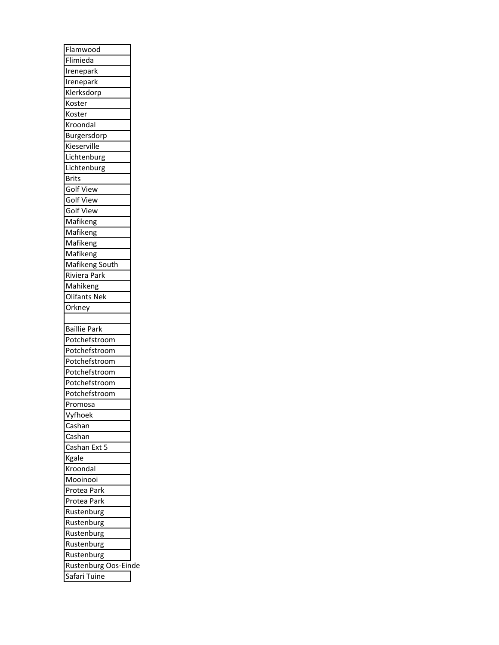| Flamwood             |  |
|----------------------|--|
| Flimieda             |  |
| Irenepark            |  |
| Irenepark            |  |
| Klerksdorp           |  |
| Koster               |  |
| Koster               |  |
| Kroondal             |  |
| Burgersdorp          |  |
| Kieserville          |  |
| Lichtenburg          |  |
| Lichtenburg          |  |
| <b>Brits</b>         |  |
| <b>Golf View</b>     |  |
| <b>Golf View</b>     |  |
| <b>Golf View</b>     |  |
| Mafikeng             |  |
| Mafikeng             |  |
| Mafikeng             |  |
| Mafikeng             |  |
| Mafikeng South       |  |
| Riviera Park         |  |
|                      |  |
| Mahikeng             |  |
| <b>Olifants Nek</b>  |  |
| Orkney               |  |
|                      |  |
|                      |  |
| <b>Baillie Park</b>  |  |
| Potchefstroom        |  |
| Potchefstroom        |  |
| Potchefstroom        |  |
| Potchefstroom        |  |
| Potchefstroom        |  |
| Potchefstroom        |  |
| Promosa              |  |
| Vyfhoek              |  |
| Cashan               |  |
| Cashan               |  |
| Cashan Ext 5         |  |
| Kgale                |  |
| Kroondal             |  |
| Mooinooi             |  |
| Protea Park          |  |
| Protea Park          |  |
| Rustenburg           |  |
| Rustenburg           |  |
| Rustenburg           |  |
| Rustenburg           |  |
| Rustenburg           |  |
| Rustenburg Oos-Einde |  |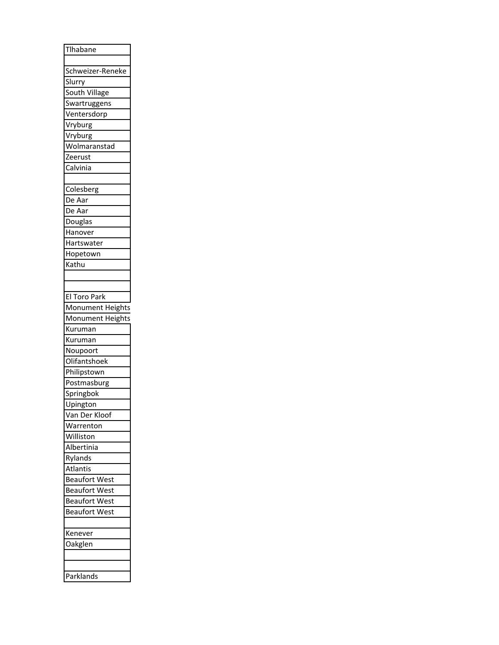| Tlhabane             |
|----------------------|
| Schweizer-Reneke     |
| Slurry               |
| South Village        |
| Swartruggens         |
| Ventersdorp          |
|                      |
| Vryburg              |
| Vryburg              |
| Wolmaranstad         |
| Zeerust              |
| Calvinia             |
| Colesberg            |
| De Aar               |
| De Aar               |
| Douglas              |
| Hanover              |
| Hartswater           |
| Hopetown             |
| Kathu                |
|                      |
|                      |
| El Toro Park         |
| Monument Heights     |
| Monument Heights     |
| Kuruman              |
| Kuruman              |
| Noupoort             |
| Olifantshoek         |
| Philipstown          |
| Postmasburg          |
| Springbok            |
| Upington             |
| Van Der Kloof        |
| Warrenton            |
| Williston            |
| Albertinia           |
|                      |
| Rylands              |
| Atlantis             |
| <b>Beaufort West</b> |
| <b>Beaufort West</b> |
| <b>Beaufort West</b> |
| <b>Beaufort West</b> |
|                      |
|                      |
| Kenever              |
| Oakglen              |
| Parklands            |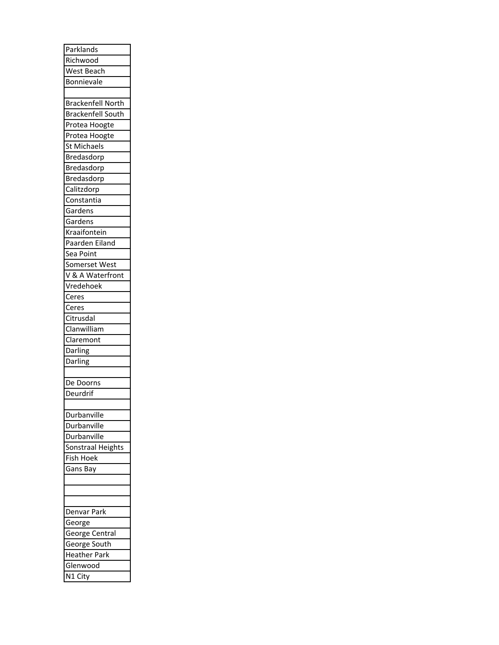| Parklands                |
|--------------------------|
| Richwood                 |
| West Beach               |
| Bonnievale               |
|                          |
| <b>Brackenfell North</b> |
| <b>Brackenfell South</b> |
| Protea Hoogte            |
| <b>Protea Hoogte</b>     |
| St Michaels              |
| Bredasdorp               |
| Bredasdorp               |
| Bredasdorp               |
| Calitzdorp               |
|                          |
| Constantia               |
| Gardens                  |
| Gardens                  |
| Kraaifontein             |
| Paarden Eiland           |
| Sea Point                |
| Somerset West            |
| V & A Waterfront         |
| Vredehoek                |
| Ceres                    |
| Ceres                    |
| Citrusdal                |
|                          |
| Clanwilliam              |
|                          |
| Claremont                |
| Darling                  |
| Darling                  |
|                          |
| De Doorns                |
| Deurdrif                 |
|                          |
| Durbanville              |
| Durbanville              |
| Durbanville              |
| Sonstraal Heights        |
| Fish Hoek                |
| Gans Bay                 |
|                          |
|                          |
|                          |
| Denvar Park              |
| George                   |
| George Central           |
| George South             |
| <b>Heather Park</b>      |
| Glenwood<br>N1 City      |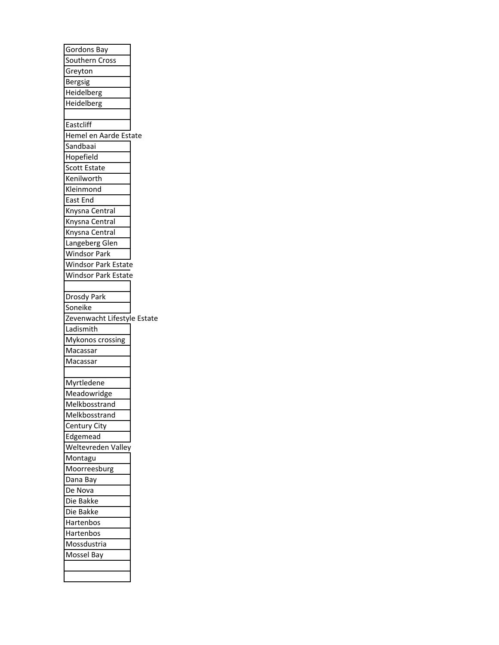| Gordons Bay                 |
|-----------------------------|
| Southern Cross              |
| Greyton                     |
| <b>Bergsig</b>              |
| Heidelberg                  |
| Heidelberg                  |
|                             |
| Eastcliff                   |
| Hemel en Aarde Estate       |
| Sandbaai                    |
| Hopefield                   |
| Scott Estate                |
| Kenilworth                  |
| Kleinmond                   |
| East End                    |
| Knysna Central              |
| Knysna Central              |
| Knysna Central              |
| Langeberg Glen              |
| <b>Windsor Park</b>         |
| <b>Windsor Park Estate</b>  |
| Windsor Park Estate         |
|                             |
| <b>Drosdy Park</b>          |
| Soneike                     |
| Zevenwacht Lifestyle Estate |
| Ladismith                   |
| Mykonos crossing            |
| Macassar                    |
| Macassar                    |
|                             |
| Myrtledene                  |
| Meadowridge                 |
| Melkbosstrand               |
| Melkbosstrand               |
| Century City                |
| Edgemead                    |
| Weltevreden Valley          |
| Montagu                     |
| Moorreesburg                |
| Dana Bay                    |
|                             |
|                             |
| De Nova                     |
| Die Bakke                   |
| Die Bakke                   |
| Hartenbos                   |
| Hartenbos                   |
| Mossdustria                 |
| Mossel Bay                  |
|                             |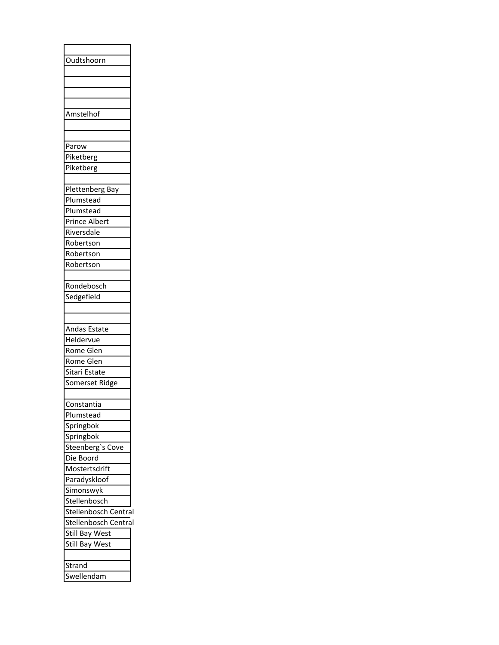| Oudtshoorn            |
|-----------------------|
|                       |
|                       |
|                       |
|                       |
|                       |
| Amstelhof             |
|                       |
|                       |
| Parow                 |
| Piketberg             |
| Piketberg             |
|                       |
| Plettenberg Bay       |
| Plumstead             |
|                       |
| Plumstead             |
| Prince Albert         |
| Riversdale            |
| Robertson             |
| Robertson             |
| Robertson             |
|                       |
| Rondebosch            |
|                       |
| Sedgefield            |
|                       |
|                       |
| Andas Estate          |
| Heldervue             |
| Rome Glen             |
| Rome Glen             |
| Sitari Estate         |
| Somerset Ridge        |
|                       |
| Constantia            |
|                       |
| Plumstead             |
| Springbok             |
| Springbok             |
| Steenberg's Cove      |
| Die Boord             |
| Mostertsdrift         |
| Paradyskloof          |
| Simonswyk             |
| Stellenbosch          |
|                       |
| Stellenbosch Central  |
| Stellenbosch Central  |
| Still Bay West        |
|                       |
| <b>Still Bay West</b> |
|                       |
| Strand                |